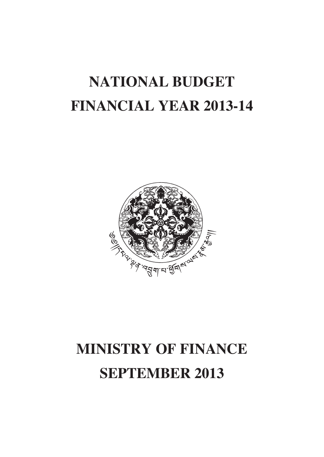# **NATIONAL BUDGET FINANCIAL YEAR 2013-14**



# **MINISTRY OF FINANCE SEPTEMBER 2013**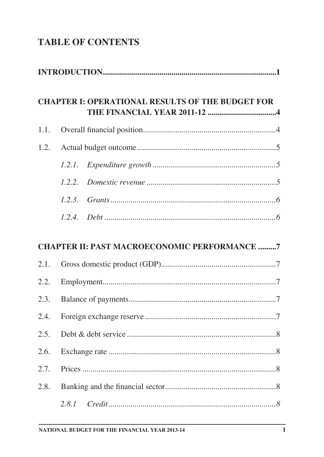# **TABLE OF CONTENTS**

|      | <b>CHAPTER I: OPERATIONAL RESULTS OF THE BUDGET FOR</b> |
|------|---------------------------------------------------------|
| 1.1. |                                                         |
| 1.2. |                                                         |
|      | 1.2.1.                                                  |
|      | 1.2.2.                                                  |
|      | 1.2.3.                                                  |
|      |                                                         |
|      | <b>CHAPTER II: PAST MACROECONOMIC PERFORMANCE 7</b>     |
| 2.1. |                                                         |
| 2.2. |                                                         |
| 2.3. |                                                         |
| 2.4. |                                                         |
| 2.5. |                                                         |
| 2.6. |                                                         |
| 2.7. |                                                         |
| 2.8. |                                                         |
|      |                                                         |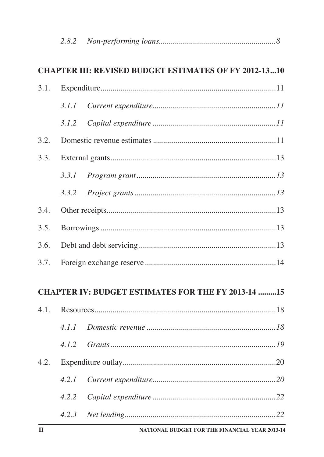|      |       | <b>CHAPTER III: REVISED BUDGET ESTIMATES OF FY 2012-1310</b> |  |
|------|-------|--------------------------------------------------------------|--|
| 3.1. |       |                                                              |  |
|      |       |                                                              |  |
|      | 3.1.2 |                                                              |  |
| 3.2. |       |                                                              |  |
| 3.3. |       |                                                              |  |
|      |       |                                                              |  |
|      | 3.3.2 |                                                              |  |
| 3.4. |       |                                                              |  |
| 3.5. |       |                                                              |  |
| 3.6. |       |                                                              |  |
| 3.7. |       |                                                              |  |
|      |       | <b>CHAPTER IV: BUDGET ESTIMATES FOR THE FY 2013-14 15</b>    |  |
|      |       |                                                              |  |
|      |       |                                                              |  |
|      | 4.1.2 |                                                              |  |
| 4.2. |       |                                                              |  |
|      | 4.2.1 |                                                              |  |
|      | 4.2.2 |                                                              |  |
|      |       |                                                              |  |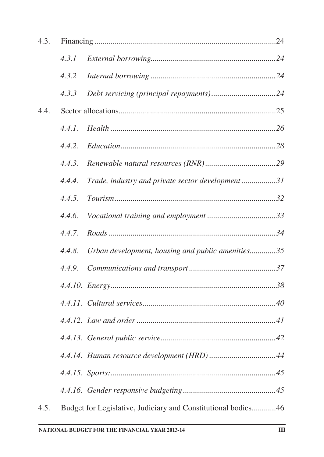| 4.3. |        |                                                               |  |
|------|--------|---------------------------------------------------------------|--|
|      | 4.3.1  |                                                               |  |
|      | 4.3.2  |                                                               |  |
|      | 4.3.3  |                                                               |  |
| 4.4. |        |                                                               |  |
|      | 4.4.1. |                                                               |  |
|      | 4.4.2. |                                                               |  |
|      | 4.4.3. |                                                               |  |
|      | 4.4.4. | Trade, industry and private sector development31              |  |
|      | 4.4.5. |                                                               |  |
|      | 4.4.6. |                                                               |  |
|      | 4.4.7. |                                                               |  |
|      | 4.4.8. | Urban development, housing and public amenities35             |  |
|      | 4.4.9. |                                                               |  |
|      |        |                                                               |  |
|      |        |                                                               |  |
|      |        |                                                               |  |
|      |        |                                                               |  |
|      |        |                                                               |  |
|      |        |                                                               |  |
|      |        |                                                               |  |
| 4.5. |        | Budget for Legislative, Judiciary and Constitutional bodies46 |  |
|      |        |                                                               |  |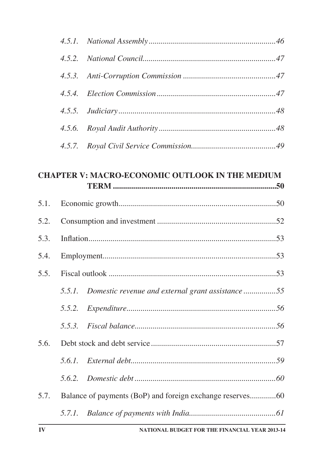#### **CHAPTER V: MACRO-ECONOMIC OUTLOOK IN THE MEDIUM**

| 5.1. |        |                                                         |  |
|------|--------|---------------------------------------------------------|--|
| 5.2. |        |                                                         |  |
| 5.3. |        |                                                         |  |
| 5.4. |        |                                                         |  |
| 5.5. |        |                                                         |  |
|      |        | 5.5.1. Domestic revenue and external grant assistance55 |  |
|      | 5.5.2. | $\label{prop:exponent} Expenditive$                     |  |
|      |        |                                                         |  |
| 5.6. |        |                                                         |  |
|      |        |                                                         |  |
|      |        |                                                         |  |
| 5.7. |        |                                                         |  |
|      |        |                                                         |  |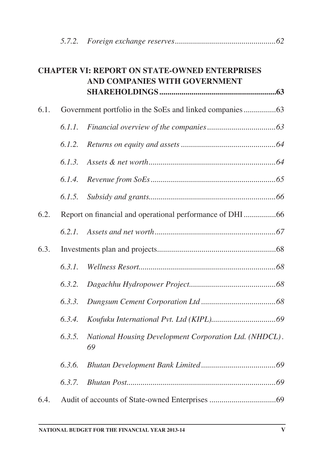|      |        | <b>CHAPTER VI: REPORT ON STATE-OWNED ENTERPRISES</b><br>AND COMPANIES WITH GOVERNMENT |  |
|------|--------|---------------------------------------------------------------------------------------|--|
| 6.1. |        |                                                                                       |  |
|      | 6.1.1. |                                                                                       |  |
|      | 6.1.2. |                                                                                       |  |
|      | 6.1.3. |                                                                                       |  |
|      | 6.1.4. |                                                                                       |  |
|      | 6.1.5. |                                                                                       |  |
| 6.2. |        |                                                                                       |  |
|      | 6.2.1. |                                                                                       |  |
| 6.3. |        |                                                                                       |  |
|      | 6.3.1. |                                                                                       |  |
|      | 6.3.2. |                                                                                       |  |
|      | 6.3.3. |                                                                                       |  |
|      | 6.3.4. |                                                                                       |  |
|      | 6.3.5. | National Housing Development Corporation Ltd. (NHDCL).<br>69                          |  |
|      | 6.3.6. |                                                                                       |  |
|      | 6.3.7. |                                                                                       |  |
| 6.4. |        |                                                                                       |  |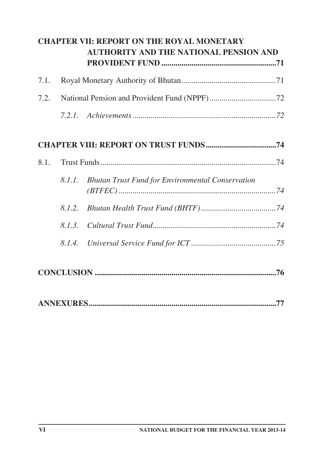|      |        | <b>CHAPTER VII: REPORT ON THE ROYAL MONETARY</b><br><b>AUTHORITY AND THE NATIONAL PENSION AND</b> |
|------|--------|---------------------------------------------------------------------------------------------------|
| 7.1. |        |                                                                                                   |
| 7.2. |        |                                                                                                   |
|      |        |                                                                                                   |
|      |        |                                                                                                   |
| 8.1. |        |                                                                                                   |
|      | 8.1.1. | <b>Bhutan Trust Fund for Environmental Conservation</b>                                           |
|      | 8.1.2. |                                                                                                   |
|      | 8.1.3. |                                                                                                   |
|      | 8.1.4. |                                                                                                   |
|      |        |                                                                                                   |
|      |        |                                                                                                   |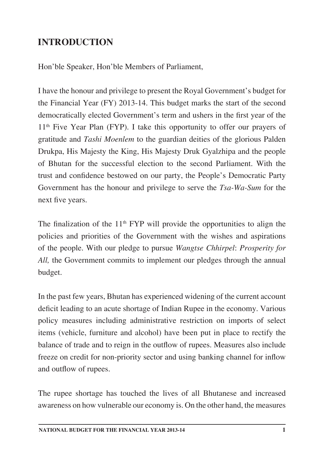# **INTRODUCTION**

Hon'ble Speaker, Hon'ble Members of Parliament,

I have the honour and privilege to present the Royal Government's budget for the Financial Year (FY) 2013-14. This budget marks the start of the second democratically elected Government's term and ushers in the first year of the 11<sup>th</sup> Five Year Plan (FYP). I take this opportunity to offer our prayers of gratitude and *Tashi Moenlem* to the guardian deities of the glorious Palden Drukpa, His Majesty the King, His Majesty Druk Gyalzhipa and the people of Bhutan for the successful election to the second Parliament. With the trust and confidence bestowed on our party, the People's Democratic Party Government has the honour and privilege to serve the *Tsa-Wa-Sum* for the next five years.

The finalization of the  $11<sup>th</sup> FYP$  will provide the opportunities to align the policies and priorities of the Government with the wishes and aspirations of the people. With our pledge to pursue *Wangtse Chhirpel*: *Prosperity for All,* the Government commits to implement our pledges through the annual budget.

In the past few years, Bhutan has experienced widening of the current account deficit leading to an acute shortage of Indian Rupee in the economy. Various policy measures including administrative restriction on imports of select items (vehicle, furniture and alcohol) have been put in place to rectify the balance of trade and to reign in the outflow of rupees. Measures also include freeze on credit for non-priority sector and using banking channel for inflow and outflow of rupees.

The rupee shortage has touched the lives of all Bhutanese and increased awareness on how vulnerable our economy is. On the other hand, the measures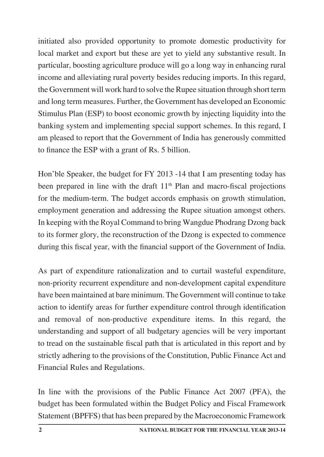initiated also provided opportunity to promote domestic productivity for local market and export but these are yet to yield any substantive result. In particular, boosting agriculture produce will go a long way in enhancing rural income and alleviating rural poverty besides reducing imports. In this regard, the Government will work hard to solve the Rupee situation through short term and long term measures. Further, the Government has developed an Economic Stimulus Plan (ESP) to boost economic growth by injecting liquidity into the banking system and implementing special support schemes. In this regard, I am pleased to report that the Government of India has generously committed to finance the ESP with a grant of Rs. 5 billion.

Hon'ble Speaker, the budget for FY 2013 -14 that I am presenting today has been prepared in line with the draft  $11<sup>th</sup>$  Plan and macro-fiscal projections for the medium-term. The budget accords emphasis on growth stimulation, employment generation and addressing the Rupee situation amongst others. In keeping with the Royal Command to bring Wangdue Phodrang Dzong back to its former glory, the reconstruction of the Dzong is expected to commence during this fiscal year, with the financial support of the Government of India.

As part of expenditure rationalization and to curtail wasteful expenditure, non-priority recurrent expenditure and non-development capital expenditure have been maintained at bare minimum. The Government will continue to take action to identify areas for further expenditure control through identification and removal of non-productive expenditure items. In this regard, the understanding and support of all budgetary agencies will be very important to tread on the sustainable fiscal path that is articulated in this report and by strictly adhering to the provisions of the Constitution, Public Finance Act and Financial Rules and Regulations.

In line with the provisions of the Public Finance Act 2007 (PFA), the budget has been formulated within the Budget Policy and Fiscal Framework Statement (BPFFS) that has been prepared by the Macroeconomic Framework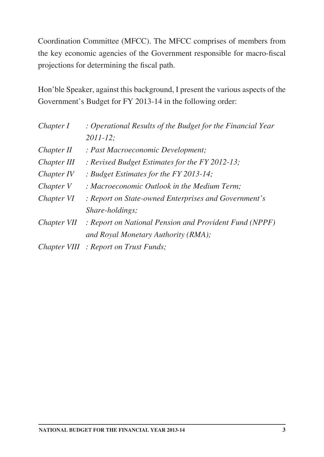Coordination Committee (MFCC). The MFCC comprises of members from the key economic agencies of the Government responsible for macro-fiscal projections for determining the fiscal path.

Hon'ble Speaker, against this background, I present the various aspects of the Government's Budget for FY 2013-14 in the following order:

| Chapter I   | : Operational Results of the Budget for the Financial Year |  |  |
|-------------|------------------------------------------------------------|--|--|
|             | $2011 - 12$ ;                                              |  |  |
| Chapter II  | : Past Macroeconomic Development;                          |  |  |
| Chapter III | : Revised Budget Estimates for the FY 2012-13;             |  |  |
| Chapter IV  | : Budget Estimates for the FY 2013-14;                     |  |  |
| Chapter V   | : Macroeconomic Outlook in the Medium Term;                |  |  |
| Chapter VI  | : Report on State-owned Enterprises and Government's       |  |  |
|             | <i>Share-holdings;</i>                                     |  |  |
| Chapter VII | : Report on National Pension and Provident Fund (NPPF)     |  |  |
|             | and Royal Monetary Authority (RMA);                        |  |  |
|             | Chapter VIII : Report on Trust Funds;                      |  |  |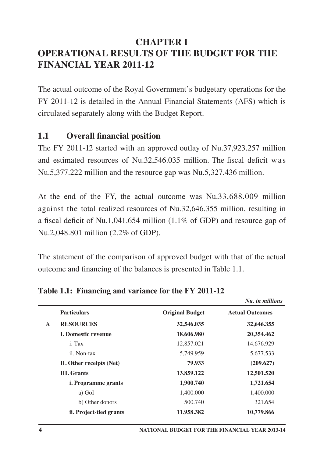# **CHAPTER I OPERATIONAL RESULTS OF THE BUDGET FOR THE FINANCIAL YEAR 2011-12**

The actual outcome of the Royal Government's budgetary operations for the FY 2011-12 is detailed in the Annual Financial Statements (AFS) which is circulated separately along with the Budget Report.

## **1.1 Overall financial position**

The FY 2011-12 started with an approved outlay of Nu.37,923.257 million and estimated resources of Nu.32,546.035 million. The fiscal deficit was Nu.5,377.222 million and the resource gap was Nu.5,327.436 million.

At the end of the FY, the actual outcome was Nu.33,688.009 million against the total realized resources of Nu.32,646.355 million, resulting in a fiscal deficit of Nu.1,041.654 million (1.1% of GDP) and resource gap of Nu.2,048.801 million (2.2% of GDP).

The statement of the comparison of approved budget with that of the actual outcome and financing of the balances is presented in Table 1.1.

|              |                            |                        | <i><b>TAR HE MERICING</b></i> |
|--------------|----------------------------|------------------------|-------------------------------|
|              | <b>Particulars</b>         | <b>Original Budget</b> | <b>Actual Outcomes</b>        |
| $\mathbf{A}$ | <b>RESOURCES</b>           | 32,546.035             | 32,646.355                    |
|              | <b>I. Domestic revenue</b> | 18,606.980             | 20,354.462                    |
|              | i. Tax                     | 12,857.021             | 14,676.929                    |
|              | ii. Non-tax                | 5,749.959              | 5,677.533                     |
|              | II. Other receipts (Net)   | 79.933                 | (209.627)                     |
|              | <b>III.</b> Grants         | 13,859.122             | 12,501.520                    |
|              | <i>i.</i> Programme grants | 1,900.740              | 1,721.654                     |
|              | a) GoI                     | 1,400.000              | 1,400.000                     |
|              | b) Other donors            | 500.740                | 321.654                       |
|              | ii. Project-tied grants    | 11.958.382             | 10,779.866                    |
|              |                            |                        |                               |

#### **Table 1.1: Financing and variance for the FY 2011-12**

*Nu. in millions*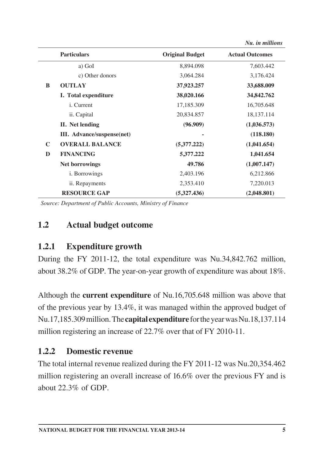|   |                            |                        | ти. не пинитк          |
|---|----------------------------|------------------------|------------------------|
|   | <b>Particulars</b>         | <b>Original Budget</b> | <b>Actual Outcomes</b> |
|   | a) GoI                     | 8,894.098              | 7,603.442              |
|   | c) Other donors            | 3,064.284              | 3,176.424              |
| B | <b>OUTLAY</b>              | 37,923.257             | 33,688.009             |
|   | I. Total expenditure       | 38,020.166             | 34,842.762             |
|   | <i>i</i> . Current         | 17,185.309             | 16,705.648             |
|   | ii. Capital                | 20,834.857             | 18,137.114             |
|   | II. Net lending            | (96.909)               | (1,036.573)            |
|   | III. Advance/suspense(net) |                        | (118.180)              |
| C | <b>OVERALL BALANCE</b>     | (5,377,222)            | (1,041.654)            |
| D | <b>FINANCING</b>           | 5,377.222              | 1,041.654              |
|   | <b>Net borrowings</b>      | 49.786                 | (1,007.147)            |
|   | <i>i</i> . Borrowings      | 2,403.196              | 6,212.866              |
|   | ii. Repayments             | 2,353.410              | 7,220.013              |
|   | <b>RESOURCE GAP</b>        | (5,327,436)            | (2,048.801)            |

*Source: Department of Public Accounts, Ministry of Finance*

#### **1.2 Actual budget outcome**

#### **1.2.1 Expenditure growth**

During the FY 2011-12, the total expenditure was Nu.34,842.762 million, about 38.2% of GDP. The year-on-year growth of expenditure was about 18%.

Although the **current expenditure** of Nu.16,705.648 million was above that of the previous year by 13.4%, it was managed within the approved budget of Nu.17,185.309 million. The **capitalexpenditure** for the year was Nu.18,137.114 million registering an increase of 22.7% over that of FY 2010-11.

#### **1.2.2 Domestic revenue**

The total internal revenue realized during the FY 2011-12 was Nu.20,354.462 million registering an overall increase of 16.6% over the previous FY and is about  $22.3\%$  of GDP.

*Nu. in millions*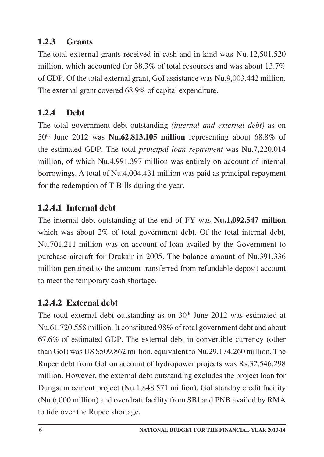## **1.2.3 Grants**

The total external grants received in-cash and in-kind was Nu.12,501.520 million, which accounted for 38.3% of total resources and was about 13.7% of GDP. Of the total external grant, GoI assistance was Nu.9,003.442 million. The external grant covered 68.9% of capital expenditure.

# **1.2.4 Debt**

The total government debt outstanding *(internal and external debt)* as on 30th June 2012 was **Nu.62,813.105 million** representing about 68.8% of the estimated GDP. The total *principal loan repayment* was Nu.7,220.014 million, of which Nu.4,991.397 million was entirely on account of internal borrowings. A total of Nu.4,004.431 million was paid as principal repayment for the redemption of T-Bills during the year.

# **1.2.4.1 Internal debt**

The internal debt outstanding at the end of FY was **Nu.1,092.547 million** which was about 2% of total government debt. Of the total internal debt, Nu.701.211 million was on account of loan availed by the Government to purchase aircraft for Drukair in 2005. The balance amount of Nu.391.336 million pertained to the amount transferred from refundable deposit account to meet the temporary cash shortage.

# **1.2.4.2 External debt**

The total external debt outstanding as on  $30<sup>th</sup>$  June 2012 was estimated at Nu.61,720.558 million. It constituted 98% of total government debt and about 67.6% of estimated GDP. The external debt in convertible currency (other than GoI) was US \$509.862 million, equivalent to Nu.29,174.260 million. The Rupee debt from GoI on account of hydropower projects was Rs.32,546.298 million. However, the external debt outstanding excludes the project loan for Dungsum cement project (Nu.1,848.571 million), GoI standby credit facility (Nu.6,000 million) and overdraft facility from SBI and PNB availed by RMA to tide over the Rupee shortage.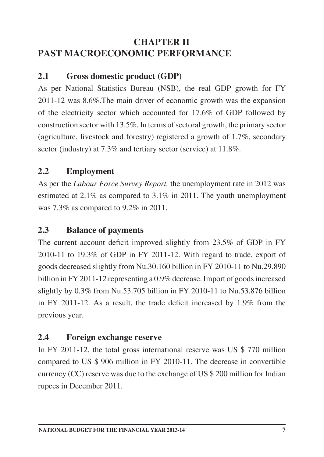## **CHAPTER II PAST MACROECONOMIC PERFORMANCE**

## **2.1 Gross domestic product (GDP)**

As per National Statistics Bureau (NSB), the real GDP growth for FY 2011-12 was 8.6%.The main driver of economic growth was the expansion of the electricity sector which accounted for 17.6% of GDP followed by construction sector with 13.5%. In terms of sectoral growth, the primary sector (agriculture, livestock and forestry) registered a growth of 1.7%, secondary sector (industry) at 7.3% and tertiary sector (service) at 11.8%.

## **2.2 Employment**

As per the *Labour Force Survey Report,* the unemployment rate in 2012 was estimated at 2.1% as compared to 3.1% in 2011. The youth unemployment was 7.3% as compared to 9.2% in 2011.

#### **2.3 Balance of payments**

The current account deficit improved slightly from 23.5% of GDP in FY 2010-11 to 19.3% of GDP in FY 2011-12. With regard to trade, export of goods decreased slightly from Nu.30.160 billion in FY 2010-11 to Nu.29.890 billion in FY 2011-12 representing a 0.9% decrease. Import of goods increased slightly by 0.3% from Nu.53.705 billion in FY 2010-11 to Nu.53.876 billion in FY 2011-12. As a result, the trade deficit increased by 1.9% from the previous year.

#### **2.4 Foreign exchange reserve**

In FY 2011-12, the total gross international reserve was US \$ 770 million compared to US \$ 906 million in FY 2010-11. The decrease in convertible currency (CC) reserve was due to the exchange of US \$ 200 million for Indian rupees in December 2011.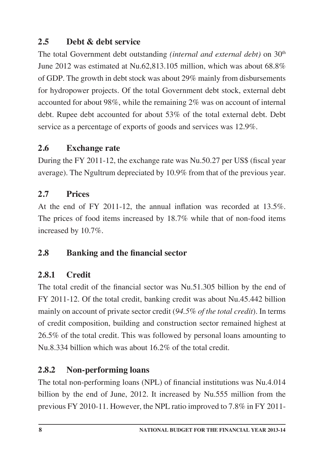## **2.5 Debt & debt service**

The total Government debt outstanding *(internal and external debt)* on 30<sup>th</sup> June 2012 was estimated at Nu.62,813.105 million, which was about 68.8% of GDP. The growth in debt stock was about 29% mainly from disbursements for hydropower projects. Of the total Government debt stock, external debt accounted for about 98%, while the remaining 2% was on account of internal debt. Rupee debt accounted for about 53% of the total external debt. Debt service as a percentage of exports of goods and services was 12.9%.

#### **2.6 Exchange rate**

During the FY 2011-12, the exchange rate was Nu.50.27 per US\$ (fiscal year average). The Ngultrum depreciated by 10.9% from that of the previous year.

#### **2.7 Prices**

At the end of FY 2011-12, the annual inflation was recorded at 13.5%. The prices of food items increased by 18.7% while that of non-food items increased by 10.7%.

#### **2.8 Banking and the financial sector**

#### **2.8.1 Credit**

The total credit of the financial sector was Nu.51.305 billion by the end of FY 2011-12. Of the total credit, banking credit was about Nu.45.442 billion mainly on account of private sector credit (*94.5% of the total credit*). In terms of credit composition, building and construction sector remained highest at 26.5% of the total credit. This was followed by personal loans amounting to Nu.8.334 billion which was about 16.2% of the total credit.

#### **2.8.2 Non-performing loans**

The total non-performing loans (NPL) of financial institutions was Nu.4.014 billion by the end of June, 2012. It increased by Nu.555 million from the previous FY 2010-11. However, the NPL ratio improved to 7.8% in FY 2011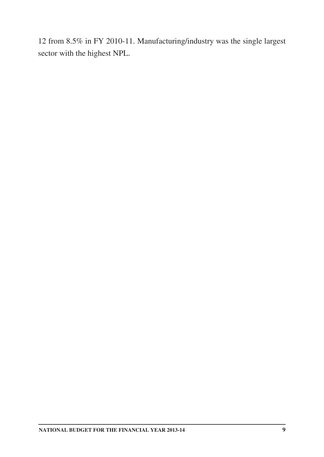12 from 8.5% in FY 2010-11. Manufacturing/industry was the single largest sector with the highest NPL.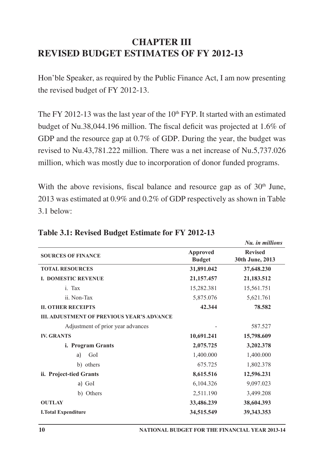## **CHAPTER III REVISED BUDGET ESTIMATES OF FY 2012-13**

Hon'ble Speaker, as required by the Public Finance Act, I am now presenting the revised budget of FY 2012-13.

The FY 2012-13 was the last year of the  $10<sup>th</sup> FYP$ . It started with an estimated budget of Nu.38,044.196 million. The fiscal deficit was projected at 1.6% of GDP and the resource gap at 0.7% of GDP. During the year, the budget was revised to Nu.43,781.222 million. There was a net increase of Nu.5,737.026 million, which was mostly due to incorporation of donor funded programs.

With the above revisions, fiscal balance and resource gap as of  $30<sup>th</sup>$  June, 2013 was estimated at 0.9% and 0.2% of GDP respectively as shown in Table 3.1 below:

|                                                   |                           | Nu. in millions                   |
|---------------------------------------------------|---------------------------|-----------------------------------|
| <b>SOURCES OF FINANCE</b>                         | Approved<br><b>Budget</b> | <b>Revised</b><br>30th June, 2013 |
| <b>TOTAL RESOURCES</b>                            | 31,891.042                | 37,648.230                        |
| <b>I. DOMESTIC REVENUE</b>                        | 21, 157. 457              | 21,183.512                        |
| i. Tax                                            | 15,282.381                | 15,561.751                        |
| ii Non-Tax                                        | 5,875.076                 | 5,621.761                         |
| <b>II. OTHER RECEIPTS</b>                         | 42.344                    | 78.582                            |
| <b>III. ADJUSTMENT OF PREVIOUS YEAR'S ADVANCE</b> |                           |                                   |
| Adjustment of prior year advances                 |                           | 587.527                           |
| <b>IV. GRANTS</b>                                 | 10,691.241                | 15,798.609                        |
| i. Program Grants                                 | 2,075.725                 | 3,202.378                         |
| GoI<br>a)                                         | 1,400.000                 | 1,400.000                         |
| b) others                                         | 675.725                   | 1,802.378                         |
| ii. Project-tied Grants                           | 8,615.516                 | 12,596.231                        |
| a) GoI                                            | 6,104.326                 | 9,097.023                         |
| b) Others                                         | 2,511.190                 | 3,499.208                         |
| <b>OUTLAY</b>                                     | 33,486.239                | 38,604.393                        |
| <b>I.Total Expenditure</b>                        | 34,515.549                | 39, 343. 353                      |

**Table 3.1: Revised Budget Estimate for FY 2012-13**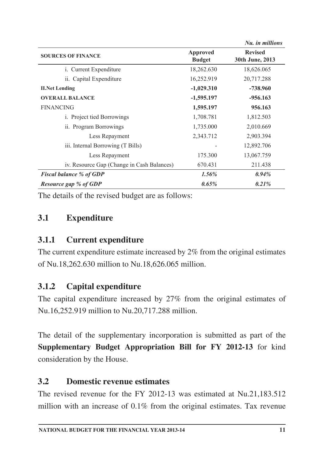|                                            |                           | Nu. in millions                   |
|--------------------------------------------|---------------------------|-----------------------------------|
| <b>SOURCES OF FINANCE</b>                  | Approved<br><b>Budget</b> | <b>Revised</b><br>30th June, 2013 |
| i. Current Expenditure                     | 18,262.630                | 18,626.065                        |
| ii. Capital Expenditure                    | 16,252.919                | 20,717.288                        |
| <b>II.Net Lending</b>                      | $-1,029.310$              | $-738.960$                        |
| <b>OVERALL BALANCE</b>                     | $-1,595.197$              | $-956.163$                        |
| <b>FINANCING</b>                           | 1,595.197                 | 956.163                           |
| <i>i.</i> Project tied Borrowings          | 1,708.781                 | 1,812.503                         |
| ii. Program Borrowings                     | 1,735.000                 | 2,010.669                         |
| Less Repayment                             | 2,343.712                 | 2,903.394                         |
| iii. Internal Borrowing (T Bills)          |                           | 12,892.706                        |
| Less Repayment                             | 175.300                   | 13,067.759                        |
| iv. Resource Gap (Change in Cash Balances) | 670.431                   | 211.438                           |
| <b>Fiscal balance % of GDP</b>             | $1.56\%$                  | $0.94\%$                          |
| Resource gap % of GDP                      | 0.65%                     | 0.21%                             |

The details of the revised budget are as follows:

## **3.1 Expenditure**

#### **3.1.1 Current expenditure**

The current expenditure estimate increased by 2% from the original estimates of Nu.18,262.630 million to Nu.18,626.065 million.

#### **3.1.2 Capital expenditure**

The capital expenditure increased by 27% from the original estimates of Nu.16,252.919 million to Nu.20,717.288 million.

The detail of the supplementary incorporation is submitted as part of the **Supplementary Budget Appropriation Bill for FY 2012-13** for kind consideration by the House.

#### **3.2 Domestic revenue estimates**

The revised revenue for the FY 2012-13 was estimated at Nu.21,183.512 million with an increase of 0.1% from the original estimates. Tax revenue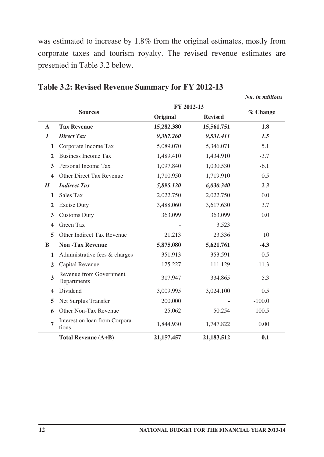was estimated to increase by 1.8% from the original estimates, mostly from corporate taxes and tourism royalty. The revised revenue estimates are presented in Table 3.2 below.

|                            | FY 2012-13<br><b>Sources</b>            |            |                |          |
|----------------------------|-----------------------------------------|------------|----------------|----------|
|                            |                                         | Original   | <b>Revised</b> | % Change |
| A                          | <b>Tax Revenue</b>                      | 15,282.380 | 15,561.751     | 1.8      |
| $\boldsymbol{I}$           | <b>Direct Tax</b>                       | 9,387.260  | 9,531.411      | 1.5      |
| 1                          | Corporate Income Tax                    | 5,089.070  | 5,346.071      | 5.1      |
| $\overline{2}$             | <b>Business Income Tax</b>              | 1,489.410  | 1,434.910      | $-3.7$   |
| 3                          | Personal Income Tax                     | 1,097.840  | 1,030.530      | $-6.1$   |
| $\overline{\mathbf{4}}$    | Other Direct Tax Revenue                | 1,710.950  | 1,719.910      | 0.5      |
| $\boldsymbol{\mathit{II}}$ | <b>Indirect Tax</b>                     | 5,895.120  | 6,030.340      | 2.3      |
| 1                          | Sales Tax                               | 2,022.750  | 2,022.750      | 0.0      |
| $\overline{2}$             | <b>Excise Duty</b>                      | 3,488.060  | 3,617.630      | 3.7      |
| 3                          | <b>Customs Duty</b>                     | 363.099    | 363.099        | 0.0      |
| 4                          | Green Tax                               |            | 3.523          |          |
| 5                          | Other Indirect Tax Revenue              | 21.213     | 23.336         | 10       |
| B                          | <b>Non-Tax Revenue</b>                  | 5,875.080  | 5,621.761      | $-4.3$   |
| 1                          | Administrative fees & charges           | 351.913    | 353.591        | 0.5      |
| $\mathbf{2}$               | Capital Revenue                         | 125.227    | 111.129        | $-11.3$  |
| 3                          | Revenue from Government<br>Departments  | 317.947    | 334.865        | 5.3      |
| 4                          | Dividend                                | 3,009.995  | 3,024.100      | 0.5      |
| 5                          | Net Surplus Transfer                    | 200.000    |                | $-100.0$ |
| 6                          | Other Non-Tax Revenue                   | 25.062     | 50.254         | 100.5    |
| $\overline{7}$             | Interest on loan from Corpora-<br>tions | 1,844.930  | 1,747.822      | 0.00     |
|                            | Total Revenue (A+B)                     | 21,157.457 | 21,183.512     | 0.1      |

**Table 3.2: Revised Revenue Summary for FY 2012-13**

*Nu. in millions*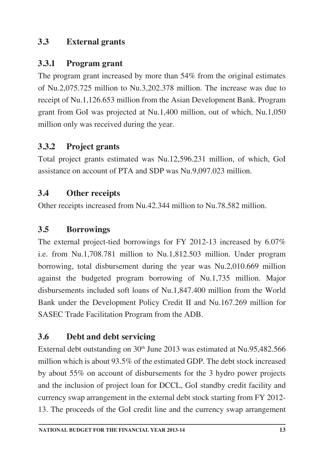## **3.3 External grants**

#### **3.3.1 Program grant**

The program grant increased by more than 54% from the original estimates of Nu.2,075.725 million to Nu.3,202.378 million. The increase was due to receipt of Nu.1,126.653 million from the Asian Development Bank. Program grant from GoI was projected at Nu.1,400 million, out of which, Nu.1,050 million only was received during the year.

## **3.3.2 Project grants**

Total project grants estimated was Nu.12,596.231 million, of which, GoI assistance on account of PTA and SDP was Nu.9,097.023 million.

## **3.4 Other receipts**

Other receipts increased from Nu.42.344 million to Nu.78.582 million.

## **3.5 Borrowings**

The external project-tied borrowings for FY 2012-13 increased by 6.07% i.e. from Nu.1,708.781 million to Nu.1,812.503 million. Under program borrowing, total disbursement during the year was Nu.2,010.669 million against the budgeted program borrowing of Nu.1,735 million. Major disbursements included soft loans of Nu.1,847.400 million from the World Bank under the Development Policy Credit II and Nu.167.269 million for SASEC Trade Facilitation Program from the ADB.

## **3.6 Debt and debt servicing**

External debt outstanding on 30<sup>th</sup> June 2013 was estimated at Nu.95,482.566 million which is about 93.5% of the estimated GDP. The debt stock increased by about 55% on account of disbursements for the 3 hydro power projects and the inclusion of project loan for DCCL, GoI standby credit facility and currency swap arrangement in the external debt stock starting from FY 2012- 13. The proceeds of the GoI credit line and the currency swap arrangement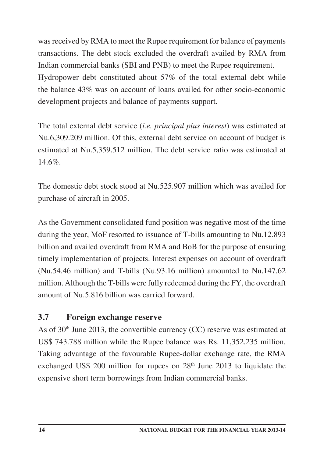was received by RMA to meet the Rupee requirement for balance of payments transactions. The debt stock excluded the overdraft availed by RMA from Indian commercial banks (SBI and PNB) to meet the Rupee requirement. Hydropower debt constituted about 57% of the total external debt while the balance 43% was on account of loans availed for other socio-economic development projects and balance of payments support.

The total external debt service (*i.e. principal plus interest*) was estimated at Nu.6,309.209 million. Of this, external debt service on account of budget is estimated at Nu.5,359.512 million. The debt service ratio was estimated at 14.6%.

The domestic debt stock stood at Nu.525.907 million which was availed for purchase of aircraft in 2005.

As the Government consolidated fund position was negative most of the time during the year, MoF resorted to issuance of T-bills amounting to Nu.12.893 billion and availed overdraft from RMA and BoB for the purpose of ensuring timely implementation of projects. Interest expenses on account of overdraft (Nu.54.46 million) and T-bills (Nu.93.16 million) amounted to Nu.147.62 million. Although the T-bills were fully redeemed during the FY, the overdraft amount of Nu.5.816 billion was carried forward.

## **3.7 Foreign exchange reserve**

As of  $30<sup>th</sup>$  June 2013, the convertible currency (CC) reserve was estimated at US\$ 743.788 million while the Rupee balance was Rs. 11,352.235 million. Taking advantage of the favourable Rupee-dollar exchange rate, the RMA exchanged US\$ 200 million for rupees on  $28<sup>th</sup>$  June 2013 to liquidate the expensive short term borrowings from Indian commercial banks.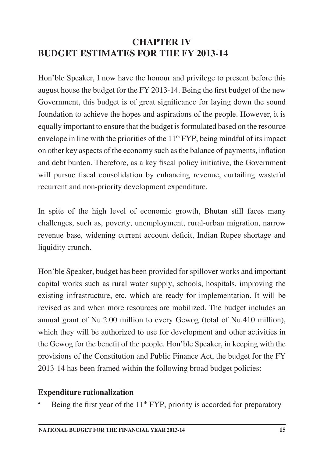## **CHAPTER IV BUDGET ESTIMATES FOR THE FY 2013-14**

Hon'ble Speaker, I now have the honour and privilege to present before this august house the budget for the FY 2013-14. Being the first budget of the new Government, this budget is of great significance for laying down the sound foundation to achieve the hopes and aspirations of the people. However, it is equally important to ensure that the budget is formulated based on the resource envelope in line with the priorities of the  $11<sup>th</sup> FYP$ , being mindful of its impact on other key aspects of the economy such as the balance of payments, inflation and debt burden. Therefore, as a key fiscal policy initiative, the Government will pursue fiscal consolidation by enhancing revenue, curtailing wasteful recurrent and non-priority development expenditure.

In spite of the high level of economic growth, Bhutan still faces many challenges, such as, poverty, unemployment, rural-urban migration, narrow revenue base, widening current account deficit, Indian Rupee shortage and liquidity crunch.

Hon'ble Speaker, budget has been provided for spillover works and important capital works such as rural water supply, schools, hospitals, improving the existing infrastructure, etc. which are ready for implementation. It will be revised as and when more resources are mobilized. The budget includes an annual grant of Nu.2.00 million to every Gewog (total of Nu.410 million), which they will be authorized to use for development and other activities in the Gewog for the benefit of the people. Hon'ble Speaker, in keeping with the provisions of the Constitution and Public Finance Act, the budget for the FY 2013-14 has been framed within the following broad budget policies:

#### **Expenditure rationalization**

Being the first year of the 11<sup>th</sup> FYP, priority is accorded for preparatory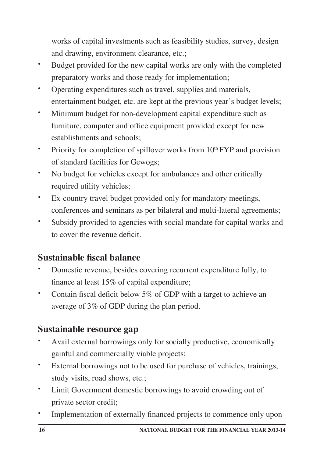works of capital investments such as feasibility studies, survey, design and drawing, environment clearance, etc.;

- **·** Budget provided for the new capital works are only with the completed preparatory works and those ready for implementation;
- **·** Operating expenditures such as travel, supplies and materials, entertainment budget, etc. are kept at the previous year's budget levels;
- **·** Minimum budget for non-development capital expenditure such as furniture, computer and office equipment provided except for new establishments and schools;
- Priority for completion of spillover works from 10<sup>th</sup> FYP and provision of standard facilities for Gewogs;
- **·** No budget for vehicles except for ambulances and other critically required utility vehicles;
- **·** Ex-country travel budget provided only for mandatory meetings, conferences and seminars as per bilateral and multi-lateral agreements;
- **·** Subsidy provided to agencies with social mandate for capital works and to cover the revenue deficit.

# **Sustainable fiscal balance**

- **·** Domestic revenue, besides covering recurrent expenditure fully, to finance at least 15% of capital expenditure;
- **·** Contain fiscal deficit below 5% of GDP with a target to achieve an average of 3% of GDP during the plan period.

# **Sustainable resource gap**

- **·** Avail external borrowings only for socially productive, economically gainful and commercially viable projects;
- **·** External borrowings not to be used for purchase of vehicles, trainings, study visits, road shows, etc.;
- **·** Limit Government domestic borrowings to avoid crowding out of private sector credit;
- **·** Implementation of externally financed projects to commence only upon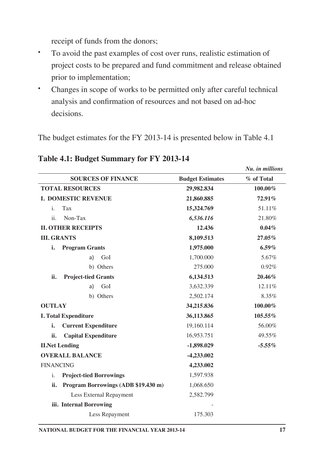receipt of funds from the donors;

- **·** To avoid the past examples of cost over runs, realistic estimation of project costs to be prepared and fund commitment and release obtained prior to implementation;
- **·** Changes in scope of works to be permitted only after careful technical analysis and confirmation of resources and not based on ad-hoc decisions.

The budget estimates for the FY 2013-14 is presented below in Table 4.1

| <b>SOURCES OF FINANCE</b>                        | <b>Budget Estimates</b> | % of Total |
|--------------------------------------------------|-------------------------|------------|
| <b>TOTAL RESOURCES</b>                           | 29,982.834              | 100.00%    |
| <b>I. DOMESTIC REVENUE</b>                       | 21,860.885              | 72.91%     |
| i.<br>Tax                                        | 15,324.769              | 51.11%     |
| ii.<br>Non-Tax                                   | 6,536.116               | 21.80%     |
| <b>II. OTHER RECEIPTS</b>                        | 12.436                  | $0.04\%$   |
| <b>III. GRANTS</b>                               | 8,109.513               | 27.05%     |
| i.<br><b>Program Grants</b>                      | 1,975.000               | $6.59\%$   |
| a)<br>GoI                                        | 1,700.000               | 5.67%      |
| b) Others                                        | 275.000                 | 0.92%      |
| <b>Project-tied Grants</b><br>ii.                | 6,134.513               | 20.46%     |
| GoI<br>a)                                        | 3,632.339               | 12.11%     |
| b) Others                                        | 2,502.174               | 8.35%      |
| <b>OUTLAY</b>                                    | 34,215.836              | 100.00%    |
| <b>I. Total Expenditure</b>                      | 36,113.865              | 105.55%    |
| i.<br><b>Current Expenditure</b>                 | 19,160.114              | 56.00%     |
| ii.<br><b>Capital Expenditure</b>                | 16,953.751              | 49.55%     |
| <b>II.Net Lending</b>                            | $-1,898.029$            | $-5.55\%$  |
| <b>OVERALL BALANCE</b>                           | -4,233.002              |            |
| <b>FINANCING</b>                                 | 4,233.002               |            |
| $\mathbf{i}$ .<br><b>Project-tied Borrowings</b> | 1,597.938               |            |
| Program Borrowings (ADB \$19.430 m)<br>ii.       | 1,068.650               |            |
| Less External Repayment                          | 2,582.799               |            |
| iii. Internal Borrowing                          |                         |            |
| Less Repayment                                   | 175.303                 |            |

#### **Table 4.1: Budget Summary for FY 2013-14**

*Nu. in millions*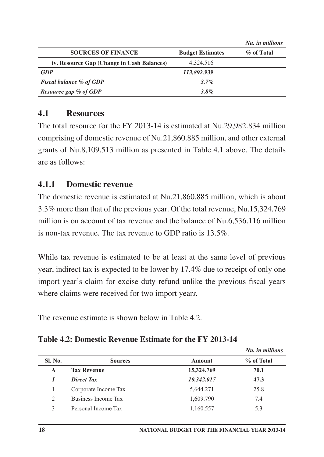|                                            |                         | Nu. in millions |
|--------------------------------------------|-------------------------|-----------------|
| <b>SOURCES OF FINANCE</b>                  | <b>Budget Estimates</b> | % of Total      |
| iv. Resource Gap (Change in Cash Balances) | 4.324.516               |                 |
| <b>GDP</b>                                 | 113,892.939             |                 |
| <b>Fiscal balance % of GDP</b>             | 3.7%                    |                 |
| Resource gap % of GDP                      | 3.8%                    |                 |

#### **4.1 Resources**

The total resource for the FY 2013-14 is estimated at Nu.29,982.834 million comprising of domestic revenue of Nu.21,860.885 million, and other external grants of Nu.8,109.513 million as presented in Table 4.1 above. The details are as follows:

#### **4.1.1 Domestic revenue**

The domestic revenue is estimated at Nu.21,860.885 million, which is about 3.3% more than that of the previous year. Of the total revenue, Nu.15,324.769 million is on account of tax revenue and the balance of Nu.6,536.116 million is non-tax revenue. The tax revenue to GDP ratio is 13.5%.

While tax revenue is estimated to be at least at the same level of previous year, indirect tax is expected to be lower by 17.4% due to receipt of only one import year's claim for excise duty refund unlike the previous fiscal years where claims were received for two import year*s.* 

The revenue estimate is shown below in Table 4.2.

|                |                      |            | Nu. in millions |
|----------------|----------------------|------------|-----------------|
| Sl. No.        | <b>Sources</b>       | Amount     | % of Total      |
| A              | <b>Tax Revenue</b>   | 15,324.769 | 70.1            |
|                | <b>Direct Tax</b>    | 10,342.017 | 47.3            |
|                | Corporate Income Tax | 5,644.271  | 25.8            |
| $\overline{c}$ | Business Income Tax  | 1,609.790  | 7.4             |
| 3              | Personal Income Tax  | 1,160.557  | 5.3             |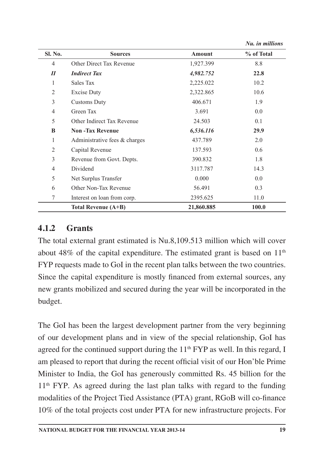|                |                                  |            | Nu. in millions |
|----------------|----------------------------------|------------|-----------------|
| Sl. No.        | <b>Sources</b>                   | Amount     | % of Total      |
| $\overline{4}$ | Other Direct Tax Revenue         | 1,927.399  | 8.8             |
| $I\!I$         | <b>Indirect Tax</b>              | 4,982.752  | 22.8            |
| 1              | Sales Tax                        | 2,225.022  | 10.2            |
| $\overline{2}$ | <b>Excise Duty</b>               | 2,322.865  | 10.6            |
| 3              | <b>Customs Duty</b>              | 406.671    | 1.9             |
| $\overline{4}$ | Green Tax                        | 3.691      | 0.0             |
| 5              | Other Indirect Tax Revenue       | 24.503     | 0.1             |
| B              | <b>Non-Tax Revenue</b>           | 6,536.116  | 29.9            |
| 1              | Administrative fees $\&$ charges | 437.789    | 2.0             |
| $\overline{2}$ | Capital Revenue                  | 137.593    | 0.6             |
| 3              | Revenue from Govt. Depts.        | 390.832    | 1.8             |
| 4              | Dividend                         | 3117.787   | 14.3            |
| 5              | Net Surplus Transfer             | 0.000      | 0.0             |
| 6              | Other Non-Tax Revenue            | 56.491     | 0.3             |
| 7              | Interest on loan from corp.      | 2395.625   | 11.0            |
|                | Total Revenue (A+B)              | 21,860.885 | 100.0           |

#### **4.1.2 Grants**

The total external grant estimated is Nu.8,109.513 million which will cover about 48% of the capital expenditure. The estimated grant is based on  $11<sup>th</sup>$ FYP requests made to GoI in the recent plan talks between the two countries. Since the capital expenditure is mostly financed from external sources, any new grants mobilized and secured during the year will be incorporated in the budget.

The GoI has been the largest development partner from the very beginning of our development plans and in view of the special relationship, GoI has agreed for the continued support during the  $11<sup>th</sup> FYP$  as well. In this regard, I am pleased to report that during the recent official visit of our Hon'ble Prime Minister to India, the GoI has generously committed Rs. 45 billion for the  $11<sup>th</sup>$  FYP. As agreed during the last plan talks with regard to the funding modalities of the Project Tied Assistance (PTA) grant, RGoB will co-finance 10% of the total projects cost under PTA for new infrastructure projects. For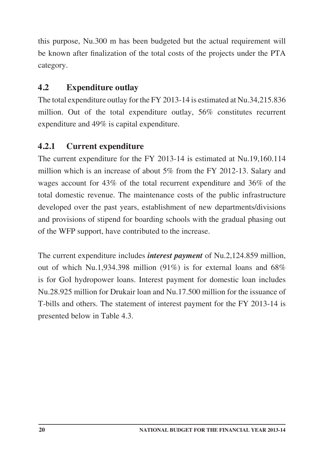this purpose, Nu.300 m has been budgeted but the actual requirement will be known after finalization of the total costs of the projects under the PTA category.

## **4.2 Expenditure outlay**

The total expenditure outlay for the FY 2013-14 is estimated at Nu.34,215.836 million. Out of the total expenditure outlay, 56% constitutes recurrent expenditure and 49% is capital expenditure.

## **4.2.1 Current expenditure**

The current expenditure for the FY 2013-14 is estimated at Nu.19,160.114 million which is an increase of about 5% from the FY 2012-13. Salary and wages account for 43% of the total recurrent expenditure and 36% of the total domestic revenue. The maintenance costs of the public infrastructure developed over the past years, establishment of new departments/divisions and provisions of stipend for boarding schools with the gradual phasing out of the WFP support, have contributed to the increase.

The current expenditure includes *interest payment* of Nu.2,124.859 million, out of which Nu.1,934.398 million (91%) is for external loans and 68% is for GoI hydropower loans. Interest payment for domestic loan includes Nu.28.925 million for Drukair loan and Nu.17.500 million for the issuance of T-bills and others. The statement of interest payment for the FY 2013-14 is presented below in Table 4.3.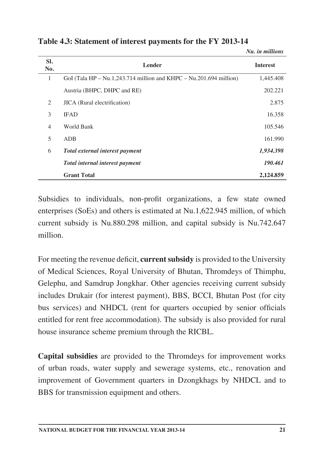| SI.<br>No.     | <b>Lender</b>                                                      | <b>Interest</b> |
|----------------|--------------------------------------------------------------------|-----------------|
| 1              | GoI (Tala HP – Nu.1,243.714 million and KHPC – Nu.201.694 million) | 1,445.408       |
|                | Austria (BHPC, DHPC and RE)                                        | 202.221         |
| 2              | JICA (Rural electrification)                                       | 2.875           |
| 3              | <b>IFAD</b>                                                        | 16.358          |
| $\overline{4}$ | World Bank                                                         | 105.546         |
| 5              | ADB                                                                | 161.990         |
| 6              | Total external interest payment                                    | 1,934.398       |
|                | Total internal interest payment                                    | 190.461         |
|                | <b>Grant Total</b>                                                 | 2,124.859       |

**Table 4.3: Statement of interest payments for the FY 2013-14**

Subsidies to individuals, non-profit organizations, a few state owned enterprises (SoEs) and others is estimated at Nu.1,622.945 million, of which current subsidy is Nu.880.298 million, and capital subsidy is Nu.742.647 million.

For meeting the revenue deficit, **current subsidy** is provided to the University of Medical Sciences, Royal University of Bhutan, Thromdeys of Thimphu, Gelephu, and Samdrup Jongkhar. Other agencies receiving current subsidy includes Drukair (for interest payment), BBS, BCCI, Bhutan Post (for city bus services) and NHDCL (rent for quarters occupied by senior officials entitled for rent free accommodation). The subsidy is also provided for rural house insurance scheme premium through the RICBL.

**Capital subsidies** are provided to the Thromdeys for improvement works of urban roads, water supply and sewerage systems, etc., renovation and improvement of Government quarters in Dzongkhags by NHDCL and to BBS for transmission equipment and others.

*Nu. in millions*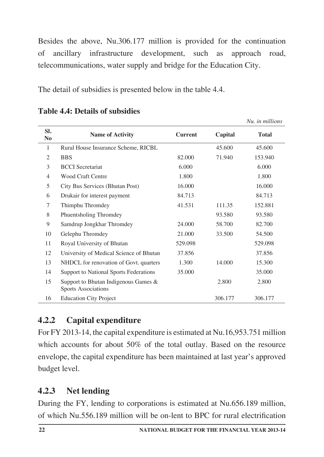Besides the above, Nu.306.177 million is provided for the continuation of ancillary infrastructure development, such as approach road, telecommunications, water supply and bridge for the Education City.

The detail of subsidies is presented below in the table 4.4.

|                       |                                                                    |                |         | Nu. in millions |
|-----------------------|--------------------------------------------------------------------|----------------|---------|-----------------|
| SI.<br>N <sub>0</sub> | <b>Name of Activity</b>                                            | <b>Current</b> | Capital | <b>Total</b>    |
| 1                     | Rural House Insurance Scheme, RICBL                                |                | 45.600  | 45.600          |
| $\overline{2}$        | <b>BBS</b>                                                         | 82.000         | 71.940  | 153.940         |
| 3                     | <b>BCCI</b> Secretariat                                            | 6.000          |         | 6.000           |
| 4                     | Wood Craft Centre                                                  | 1.800          |         | 1.800           |
| 5                     | City Bus Services (Bhutan Post)                                    | 16.000         |         | 16.000          |
| 6                     | Drukair for interest payment                                       | 84.713         |         | 84.713          |
| 7                     | Thimphu Thromdey                                                   | 41.531         | 111.35  | 152.881         |
| 8                     | <b>Phuentsholing Thromdey</b>                                      |                | 93.580  | 93.580          |
| 9                     | Samdrup Jongkhar Thromdey                                          | 24,000         | 58.700  | 82.700          |
| 10                    | Gelephu Thromdey                                                   | 21.000         | 33.500  | 54.500          |
| 11                    | Royal University of Bhutan                                         | 529.098        |         | 529.098         |
| 12                    | University of Medical Science of Bhutan                            | 37.856         |         | 37.856          |
| 13                    | NHDCL for renovation of Govt. quarters                             | 1.300          | 14.000  | 15.300          |
| 14                    | <b>Support to National Sports Federations</b>                      | 35,000         |         | 35,000          |
| 15                    | Support to Bhutan Indigenous Games &<br><b>Sports Associations</b> |                | 2.800   | 2.800           |
| 16                    | <b>Education City Project</b>                                      |                | 306.177 | 306.177         |

**Table 4.4: Details of subsidies**

# **4.2.2 Capital expenditure**

For FY 2013-14, the capital expenditure is estimated at Nu.16,953.751 million which accounts for about 50% of the total outlay. Based on the resource envelope, the capital expenditure has been maintained at last year's approved budget level.

# **4.2.3 Net lending**

During the FY, lending to corporations is estimated at Nu.656.189 million, of which Nu.556.189 million will be on-lent to BPC for rural electrification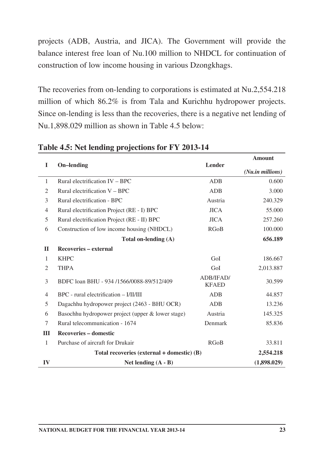projects (ADB, Austria, and JICA). The Government will provide the balance interest free loan of Nu.100 million to NHDCL for continuation of construction of low income housing in various Dzongkhags.

The recoveries from on-lending to corporations is estimated at Nu.2,554.218 million of which 86.2% is from Tala and Kurichhu hydropower projects. Since on-lending is less than the recoveries, there is a negative net lending of Nu.1,898.029 million as shown in Table 4.5 below:

|                |                                                   |                           | <b>Amount</b>    |
|----------------|---------------------------------------------------|---------------------------|------------------|
| I              | <b>On-lending</b>                                 | Lender                    | (Nu.in millions) |
| $\mathbf{1}$   | Rural electrification IV - BPC                    | ADB                       | 0.600            |
| $\overline{c}$ | Rural electrification $V - BPC$                   | <b>ADB</b>                | 3.000            |
| 3              | Rural electrification - BPC                       | Austria                   | 240.329          |
| $\overline{4}$ | Rural electrification Project (RE - I) BPC        | <b>JICA</b>               | 55.000           |
| 5              | Rural electrification Project (RE - II) BPC       | <b>JICA</b>               | 257.260          |
| 6              | Construction of low income housing (NHDCL)        | <b>RGoB</b>               | 100.000          |
|                | Total on-lending $(A)$                            |                           | 656.189          |
| $\mathbf{I}$   | Recoveries – external                             |                           |                  |
| $\mathbf{1}$   | <b>KHPC</b>                                       | GoI                       | 186.667          |
| 2              | <b>THPA</b>                                       | GoI                       | 2,013.887        |
| 3              | BDFC loan BHU - 934 /1566/0088-89/512/409         | ADB/IFAD/<br><b>KFAED</b> | 30.599           |
| 4              | BPC - rural electrification - I/II/III            | ADB                       | 44.857           |
| 5              | Dagachhu hydropower project (2463 - BHU OCR)      | <b>ADB</b>                | 13.236           |
| 6              | Basochhu hydropower project (upper & lower stage) | Austria                   | 145.325          |
| 7              | Rural telecommunication - 1674                    | Denmark                   | 85.836           |
| III            | <b>Recoveries - domestic</b>                      |                           |                  |
| $\mathbf{1}$   | Purchase of aircraft for Drukair                  | <b>RGoB</b>               | 33.811           |
|                | Total recoveries (external $+$ domestic) (B)      |                           |                  |
| IV             | Net lending $(A - B)$                             |                           | (1,898.029)      |

#### **Table 4.5: Net lending projections for FY 2013-14**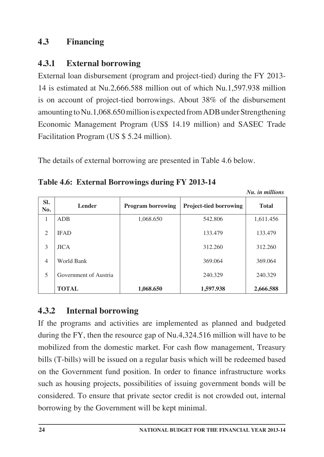## **4.3 Financing**

## **4.3.1 External borrowing**

External loan disbursement (program and project-tied) during the FY 2013- 14 is estimated at Nu.2,666.588 million out of which Nu.1,597.938 million is on account of project-tied borrowings. About 38% of the disbursement amounting to Nu.1,068.650 million is expected from ADB under Strengthening Economic Management Program (US\$ 14.19 million) and SASEC Trade Facilitation Program (US \$ 5.24 million).

The details of external borrowing are presented in Table 4.6 below.

|            |                       |                          |                               | <i><b>NU. IN MULLIONS</b></i> |
|------------|-----------------------|--------------------------|-------------------------------|-------------------------------|
| SI.<br>No. | <b>Lender</b>         | <b>Program borrowing</b> | <b>Project-tied borrowing</b> | <b>Total</b>                  |
| 1          | <b>ADB</b>            | 1,068.650                | 542.806                       | 1,611.456                     |
| 2          | <b>IFAD</b>           |                          | 133.479                       | 133.479                       |
| 3          | <b>JICA</b>           |                          | 312.260                       | 312.260                       |
| 4          | World Bank            |                          | 369.064                       | 369.064                       |
| 5          | Government of Austria |                          | 240.329                       | 240.329                       |
|            | <b>TOTAL</b>          | 1,068,650                | 1.597.938                     | 2,666.588                     |

## **4.3.2 Internal borrowing**

If the programs and activities are implemented as planned and budgeted during the FY, then the resource gap of Nu.4,324.516 million will have to be mobilized from the domestic market. For cash flow management, Treasury bills (T-bills) will be issued on a regular basis which will be redeemed based on the Government fund position. In order to finance infrastructure works such as housing projects, possibilities of issuing government bonds will be considered. To ensure that private sector credit is not crowded out, internal borrowing by the Government will be kept minimal.

*Nu. in millions*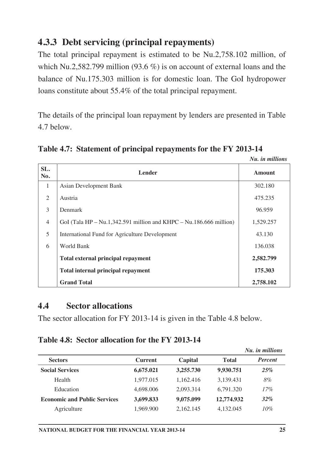# **4.3.3 Debt servicing (principal repayments)**

The total principal repayment is estimated to be Nu.2,758.102 million, of which Nu.2,582.799 million (93.6 %) is on account of external loans and the balance of Nu.175.303 million is for domestic loan. The GoI hydropower loans constitute about 55.4% of the total principal repayment.

The details of the principal loan repayment by lenders are presented in Table 4.7 below.

|                               |                                                                    | Nu. in millions |
|-------------------------------|--------------------------------------------------------------------|-----------------|
| SL.<br>No.                    | <b>Lender</b>                                                      | Amount          |
| $\mathbf{1}$                  | Asian Development Bank                                             | 302.180         |
| $\mathfrak{D}_{\mathfrak{p}}$ | Austria                                                            | 475.235         |
| 3                             | Denmark                                                            | 96.959          |
| $\overline{4}$                | GoI (Tala HP – Nu.1,342.591 million and KHPC – Nu.186.666 million) | 1,529.257       |
| 5                             | International Fund for Agriculture Development                     | 43.130          |
| 6                             | World Bank                                                         | 136.038         |
|                               | <b>Total external principal repayment</b>                          | 2,582.799       |
|                               | <b>Total internal principal repayment</b>                          | 175.303         |

**Table 4.7: Statement of principal repayments for the FY 2013-14**

## **4.4 Sector allocations**

**Grand Total**

The sector allocation for FY 2013-14 is given in the Table 4.8 below.

#### **Table 4.8: Sector allocation for the FY 2013-14**

|                                     |                |           |              | Nu. in millions |
|-------------------------------------|----------------|-----------|--------------|-----------------|
| <b>Sectors</b>                      | <b>Current</b> | Capital   | <b>Total</b> | Percent         |
| <b>Social Services</b>              | 6,675.021      | 3,255.730 | 9,930.751    | 25%             |
| Health                              | 1,977.015      | 1.162.416 | 3,139.431    | 8%              |
| Education                           | 4.698.006      | 2,093.314 | 6.791.320    | 17%             |
| <b>Economic and Public Services</b> | 3,699.833      | 9,075.099 | 12,774.932   | 32%             |
| Agriculture                         | 1,969.900      | 2.162.145 | 4.132.045    | 10%             |

**2,758.102**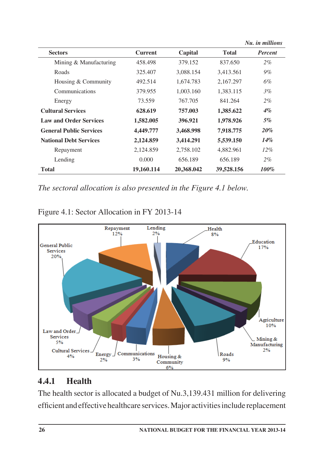|                                |                |            |              | Nu. in millions |
|--------------------------------|----------------|------------|--------------|-----------------|
| <b>Sectors</b>                 | <b>Current</b> | Capital    | <b>Total</b> | Percent         |
| Mining & Manufacturing         | 458.498        | 379.152    | 837.650      | $2\%$           |
| Roads                          | 325.407        | 3,088.154  | 3,413.561    | 9%              |
| Housing & Community            | 492.514        | 1,674.783  | 2,167.297    | 6%              |
| Communications                 | 379.955        | 1,003.160  | 1,383.115    | $3\%$           |
| Energy                         | 73.559         | 767.705    | 841.264      | $2\%$           |
| <b>Cultural Services</b>       | 628.619        | 757.003    | 1,385.622    | $4\%$           |
| <b>Law and Order Services</b>  | 1,582.005      | 396.921    | 1,978.926    | $5\%$           |
| <b>General Public Services</b> | 4.449.777      | 3,468.998  | 7,918.775    | 20%             |
| <b>National Debt Services</b>  | 2,124.859      | 3,414.291  | 5,539.150    | 14%             |
| Repayment                      | 2,124.859      | 2,758.102  | 4,882.961    | $12\%$          |
| Lending                        | 0.000          | 656.189    | 656.189      | $2\%$           |
| Total                          | 19,160.114     | 20,368.042 | 39,528.156   | $100\%$         |

*The sectoral allocation is also presented in the Figure 4.1 below.*



#### Figure 4.1: Sector Allocation in FY 2013-14

# **4.4.1 Health**

The health sector is allocated a budget of Nu.3,139.431 million for delivering efficient and effective healthcare services. Major activities include replacement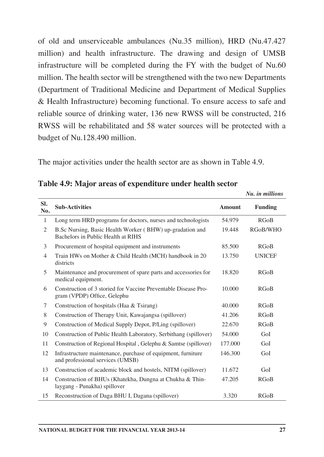of old and unserviceable ambulances (Nu.35 million), HRD (Nu.47.427 million) and health infrastructure. The drawing and design of UMSB infrastructure will be completed during the FY with the budget of Nu.60 million. The health sector will be strengthened with the two new Departments (Department of Traditional Medicine and Department of Medical Supplies & Health Infrastructure) becoming functional. To ensure access to safe and reliable source of drinking water, 136 new RWSS will be constructed, 216 RWSS will be rehabilitated and 58 water sources will be protected with a budget of Nu.128.490 million.

The major activities under the health sector are as shown in Table 4.9.

|                |                                                                                                  |               | Nu. in millions |
|----------------|--------------------------------------------------------------------------------------------------|---------------|-----------------|
| SI.<br>No.     | <b>Sub-Activities</b>                                                                            | <b>Amount</b> | <b>Funding</b>  |
| 1              | Long term HRD programs for doctors, nurses and technologists                                     | 54.979        | <b>RGoB</b>     |
| 2              | B.Sc Nursing, Basic Health Worker (BHW) up-gradation and<br>Bachelors in Public Health at RIHS   | 19.448        | RGoB/WHO        |
| 3              | Procurement of hospital equipment and instruments                                                | 85.500        | RGoB            |
| $\overline{4}$ | Train HWs on Mother & Child Health (MCH) handbook in 20<br>districts                             | 13.750        | <b>UNICEF</b>   |
| 5              | Maintenance and procurement of spare parts and accessories for<br>medical equipment.             | 18.820        | RGoB            |
| 6              | Construction of 3 storied for Vaccine Preventable Disease Pro-<br>gram (VPDP) Office, Gelephu    | 10.000        | RGoB            |
| 7              | Construction of hospitals (Haa & Tsirang)                                                        | 40.000        | RGoB            |
| 8              | Construction of Therapy Unit, Kawajangsa (spillover)                                             | 41.206        | RGoB            |
| 9              | Construction of Medical Supply Depot, P/Ling (spillover)                                         | 22.670        | RGoB            |
| 10             | Construction of Public Health Laboratory, Serbithang (spillover)                                 | 54.000        | GoI             |
| 11             | Construction of Regional Hospital, Gelephu & Samtse (spillover)                                  | 177.000       | GoI             |
| 12             | Infrastructure maintenance, purchase of equipment, furniture<br>and professional services (UMSB) | 146.300       | GoI             |
| 13             | Construction of academic block and hostels, NITM (spillover)                                     | 11.672        | GoI             |
| 14             | Construction of BHUs (Khatekha, Dungna at Chukha & Thin-<br>laygang - Punakha) spillover         | 47.205        | RGoB            |
| 15             | Reconstruction of Daga BHU I, Dagana (spillover)                                                 | 3.320         | RGoB            |

**Table 4.9: Major areas of expenditure under health sector**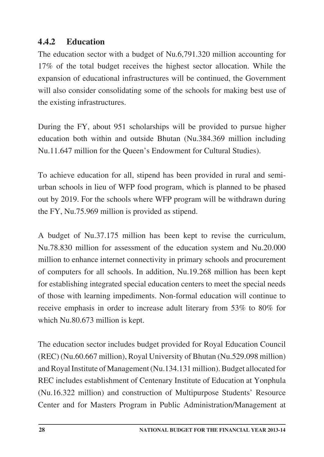## **4.4.2 Education**

The education sector with a budget of Nu.6,791.320 million accounting for 17% of the total budget receives the highest sector allocation. While the expansion of educational infrastructures will be continued, the Government will also consider consolidating some of the schools for making best use of the existing infrastructures.

During the FY, about 951 scholarships will be provided to pursue higher education both within and outside Bhutan (Nu.384.369 million including Nu.11.647 million for the Queen's Endowment for Cultural Studies).

To achieve education for all, stipend has been provided in rural and semiurban schools in lieu of WFP food program, which is planned to be phased out by 2019. For the schools where WFP program will be withdrawn during the FY, Nu.75.969 million is provided as stipend.

A budget of Nu.37.175 million has been kept to revise the curriculum, Nu.78.830 million for assessment of the education system and Nu.20.000 million to enhance internet connectivity in primary schools and procurement of computers for all schools. In addition, Nu.19.268 million has been kept for establishing integrated special education centers to meet the special needs of those with learning impediments. Non-formal education will continue to receive emphasis in order to increase adult literary from 53% to 80% for which Nu.80.673 million is kept.

The education sector includes budget provided for Royal Education Council (REC) (Nu.60.667 million), Royal University of Bhutan (Nu.529.098 million) and Royal Institute of Management (Nu.134.131 million). Budget allocated for REC includes establishment of Centenary Institute of Education at Yonphula (Nu.16.322 million) and construction of Multipurpose Students' Resource Center and for Masters Program in Public Administration/Management at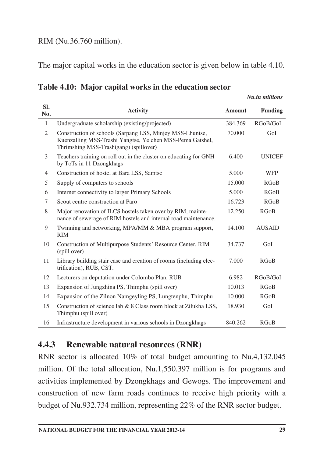#### RIM (Nu.36.760 million).

The major capital works in the education sector is given below in table 4.10.

| Table 4.10: Major capital works in the education sector |  |  |  |  |  |  |
|---------------------------------------------------------|--|--|--|--|--|--|
|---------------------------------------------------------|--|--|--|--|--|--|

|                |                                                                                                                                                                  |         | <b>Nu.in millions</b> |
|----------------|------------------------------------------------------------------------------------------------------------------------------------------------------------------|---------|-----------------------|
| SI.<br>No.     | <b>Activity</b>                                                                                                                                                  | Amount  | <b>Funding</b>        |
| $\mathbf{1}$   | Undergraduate scholarship (existing/projected)                                                                                                                   | 384.369 | RGoB/GoI              |
| $\overline{2}$ | Construction of schools (Sarpang LSS, Minjey MSS-Lhuntse,<br>Kuenzalling MSS-Trashi Yangtse, Yelchen MSS-Pema Gatshel,<br>Thrimshing MSS-Trashigang) (spillover) | 70.000  | GoI                   |
| 3              | Teachers training on roll out in the cluster on educating for GNH<br>by ToTs in 11 Dzongkhags                                                                    | 6.400   | <b>UNICEF</b>         |
| $\overline{4}$ | Construction of hostel at Bara LSS, Samtse                                                                                                                       | 5.000   | <b>WFP</b>            |
| 5              | Supply of computers to schools                                                                                                                                   | 15.000  | RGoB                  |
| 6              | Internet connectivity to larger Primary Schools                                                                                                                  | 5.000   | RGoB                  |
| 7              | Scout centre construction at Paro                                                                                                                                | 16.723  | RGoB                  |
| 8              | Major renovation of ILCS hostels taken over by RIM, mainte-<br>nance of sewerage of RIM hostels and internal road maintenance.                                   | 12.250  | RGoB                  |
| 9              | Twinning and networking, MPA/MM & MBA program support,<br><b>RIM</b>                                                                                             | 14.100  | <b>AUSAID</b>         |
| 10             | Construction of Multipurpose Students' Resource Center, RIM<br>(spill over)                                                                                      | 34.737  | GoI                   |
| 11             | Library building stair case and creation of rooms (including elec-<br>trification), RUB, CST.                                                                    | 7.000   | RGoB                  |
| 12             | Lecturers on deputation under Colombo Plan, RUB                                                                                                                  | 6.982   | RGoB/GoI              |
| 13             | Expansion of Jungzhina PS, Thimphu (spill over)                                                                                                                  | 10.013  | RGoB                  |
| 14             | Expansion of the Zilnon Namgeyling PS, Lungtenphu, Thimphu                                                                                                       | 10.000  | RGoB                  |
| 15             | Construction of science lab & 8 Class room block at Zilukha LSS,<br>Thimphu (spill over)                                                                         | 18.930  | GoI                   |
| 16             | Infrastructure development in various schools in Dzongkhags                                                                                                      | 840.262 | RGoB                  |

### **4.4.3 Renewable natural resources (RNR)**

RNR sector is allocated 10% of total budget amounting to Nu.4,132.045 million. Of the total allocation, Nu.1,550.397 million is for programs and activities implemented by Dzongkhags and Gewogs. The improvement and construction of new farm roads continues to receive high priority with a budget of Nu.932.734 million, representing 22% of the RNR sector budget.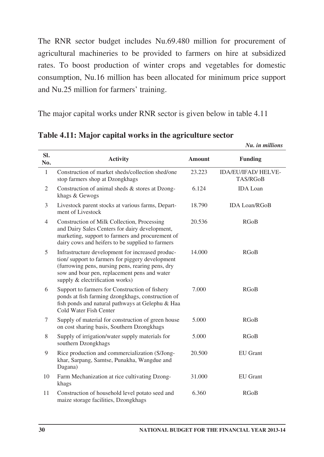The RNR sector budget includes Nu.69.480 million for procurement of agricultural machineries to be provided to farmers on hire at subsidized rates. To boost production of winter crops and vegetables for domestic consumption, Nu.16 million has been allocated for minimum price support and Nu.25 million for farmers' training.

The major capital works under RNR sector is given below in table 4.11

| SI.<br>No.     | <b>Activity</b>                                                                                                                                                                                                                            | <b>Amount</b> | <b>Funding</b>                                |
|----------------|--------------------------------------------------------------------------------------------------------------------------------------------------------------------------------------------------------------------------------------------|---------------|-----------------------------------------------|
| $\mathbf{1}$   | Construction of market sheds/collection shed/one<br>stop farmers shop at Dzongkhags                                                                                                                                                        | 23.223        | <b>IDA/EU/IFAD/ HELVE-</b><br><b>TAS/RGoB</b> |
| 2              | Construction of animal sheds & stores at Dzong-<br>khags & Gewogs                                                                                                                                                                          | 6.124         | <b>IDA</b> Loan                               |
| 3              | Livestock parent stocks at various farms, Depart-<br>ment of Livestock                                                                                                                                                                     | 18.790        | <b>IDA Loan/RGoB</b>                          |
| $\overline{4}$ | Construction of Milk Collection, Processing<br>and Dairy Sales Centers for dairy development,<br>marketing, support to farmers and procurement of<br>dairy cows and heifers to be supplied to farmers                                      | 20.536        | <b>RGoB</b>                                   |
| 5              | Infrastructure development for increased produc-<br>tion/support to farmers for piggery development<br>(furrowing pens, nursing pens, rearing pens, dry<br>sow and boar pen, replacement pens and water<br>supply & electrification works) | 14.000        | <b>RGoB</b>                                   |
| 6              | Support to farmers for Construction of fishery<br>ponds at fish farming dzongkhags, construction of<br>fish ponds and natural pathways at Gelephu & Haa<br>Cold Water Fish Center                                                          | 7.000         | <b>RGoB</b>                                   |
| 7              | Supply of material for construction of green house<br>on cost sharing basis, Southern Dzongkhags                                                                                                                                           | 5.000         | <b>RGoB</b>                                   |
| 8              | Supply of irrigation/water supply materials for<br>southern Dzongkhags                                                                                                                                                                     | 5.000         | RGoB                                          |
| 9              | Rice production and commercialization (S/Jong-<br>khar, Sarpang, Samtse, Punakha, Wangdue and<br>Dagana)                                                                                                                                   | 20.500        | <b>EU</b> Grant                               |
| 10             | Farm Mechanization at rice cultivating Dzong-<br>khags                                                                                                                                                                                     | 31.000        | <b>EU</b> Grant                               |
| 11             | Construction of household level potato seed and<br>maize storage facilities, Dzongkhags                                                                                                                                                    | 6.360         | RGoB                                          |

**Table 4.11: Major capital works in the agriculture sector**

*Nu. in millions*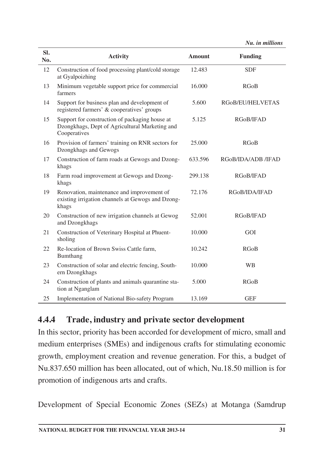*Nu. in millions*

| SI.<br>No. | <b>Activity</b>                                                                                                  | <b>Amount</b> | <b>Funding</b>     |
|------------|------------------------------------------------------------------------------------------------------------------|---------------|--------------------|
| 12         | Construction of food processing plant/cold storage<br>at Gyalpoizhing                                            | 12.483        | <b>SDF</b>         |
| 13         | Minimum vegetable support price for commercial<br>farmers                                                        | 16.000        | <b>RGoB</b>        |
| 14         | Support for business plan and development of<br>registered farmers' & cooperatives' groups                       | 5.600         | RGoB/EU/HELVETAS   |
| 15         | Support for construction of packaging house at<br>Dzongkhags, Dept of Agricultural Marketing and<br>Cooperatives | 5.125         | RGoB/IFAD          |
| 16         | Provision of farmers' training on RNR sectors for<br>Dzongkhags and Gewogs                                       | 25.000        | <b>RGoB</b>        |
| 17         | Construction of farm roads at Gewogs and Dzong-<br>khags                                                         | 633.596       | RGoB/IDA/ADB /IFAD |
| 18         | Farm road improvement at Gewogs and Dzong-<br>khags                                                              | 299.138       | RGoB/IFAD          |
| 19         | Renovation, maintenance and improvement of<br>existing irrigation channels at Gewogs and Dzong-<br>khags         | 72.176        | RGoB/IDA/IFAD      |
| 20         | Construction of new irrigation channels at Gewog<br>and Dzongkhags                                               | 52.001        | RGoB/IFAD          |
| 21         | Construction of Veterinary Hospital at Phuent-<br>sholing                                                        | 10.000        | GOI                |
| 22         | Re-location of Brown Swiss Cattle farm,<br>Bumthang                                                              | 10.242        | RGoB               |
| 23         | Construction of solar and electric fencing, South-<br>ern Dzongkhags                                             | 10.000        | <b>WB</b>          |
| 24         | Construction of plants and animals quarantine sta-<br>tion at Nganglam                                           | 5.000         | RGoB               |
| 25         | Implementation of National Bio-safety Program                                                                    | 13.169        | <b>GEF</b>         |

# **4.4.4 Trade, industry and private sector development**

In this sector, priority has been accorded for development of micro, small and medium enterprises (SMEs) and indigenous crafts for stimulating economic growth, employment creation and revenue generation. For this, a budget of Nu.837.650 million has been allocated, out of which, Nu.18.50 million is for promotion of indigenous arts and crafts.

Development of Special Economic Zones (SEZs) at Motanga (Samdrup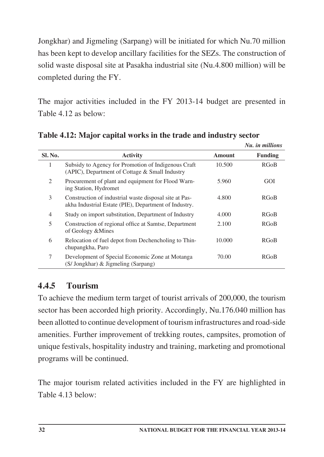Jongkhar) and Jigmeling (Sarpang) will be initiated for which Nu.70 million has been kept to develop ancillary facilities for the SEZs. The construction of solid waste disposal site at Pasakha industrial site (Nu.4.800 million) will be completed during the FY.

The major activities included in the FY 2013-14 budget are presented in Table 4.12 as below:

|         |                                                                                                                 |        | Nu. in millions |
|---------|-----------------------------------------------------------------------------------------------------------------|--------|-----------------|
| Sl. No. | <b>Activity</b>                                                                                                 | Amount | Funding         |
| 1       | Subsidy to Agency for Promotion of Indigenous Craft<br>(APIC), Department of Cottage & Small Industry           | 10.500 | RGoB            |
| 2       | Procurement of plant and equipment for Flood Warn-<br>ing Station, Hydromet                                     | 5.960  | GOI             |
| 3       | Construction of industrial waste disposal site at Pas-<br>akha Industrial Estate (PIE), Department of Industry. | 4.800  | RGoB            |
| 4       | Study on import substitution, Department of Industry                                                            | 4.000  | RGoB            |
| 5       | Construction of regional office at Samtse, Department<br>of Geology & Mines                                     | 2.100  | RGoB            |
| 6       | Relocation of fuel depot from Dechencholing to Thin-<br>chupangkha, Paro                                        | 10.000 | RGoB            |
| 7       | Development of Special Economic Zone at Motanga<br>(S/ Jongkhar) & Jigmeling (Sarpang)                          | 70.00  | RGoB            |

**Table 4.12: Major capital works in the trade and industry sector**

# **4.4.5 Tourism**

To achieve the medium term target of tourist arrivals of 200,000, the tourism sector has been accorded high priority. Accordingly, Nu.176.040 million has been allotted to continue development of tourism infrastructures and road-side amenities. Further improvement of trekking routes, campsites, promotion of unique festivals, hospitality industry and training, marketing and promotional programs will be continued.

The major tourism related activities included in the FY are highlighted in Table 4.13 below: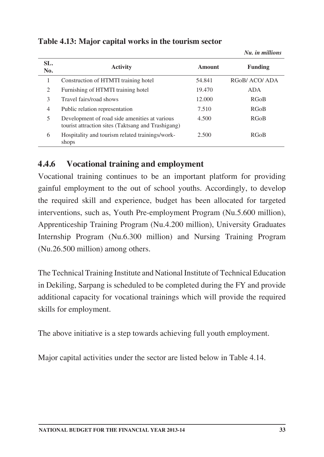| SL.<br>No.     | <b>Activity</b>                                                                                     | Amount | Funding      |
|----------------|-----------------------------------------------------------------------------------------------------|--------|--------------|
| 1              | Construction of HTMTI training hotel                                                                | 54.841 | RGoB/ACO/ADA |
| 2              | Furnishing of HTMTI training hotel                                                                  | 19.470 | <b>ADA</b>   |
| 3              | Travel fairs/road shows                                                                             | 12.000 | <b>RGoB</b>  |
| $\overline{4}$ | Public relation representation                                                                      | 7.510  | <b>RGoB</b>  |
| 5              | Development of road side amenities at various<br>tourist attraction sites (Taktsang and Trashigang) | 4.500  | <b>RGoB</b>  |
| 6              | Hospitality and tourism related trainings/work-<br>shops                                            | 2.500  | <b>RGoB</b>  |

**Table 4.13: Major capital works in the tourism sector**

### **4.4.6 Vocational training and employment**

Vocational training continues to be an important platform for providing gainful employment to the out of school youths. Accordingly, to develop the required skill and experience, budget has been allocated for targeted interventions, such as, Youth Pre-employment Program (Nu.5.600 million), Apprenticeship Training Program (Nu.4.200 million), University Graduates Internship Program (Nu.6.300 million) and Nursing Training Program (Nu.26.500 million) among others.

The Technical Training Institute and National Institute of Technical Education in Dekiling, Sarpang is scheduled to be completed during the FY and provide additional capacity for vocational trainings which will provide the required skills for employment.

The above initiative is a step towards achieving full youth employment.

Major capital activities under the sector are listed below in Table 4.14.

*Nu. in millions*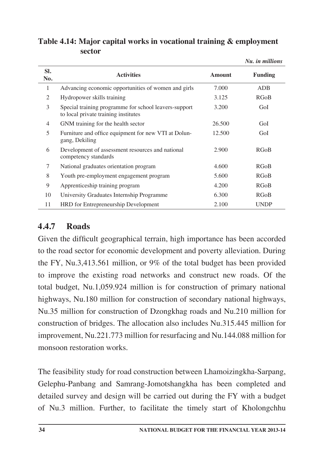|                |                                                                                               |               | Nu. in millions |
|----------------|-----------------------------------------------------------------------------------------------|---------------|-----------------|
| SI.<br>No.     | <b>Activities</b>                                                                             | <b>Amount</b> | <b>Funding</b>  |
| $\mathbf{1}$   | Advancing economic opportunities of women and girls                                           | 7.000         | <b>ADB</b>      |
| 2              | Hydropower skills training                                                                    | 3.125         | RGoB            |
| 3              | Special training programme for school leavers-support<br>to local private training institutes | 3.200         | GoI             |
| $\overline{4}$ | GNM training for the health sector                                                            | 26.500        | GoI             |
| 5              | Furniture and office equipment for new VTI at Dolun-<br>gang, Dekiling                        | 12.500        | GoI             |
| 6              | Development of assessment resources and national<br>competency standards                      | 2.900         | RGoB            |
| 7              | National graduates orientation program                                                        | 4.600         | RGoB            |
| 8              | Youth pre-employment engagement program                                                       | 5.600         | RGoB            |
| 9              | Apprenticeship training program                                                               | 4.200         | RGoB            |
| 10             | University Graduates Internship Programme                                                     | 6.300         | RGoB            |
| 11             | HRD for Entrepreneurship Development                                                          | 2.100         | <b>UNDP</b>     |

#### **Table 4.14: Major capital works in vocational training & employment sector**

# **4.4.7 Roads**

Given the difficult geographical terrain, high importance has been accorded to the road sector for economic development and poverty alleviation. During the FY, Nu.3,413.561 million, or 9% of the total budget has been provided to improve the existing road networks and construct new roads. Of the total budget, Nu.1,059.924 million is for construction of primary national highways, Nu.180 million for construction of secondary national highways, Nu.35 million for construction of Dzongkhag roads and Nu.210 million for construction of bridges. The allocation also includes Nu.315.445 million for improvement, Nu.221.773 million for resurfacing and Nu.144.088 million for monsoon restoration works.

The feasibility study for road construction between Lhamoizingkha-Sarpang, Gelephu-Panbang and Samrang-Jomotshangkha has been completed and detailed survey and design will be carried out during the FY with a budget of Nu.3 million. Further, to facilitate the timely start of Kholongchhu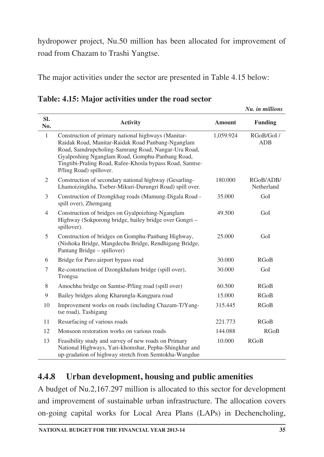hydropower project, Nu.50 million has been allocated for improvement of road from Chazam to Trashi Yangtse.

The major activities under the sector are presented in Table 4.15 below:

|                |                                                                                                                                                                                                                                                                                                           |               | ivu. in muuons          |
|----------------|-----------------------------------------------------------------------------------------------------------------------------------------------------------------------------------------------------------------------------------------------------------------------------------------------------------|---------------|-------------------------|
| SI.<br>No.     | <b>Activity</b>                                                                                                                                                                                                                                                                                           | <b>Amount</b> | <b>Funding</b>          |
| $\mathbf{1}$   | Construction of primary national highways (Manitar-<br>Raidak Road, Manitar-Raidak Road Panbang-Nganglam<br>Road, Samdrupcholing-Samrang Road, Nangar-Ura Road,<br>Gyalposhing Nganglam Road, Gomphu-Panbang Road,<br>Tingtibi-Praling Road, Rafee-Khosla bypass Road, Samtse-<br>P/ling Road) spillover. | 1,059.924     | RGoB/GoI/<br><b>ADB</b> |
| 2              | Construction of secondary national highway (Gesarling-<br>Lhamoizingkha, Tseber-Mikuri-Durungri Road) spill over.                                                                                                                                                                                         | 180.000       | RGoB/ADB/<br>Netherland |
| 3              | Construction of Dzongkhag roads (Mamung-Digala Road -<br>spill over), Zhemgang                                                                                                                                                                                                                            | 35.000        | GoI                     |
| $\overline{4}$ | Construction of bridges on Gyalpoizhing-Nganglam<br>Highway (Sokporong bridge, bailey bridge over Gongri -<br>spillover).                                                                                                                                                                                 | 49.500        | GoI                     |
| 5              | Construction of bridges on Gomphu-Panbang Highway,<br>(Nishoka Bridge, Mangdechu Bridge, Rendhigang Bridge,<br>Pantang Bridge – spillover)                                                                                                                                                                | 25.000        | GoI                     |
| 6              | Bridge for Paro airport bypass road                                                                                                                                                                                                                                                                       | 30.000        | <b>RGoB</b>             |
| 7              | Re-construction of Dzongkhulum bridge (spill over),<br>Trongsa                                                                                                                                                                                                                                            | 30.000        | GoI                     |
| 8              | Amochhu bridge on Samtse-P/ling road (spill over)                                                                                                                                                                                                                                                         | 60.500        | <b>RGoB</b>             |
| 9              | Bailey bridges along Kharungla-Kangpara road                                                                                                                                                                                                                                                              | 15.000        | <b>RGoB</b>             |
| 10             | Improvement works on roads (including Chazam-T/Yang-<br>tse road), Tashigang                                                                                                                                                                                                                              | 315.445       | <b>RGoB</b>             |
| 11             | Resurfacing of various roads                                                                                                                                                                                                                                                                              | 221.773       | RGoB                    |
| 12             | Monsoon restoration works on various roads                                                                                                                                                                                                                                                                | 144.088       | RGoB                    |
| 13             | Feasibility study and survey of new roads on Primary<br>National Highways, Yari-khomshar, Pephu-Shingkhar and<br>up-gradation of highway stretch from Semtokha-Wangdue                                                                                                                                    | 10.000        | <b>RGoB</b>             |

**Table: 4.15: Major activities under the road sector**

# **4.4.8 Urban development, housing and public amenities**

A budget of Nu.2,167.297 million is allocated to this sector for development and improvement of sustainable urban infrastructure. The allocation covers on-going capital works for Local Area Plans (LAPs) in Dechencholing,

*Nu. in millions*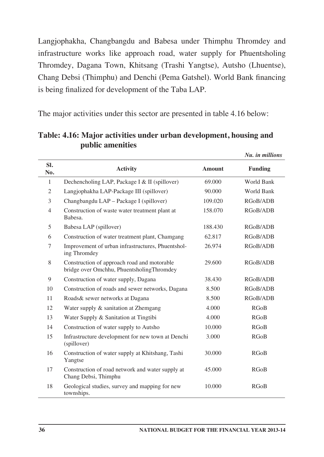Langjophakha, Changbangdu and Babesa under Thimphu Thromdey and infrastructure works like approach road, water supply for Phuentsholing Thromdey, Dagana Town, Khitsang (Trashi Yangtse), Autsho (Lhuentse), Chang Debsi (Thimphu) and Denchi (Pema Gatshel). World Bank financing is being finalized for development of the Taba LAP.

The major activities under this sector are presented in table 4.16 below:

| SI.<br>No.     | <b>Activity</b>                                                                          | <b>Amount</b> | <b>Funding</b> |
|----------------|------------------------------------------------------------------------------------------|---------------|----------------|
| $\mathbf{1}$   | Dechencholing LAP, Package I & II (spillover)                                            | 69.000        | World Bank     |
| $\mathfrak{2}$ | Langjophakha LAP-Package III (spillover)                                                 | 90.000        | World Bank     |
| 3              | Changbangdu LAP – Package I (spillover)                                                  | 109.020       | RGoB/ADB       |
| $\overline{4}$ | Construction of waste water treatment plant at<br>Babesa.                                | 158.070       | RGoB/ADB       |
| 5              | Babesa LAP (spillover)                                                                   | 188.430       | RGoB/ADB       |
| 6              | Construction of water treatment plant, Chamgang                                          | 62.817        | RGoB/ADB       |
| 7              | Improvement of urban infrastructures, Phuentshol-<br>ing Thromdey                        | 26.974        | RGoB/ADB       |
| 8              | Construction of approach road and motorable<br>bridge over Omchhu, PhuentsholingThromdey | 29.600        | RGoB/ADB       |
| 9              | Construction of water supply, Dagana                                                     | 38.430        | RGoB/ADB       |
| 10             | Construction of roads and sewer networks, Dagana                                         | 8.500         | RGoB/ADB       |
| 11             | Roads & sewer networks at Dagana                                                         | 8.500         | RGoB/ADB       |
| 12             | Water supply & sanitation at Zhemgang                                                    | 4.000         | <b>RGoB</b>    |
| 13             | Water Supply & Sanitation at Tingtibi                                                    | 4.000         | RGoB           |
| 14             | Construction of water supply to Autsho                                                   | 10.000        | RGoB           |
| 15             | Infrastructure development for new town at Denchi<br>(spillover)                         | 3.000         | <b>RGoB</b>    |
| 16             | Construction of water supply at Khitshang, Tashi<br>Yangtse                              | 30.000        | <b>RGoB</b>    |
| 17             | Construction of road network and water supply at<br>Chang Debsi, Thimphu                 | 45.000        | <b>RGoB</b>    |
| 18             | Geological studies, survey and mapping for new<br>townships.                             | 10.000        | RGoB           |

**Table: 4.16: Major activities under urban development, housing and public amenities**

*Nu. in millions*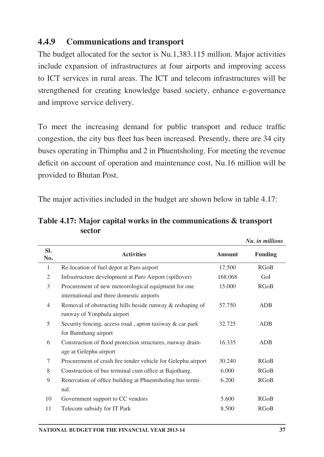### **4.4.9 Communications and transport**

The budget allocated for the sector is Nu.1,383.115 million. Major activities include expansion of infrastructures at four airports and improving access to ICT services in rural areas. The ICT and telecom infrastructures will be strengthened for creating knowledge based society, enhance e-governance and improve service delivery.

To meet the increasing demand for public transport and reduce traffic congestion, the city bus fleet has been increased. Presently, there are 34 city buses operating in Thimphu and 2 in Phuentsholing. For meeting the revenue deficit on account of operation and maintenance cost, Nu.16 million will be provided to Bhutan Post.

The major activities included in the budget are shown below in table 4.17:

|            |                                                              |               | Nu. in millions |
|------------|--------------------------------------------------------------|---------------|-----------------|
| SI.<br>No. | <b>Activities</b>                                            | <b>Amount</b> | <b>Funding</b>  |
| 1          | Re-location of fuel depot at Paro airport                    | 17.500        | RGoB            |
| 2          | Infrastructure development at Paro Airport (spillover)       | 168.068       | GoI             |
| 3          | Procurement of new meteorological equipment for one          | 15.000        | RGoB            |
|            | international and three domestic airports                    |               |                 |
| 4          | Removal of obstructing hills beside runway & reshaping of    | 57.750        | <b>ADB</b>      |
|            | runway of Yonphula airport                                   |               |                 |
| 5          | Security fencing, access road, apron taxiway & car park      | 32.725        | ADB             |
|            | for Bumthang airport                                         |               |                 |
| 6          | Construction of flood protection structures, runway drain-   | 16.335        | <b>ADB</b>      |
|            | age at Gelephu airport                                       |               |                 |
| 7          | Procurement of crash fire tender vehicle for Gelephu airport | 30.240        | RGoB            |
| 8          | Construction of bus terminal cum office at Bajothang.        | 6.000         | RGoB            |
| 9          | Renovation of office building at Phuentsholing bus termi-    | 6.200         | RGoB            |
|            | nal.                                                         |               |                 |
| 10         | Government support to CC vendors                             | 5.600         | RGoB            |
| 11         | Telecom subsidy for IT Park                                  | 8.500         | RGoB            |

**Table 4.17: Major capital works in the communications & transport sector**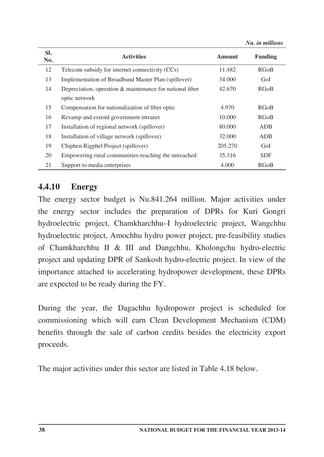*Nu. in millions*

| SI.<br>No. | <b>Activities</b>                                                         | Amount  | <b>Funding</b> |
|------------|---------------------------------------------------------------------------|---------|----------------|
| 12         | Telecom subsidy for internet connectivity (CCs)                           | 11.482  | RGoB           |
| 13         | Implementation of Broadband Master Plan (spillover)                       | 34.000  | GoI            |
| 14         | Depreciation, operation & maintenance for national fiber<br>optic network | 42.670  | RGoB           |
| 15         | Compensation for nationalization of fiber optic                           | 4.970   | RGoB           |
| 16         | Revamp and extend government intranet                                     | 10.000  | RGoB           |
| 17         | Installation of regional network (spillover)                              | 80.000  | ADB            |
| 18         | Installation of village network (spillover)                               | 32.000  | ADB            |
| 19         | Chiphen Rigphel Project (spillover)                                       | 205.270 | GoI            |
| 20         | Empowering rural communities-reaching the unreached                       | 35.316  | <b>SDF</b>     |
| 21         | Support to media enterprises                                              | 4.000   | RGoB           |

### **4.4.10 Energy**

The energy sector budget is Nu.841.264 million. Major activities under the energy sector includes the preparation of DPRs for Kuri Gongri hydroelectric project, Chamkharchhu–I hydroelectric project, Wangchhu hydroelectric project, Amochhu hydro power project, pre-feasibility studies of Chamkharchhu II & III and Dangchhu, Kholongchu hydro-electric project and updating DPR of Sankosh hydro-electric project. In view of the importance attached to accelerating hydropower development, these DPRs are expected to be ready during the FY.

During the year, the Dagachhu hydropower project is scheduled for commissioning which will earn Clean Development Mechanism (CDM) benefits through the sale of carbon credits besides the electricity export proceeds.

The major activities under this sector are listed in Table 4.18 below.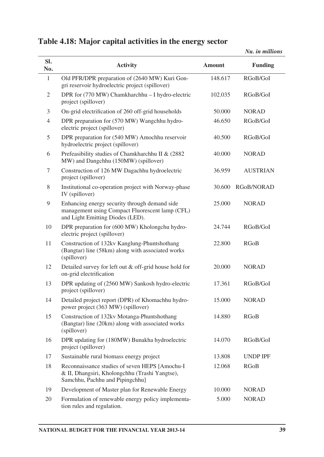*Nu. in millions*

| SI.<br>No.     | <b>Activity</b>                                                                                                                      | Amount  | <b>Funding</b>  |
|----------------|--------------------------------------------------------------------------------------------------------------------------------------|---------|-----------------|
| 1              | Old PFR/DPR preparation of (2640 MW) Kuri Gon-<br>gri reservoir hydroelectric project (spillover)                                    | 148.617 | RGoB/GoI        |
| $\mathfrak{2}$ | DPR for (770 MW) Chamkharchhu - I hydro-electric<br>project (spillover)                                                              | 102.035 | RGoB/GoI        |
| 3              | On-grid electrification of 260 off-grid households                                                                                   | 50.000  | NORAD           |
| 4              | DPR preparation for (570 MW) Wangchhu hydro-<br>electric project (spillover)                                                         | 46.650  | RGoB/GoI        |
| 5              | DPR preparation for (540 MW) Amochhu reservoir<br>hydroelectric project (spillover)                                                  | 40.500  | RGoB/GoI        |
| 6              | Prefeasibility studies of Chamkharchhu II & (2882<br>MW) and Dangchhu (150MW) (spillover)                                            | 40.000  | NORAD           |
| 7              | Construction of 126 MW Dagachhu hydroelectric<br>project (spillover)                                                                 | 36.959  | <b>AUSTRIAN</b> |
| 8              | Institutional co-operation project with Norway-phase<br>IV (spillover)                                                               | 30.600  | RGoB/NORAD      |
| 9              | Enhancing energy security through demand side<br>management using Compact Fluorescent lamp (CFL)<br>and Light Emitting Diodes (LED). | 25.000  | NORAD           |
| 10             | DPR preparation for (600 MW) Kholongchu hydro-<br>electric project (spillover)                                                       | 24.744  | RGoB/GoI        |
| 11             | Construction of 132kv Kanglung-Phuntshothang<br>(Bangtar) line (58km) along with associated works<br>(spillover)                     | 22.800  | <b>RGoB</b>     |
| 12             | Detailed survey for left out & off-grid house hold for<br>on-grid electrification                                                    | 20.000  | <b>NORAD</b>    |
| 13             | DPR updating of (2560 MW) Sankosh hydro-electric<br>project (spillover)                                                              | 17.361  | RGoB/GoI        |
| 14             | Detailed project report (DPR) of Khomachhu hydro-<br>power project (363 MW) (spillover)                                              | 15.000  | NORAD           |
| 15             | Construction of 132kv Motanga-Phuntshothang<br>(Bangtar) line (20km) along with associated works<br>(spillover)                      | 14.880  | <b>RGoB</b>     |
| 16             | DPR updating for (180MW) Bunakha hydroelectric<br>project (spillover)                                                                | 14.070  | RGoB/GoI        |
| 17             | Sustainable rural biomass energy project                                                                                             | 13.808  | <b>UNDP IPF</b> |
| 18             | Reconnaissance studies of seven HEPS [Amochu-I]<br>& II, Dhangsiri, Kholongchhu (Trashi Yangtse),<br>Samchhu, Pachhu and Pipingchhu] | 12.068  | RGoB            |
| 19             | Development of Master plan for Renewable Energy                                                                                      | 10.000  | <b>NORAD</b>    |
| 20             | Formulation of renewable energy policy implementa-<br>tion rules and regulation.                                                     | 5.000   | <b>NORAD</b>    |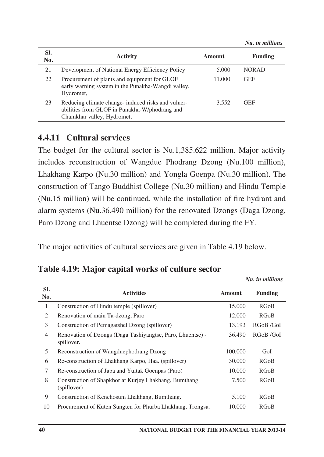*Nu. in millions*

| SI.<br>No. | <b>Activity</b>                                                                                                                   | Amount | Funding      |
|------------|-----------------------------------------------------------------------------------------------------------------------------------|--------|--------------|
| 21         | Development of National Energy Efficiency Policy                                                                                  | 5.000  | <b>NORAD</b> |
| 22         | Procurement of plants and equipment for GLOF<br>early warning system in the Punakha-Wangdi valley,<br>Hydromet,                   | 11.000 | <b>GEF</b>   |
| 23         | Reducing climate change- induced risks and vulner-<br>abilities from GLOF in Punakha-W/phodrang and<br>Chamkhar valley, Hydromet, | 3.552  | <b>GEF</b>   |

#### **4.4.11 Cultural services**

The budget for the cultural sector is Nu.1,385.622 million. Major activity includes reconstruction of Wangdue Phodrang Dzong (Nu.100 million), Lhakhang Karpo (Nu.30 million) and Yongla Goenpa (Nu.30 million). The construction of Tango Buddhist College (Nu.30 million) and Hindu Temple (Nu.15 million) will be continued, while the installation of fire hydrant and alarm systems (Nu.36.490 million) for the renovated Dzongs (Daga Dzong, Paro Dzong and Lhuentse Dzong) will be completed during the FY.

The major activities of cultural services are given in Table 4.19 below.

|                |                                                                          |               | Nu. in millions |
|----------------|--------------------------------------------------------------------------|---------------|-----------------|
| SI.<br>No.     | <b>Activities</b>                                                        | <b>Amount</b> | Funding         |
| 1              | Construction of Hindu temple (spillover)                                 | 15.000        | RGoB            |
| 2              | Renovation of main Ta-dzong, Paro                                        | 12.000        | RGoB            |
| 3              | Construction of Pemagatshel Dzong (spillover)                            | 13.193        | RGoB /GoI       |
| $\overline{4}$ | Renovation of Dzongs (Daga Tashiyangtse, Paro, Lhuentse) -<br>spillover. | 36.490        | RGoB /GoI       |
| 5              | Reconstruction of Wangduephodrang Dzong                                  | 100.000       | GoI             |
| 6              | Re-construction of Lhakhang Karpo, Haa. (spillover)                      | 30.000        | RGoB            |
| 7              | Re-construction of Jaba and Yultak Goenpas (Paro)                        | 10.000        | RGoB            |
| 8              | Construction of Shapkhor at Kurjey Lhakhang, Bumthang<br>(spillover)     | 7.500         | RGoB            |
| 9              | Construction of Kenchosum Lhakhang, Bumthang.                            | 5.100         | RGoB            |
| 10             | Procurement of Kuten Sungten for Phurba Lhakhang, Trongsa.               | 10.000        | RGoB            |

#### **Table 4.19: Major capital works of culture sector**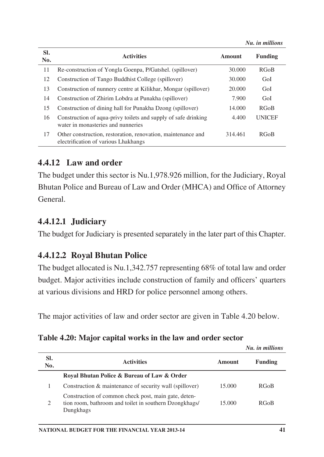|            |                                                                                                      |         | Nu. in millions |
|------------|------------------------------------------------------------------------------------------------------|---------|-----------------|
| SI.<br>No. | <b>Activities</b>                                                                                    | Amount  | Funding         |
| 11         | Re-construction of Yongla Goenpa, P/Gatshel. (spillover)                                             | 30.000  | <b>RGoB</b>     |
| 12         | Construction of Tango Buddhist College (spillover)                                                   | 30,000  | GoI             |
| 13         | Construction of nunnery centre at Kilikhar, Mongar (spillover)                                       | 20,000  | GoI             |
| 14         | Construction of Zhirim Lobdra at Punakha (spillover)                                                 | 7.900   | GoI             |
| 15         | Construction of dining hall for Punakha Dzong (spillover)                                            | 14.000  | <b>RGoB</b>     |
| 16         | Construction of aqua-privy toilets and supply of safe drinking<br>water in monasteries and nunneries | 4.400   | <b>UNICEF</b>   |
| 17         | Other construction, restoration, renovation, maintenance and<br>electrification of various Lhakhangs | 314.461 | <b>RGoB</b>     |

### **4.4.12 Law and order**

The budget under this sector is Nu.1,978.926 million, for the Judiciary, Royal Bhutan Police and Bureau of Law and Order (MHCA) and Office of Attorney General.

### **4.4.12.1 Judiciary**

The budget for Judiciary is presented separately in the later part of this Chapter.

### **4.4.12.2 Royal Bhutan Police**

The budget allocated is Nu.1,342.757 representing 68% of total law and order budget. Major activities include construction of family and officers' quarters at various divisions and HRD for police personnel among others.

The major activities of law and order sector are given in Table 4.20 below.

|  |  |  |  |  | Table 4.20: Major capital works in the law and order sector |  |  |  |  |  |
|--|--|--|--|--|-------------------------------------------------------------|--|--|--|--|--|
|--|--|--|--|--|-------------------------------------------------------------|--|--|--|--|--|

|            |                                                                                                                             |        | Nu. in millions |
|------------|-----------------------------------------------------------------------------------------------------------------------------|--------|-----------------|
| SI.<br>No. | <b>Activities</b>                                                                                                           | Amount | <b>Funding</b>  |
|            | Royal Bhutan Police & Bureau of Law & Order                                                                                 |        |                 |
|            | Construction & maintenance of security wall (spillover)                                                                     | 15.000 | <b>RGoB</b>     |
| 2          | Construction of common check post, main gate, deten-<br>tion room, bathroom and toilet in southern Dzongkhags/<br>Dungkhags | 15.000 | <b>RGoB</b>     |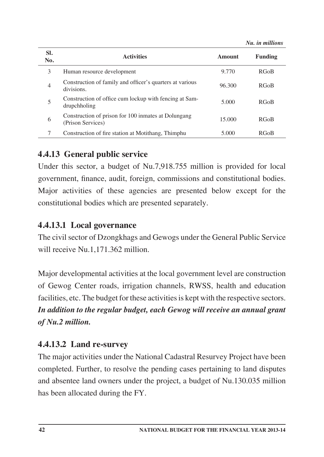|                |                                                                          |        | TAN, NR MANAGARD |
|----------------|--------------------------------------------------------------------------|--------|------------------|
| SI.<br>No.     | <b>Activities</b>                                                        | Amount | Funding          |
| 3              | Human resource development                                               | 9.770  | <b>RGoB</b>      |
| $\overline{4}$ | Construction of family and officer's quarters at various<br>divisions.   | 96.300 | <b>RGoB</b>      |
| 5              | Construction of office cum lockup with fencing at Sam-<br>drupchholing   | 5.000  | <b>RGoB</b>      |
| 6              | Construction of prison for 100 inmates at Dolungang<br>(Prison Services) | 15,000 | <b>RGoB</b>      |
|                | Construction of fire station at Motithang, Thimphu                       | 5.000  | <b>RGoB</b>      |

*Nu. in millions*

# **4.4.13 General public service**

Under this sector, a budget of Nu.7,918.755 million is provided for local government, finance, audit, foreign, commissions and constitutional bodies. Major activities of these agencies are presented below except for the constitutional bodies which are presented separately.

### **4.4.13.1 Local governance**

The civil sector of Dzongkhags and Gewogs under the General Public Service will receive Nu.1,171.362 million.

Major developmental activities at the local government level are construction of Gewog Center roads, irrigation channels, RWSS, health and education facilities, etc. The budget for these activities is kept with the respective sectors. *In addition to the regular budget, each Gewog will receive an annual grant of Nu.2 million.* 

# **4.4.13.2 Land re-survey**

The major activities under the National Cadastral Resurvey Project have been completed. Further, to resolve the pending cases pertaining to land disputes and absentee land owners under the project, a budget of Nu.130.035 million has been allocated during the FY.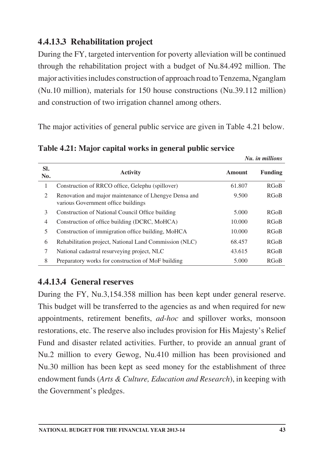# **4.4.13.3 Rehabilitation project**

During the FY, targeted intervention for poverty alleviation will be continued through the rehabilitation project with a budget of Nu.84.492 million. The major activities includes construction of approach road to Tenzema, Nganglam (Nu.10 million), materials for 150 house constructions (Nu.39.112 million) and construction of two irrigation channel among others.

The major activities of general public service are given in Table 4.21 below.

|            |                                                                                              |               | Nu. in millions |
|------------|----------------------------------------------------------------------------------------------|---------------|-----------------|
| SI.<br>No. | <b>Activity</b>                                                                              | <b>Amount</b> | Funding         |
| 1          | Construction of RRCO office, Gelephu (spillover)                                             | 61.807        | RGoB            |
| 2          | Renovation and major maintenance of Lhengye Densa and<br>various Government office buildings | 9.500         | RGoB            |
| 3          | Construction of National Council Office building                                             | 5.000         | RGoB            |
| 4          | Construction of office building (DCRC, MoHCA)                                                | 10.000        | RGoB            |
| 5          | Construction of immigration office building, MoHCA                                           | 10.000        | RGoB            |
| 6          | Rehabilitation project, National Land Commission (NLC)                                       | 68.457        | RGoB            |
| 7          | National cadastral resurveying project, NLC                                                  | 43.615        | RGoB            |
| 8          | Preparatory works for construction of MoF building                                           | 5.000         | RGoB            |

**Table 4.21: Major capital works in general public service** 

# **4.4.13.4 General reserves**

During the FY, Nu.3,154.358 million has been kept under general reserve. This budget will be transferred to the agencies as and when required for new appointments, retirement benefits, *ad-hoc* and spillover works, monsoon restorations, etc. The reserve also includes provision for His Majesty's Relief Fund and disaster related activities. Further, to provide an annual grant of Nu.2 million to every Gewog, Nu.410 million has been provisioned and Nu.30 million has been kept as seed money for the establishment of three endowment funds (*Arts & Culture, Education and Research*), in keeping with the Government's pledges.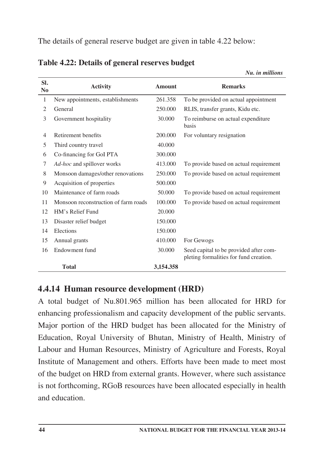| SI.<br>N <sub>0</sub> | <b>Activity</b>                      | <b>Amount</b> | <b>Remarks</b>                                                                   |
|-----------------------|--------------------------------------|---------------|----------------------------------------------------------------------------------|
| 1                     | New appointments, establishments     | 261.358       | To be provided on actual appointment                                             |
| $\overline{2}$        | General                              | 250.000       | RLIS, transfer grants, Kidu etc.                                                 |
| 3                     | Government hospitality               | 30.000        | To reimburse on actual expenditure<br>basis                                      |
| $\overline{4}$        | Retirement benefits                  | 200.000       | For voluntary resignation                                                        |
| 5                     | Third country travel                 | 40.000        |                                                                                  |
| 6                     | Co-financing for GoI PTA             | 300.000       |                                                                                  |
| 7                     | Ad-hoc and spillover works           | 413.000       | To provide based on actual requirement                                           |
| 8                     | Monsoon damages/other renovations    | 250.000       | To provide based on actual requirement                                           |
| 9                     | Acquisition of properties            | 500.000       |                                                                                  |
| 10                    | Maintenance of farm roads            | 50.000        | To provide based on actual requirement                                           |
| 11                    | Monsoon reconstruction of farm roads | 100.000       | To provide based on actual requirement                                           |
| 12                    | HM's Relief Fund                     | 20.000        |                                                                                  |
| 13                    | Disaster relief budget               | 150.000       |                                                                                  |
| 14                    | Elections                            | 150.000       |                                                                                  |
| 15                    | Annual grants                        | 410.000       | For Gewogs                                                                       |
| 16                    | Endowment fund                       | 30.000        | Seed capital to be provided after com-<br>pleting formalities for fund creation. |
|                       | <b>Total</b>                         | 3.154.358     |                                                                                  |

*Nu. in millions*

**Table 4.22: Details of general reserves budget**

### **4.4.14 Human resource development (HRD)**

A total budget of Nu.801.965 million has been allocated for HRD for enhancing professionalism and capacity development of the public servants. Major portion of the HRD budget has been allocated for the Ministry of Education, Royal University of Bhutan, Ministry of Health, Ministry of Labour and Human Resources, Ministry of Agriculture and Forests, Royal Institute of Management and others. Efforts have been made to meet most of the budget on HRD from external grants. However, where such assistance is not forthcoming, RGoB resources have been allocated especially in health and education.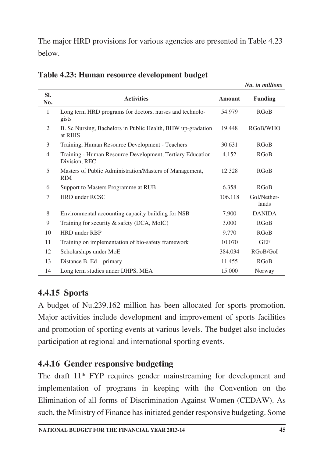The major HRD provisions for various agencies are presented in Table 4.23 below.

|                |                                                                            |               | Nu. in millions      |
|----------------|----------------------------------------------------------------------------|---------------|----------------------|
| SI.<br>No.     | <b>Activities</b>                                                          | <b>Amount</b> | <b>Funding</b>       |
| 1              | Long term HRD programs for doctors, nurses and technolo-<br>gists          | 54.979        | RGoB                 |
| 2              | B. Sc Nursing, Bachelors in Public Health, BHW up-gradation<br>at RIHS     | 19.448        | RGoB/WHO             |
| 3              | Training, Human Resource Development - Teachers                            | 30.631        | RGoB                 |
| $\overline{4}$ | Training - Human Resource Development, Tertiary Education<br>Division, REC | 4.152         | RGoB                 |
| 5              | Masters of Public Administration/Masters of Management,<br><b>RIM</b>      | 12.328        | RGoB                 |
| 6              | Support to Masters Programme at RUB                                        | 6.358         | RGoB                 |
| 7              | <b>HRD</b> under RCSC                                                      | 106.118       | GoI/Nether-<br>lands |
| 8              | Environmental accounting capacity building for NSB                         | 7.900         | <b>DANIDA</b>        |
| 9              | Training for security & safety (DCA, MoIC)                                 | 3.000         | RGoB                 |
| 10             | HRD under RBP                                                              | 9.770         | RGoB                 |
| 11             | Training on implementation of bio-safety framework                         | 10.070        | <b>GEF</b>           |
| 12             | Scholarships under MoE                                                     | 384.034       | RGoB/GoI             |
| 13             | Distance B. Ed – primary                                                   | 11.455        | RGoB                 |
| 14             | Long term studies under DHPS, MEA                                          | 15.000        | Norway               |

**Table 4.23: Human resource development budget**

# **4.4.15 Sports**

A budget of Nu.239.162 million has been allocated for sports promotion. Major activities include development and improvement of sports facilities and promotion of sporting events at various levels. The budget also includes participation at regional and international sporting events.

# **4.4.16 Gender responsive budgeting**

The draft 11<sup>th</sup> FYP requires gender mainstreaming for development and implementation of programs in keeping with the Convention on the Elimination of all forms of Discrimination Against Women (CEDAW). As such, the Ministry of Finance has initiated gender responsive budgeting. Some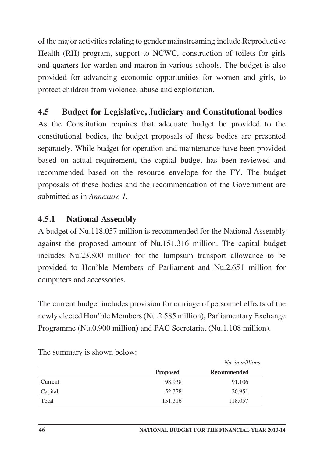of the major activities relating to gender mainstreaming include Reproductive Health (RH) program, support to NCWC, construction of toilets for girls and quarters for warden and matron in various schools. The budget is also provided for advancing economic opportunities for women and girls, to protect children from violence, abuse and exploitation.

# **4.5 Budget for Legislative, Judiciary and Constitutional bodies**

As the Constitution requires that adequate budget be provided to the constitutional bodies, the budget proposals of these bodies are presented separately. While budget for operation and maintenance have been provided based on actual requirement, the capital budget has been reviewed and recommended based on the resource envelope for the FY. The budget proposals of these bodies and the recommendation of the Government are submitted as in *Annexure 1.*

# **4.5.1 National Assembly**

A budget of Nu.118.057 million is recommended for the National Assembly against the proposed amount of Nu.151.316 million. The capital budget includes Nu.23.800 million for the lumpsum transport allowance to be provided to Hon'ble Members of Parliament and Nu.2.651 million for computers and accessories.

The current budget includes provision for carriage of personnel effects of the newly elected Hon'ble Members (Nu.2.585 million), Parliamentary Exchange Programme (Nu.0.900 million) and PAC Secretariat (Nu.1.108 million).

|         |                 | Nu, in millions |
|---------|-----------------|-----------------|
|         | <b>Proposed</b> | Recommended     |
| Current | 98.938          | 91.106          |
| Capital | 52.378          | 26.951          |
| Total   | 151.316         | 118.057         |

The summary is shown below: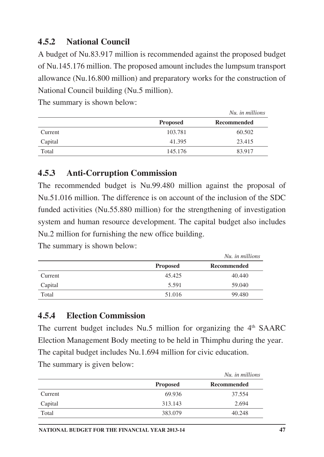# **4.5.2 National Council**

A budget of Nu.83.917 million is recommended against the proposed budget of Nu.145.176 million. The proposed amount includes the lumpsum transport allowance (Nu.16.800 million) and preparatory works for the construction of National Council building (Nu.5 million).

*Nu. in millions*

The summary is shown below:

|         |                 | <i>iva. in muttons</i> |
|---------|-----------------|------------------------|
|         | <b>Proposed</b> | Recommended            |
| Current | 103.781         | 60.502                 |
| Capital | 41.395          | 23.415                 |
| Total   | 145.176         | 83.917                 |

#### **4.5.3 Anti-Corruption Commission**

The recommended budget is Nu.99.480 million against the proposal of Nu.51.016 million. The difference is on account of the inclusion of the SDC funded activities (Nu.55.880 million) for the strengthening of investigation system and human resource development. The capital budget also includes Nu.2 million for furnishing the new office building.

The summary is shown below:

|         |                 | Nu, in millions |
|---------|-----------------|-----------------|
|         | <b>Proposed</b> | Recommended     |
| Current | 45.425          | 40.440          |
| Capital | 5.591           | 59.040          |
| Total   | 51.016          | 99.480          |

### **4.5.4 Election Commission**

The current budget includes  $Nu.5$  million for organizing the  $4<sup>th</sup>$  SAARC Election Management Body meeting to be held in Thimphu during the year. The capital budget includes Nu.1.694 million for civic education. The summary is given below:

|         |                 | Nu, in millions    |
|---------|-----------------|--------------------|
|         | <b>Proposed</b> | <b>Recommended</b> |
| Current | 69.936          | 37.554             |
| Capital | 313.143         | 2.694              |
| Total   | 383.079         | 40.248             |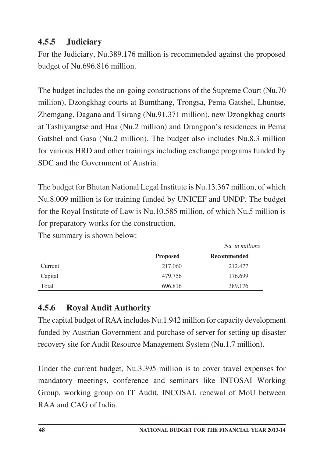# **4.5.5 Judiciary**

For the Judiciary, Nu.389.176 million is recommended against the proposed budget of Nu.696.816 million.

The budget includes the on-going constructions of the Supreme Court (Nu.70 million), Dzongkhag courts at Bumthang, Trongsa, Pema Gatshel, Lhuntse, Zhemgang, Dagana and Tsirang (Nu.91.371 million), new Dzongkhag courts at Tashiyangtse and Haa (Nu.2 million) and Drangpon's residences in Pema Gatshel and Gasa (Nu.2 million). The budget also includes Nu.8.3 million for various HRD and other trainings including exchange programs funded by SDC and the Government of Austria.

The budget for Bhutan National Legal Institute is Nu.13.367 million, of which Nu.8.009 million is for training funded by UNICEF and UNDP. The budget for the Royal Institute of Law is Nu.10.585 million, of which Nu.5 million is for preparatory works for the construction.

The summary is shown below:

|         |                 | Nu, in millions |
|---------|-----------------|-----------------|
|         | <b>Proposed</b> | Recommended     |
| Current | 217.060         | 212.477         |
| Capital | 479.756         | 176.699         |
| Total   | 696.816         | 389.176         |

# **4.5.6 Royal Audit Authority**

The capital budget of RAA includes Nu.1.942 million for capacity development funded by Austrian Government and purchase of server for setting up disaster recovery site for Audit Resource Management System (Nu.1.7 million).

Under the current budget, Nu.3.395 million is to cover travel expenses for mandatory meetings, conference and seminars like INTOSAI Working Group, working group on IT Audit, INCOSAI, renewal of MoU between RAA and CAG of India.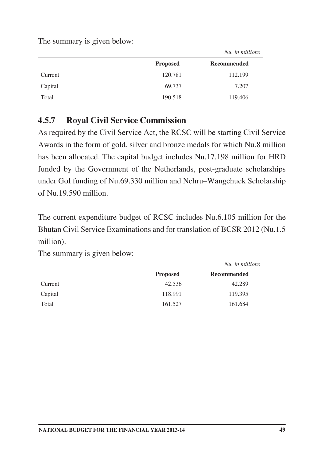The summary is given below:

|         | <b>Proposed</b> | Recommended |
|---------|-----------------|-------------|
| Current | 120.781         | 112.199     |
| Capital | 69.737          | 7.207       |
| Total   | 190.518         | 119.406     |

*Nu. in millions*

### **4.5.7 Royal Civil Service Commission**

As required by the Civil Service Act, the RCSC will be starting Civil Service Awards in the form of gold, silver and bronze medals for which Nu.8 million has been allocated. The capital budget includes Nu.17.198 million for HRD funded by the Government of the Netherlands, post-graduate scholarships under GoI funding of Nu.69.330 million and Nehru–Wangchuck Scholarship of Nu.19.590 million.

The current expenditure budget of RCSC includes Nu.6.105 million for the Bhutan Civil Service Examinations and for translation of BCSR 2012 (Nu.1.5 million).

|         |                 | Nu, in millions |
|---------|-----------------|-----------------|
|         | <b>Proposed</b> | Recommended     |
| Current | 42.536          | 42.289          |
| Capital | 118.991         | 119.395         |
| Total   | 161.527         | 161.684         |

The summary is given below: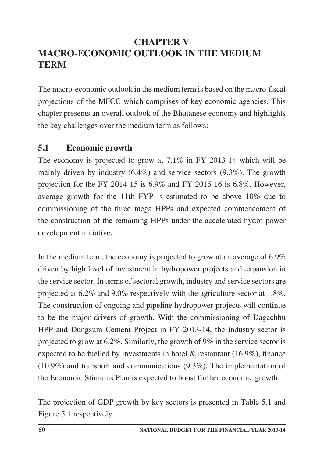# **CHAPTER V MACRO-ECONOMIC OUTLOOK IN THE MEDIUM TERM**

The macro-economic outlook in the medium term is based on the macro-fiscal projections of the MFCC which comprises of key economic agencies. This chapter presents an overall outlook of the Bhutanese economy and highlights the key challenges over the medium term as follows:

# **5.1 Economic growth**

The economy is projected to grow at 7.1% in FY 2013-14 which will be mainly driven by industry (6.4%) and service sectors (9.3%). The growth projection for the FY 2014-15 is 6.9% and FY 2015-16 is 6.8%. However, average growth for the 11th FYP is estimated to be above 10% due to commissioning of the three mega HPPs and expected commencement of the construction of the remaining HPPs under the accelerated hydro power development initiative.

In the medium term, the economy is projected to grow at an average of 6.9% driven by high level of investment in hydropower projects and expansion in the service sector. In terms of sectoral growth, industry and service sectors are projected at 6.2% and 9.0% respectively with the agriculture sector at 1.8%. The construction of ongoing and pipeline hydropower projects will continue to be the major drivers of growth. With the commissioning of Dagachhu HPP and Dungsum Cement Project in FY 2013-14, the industry sector is projected to grow at 6.2%. Similarly, the growth of 9% in the service sector is expected to be fuelled by investments in hotel & restaurant (16.9%), finance (10.9%) and transport and communications (9.3%). The implementation of the Economic Stimulus Plan is expected to boost further economic growth.

The projection of GDP growth by key sectors is presented in Table 5.1 and Figure 5.1 respectively.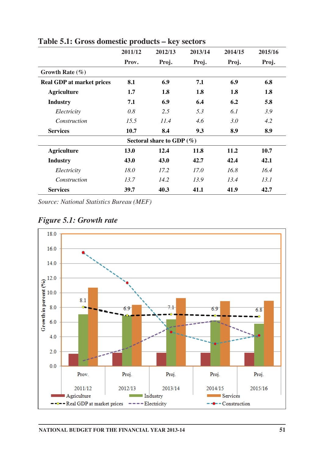|                                  | ᆂ       |                              |         |         |         |
|----------------------------------|---------|------------------------------|---------|---------|---------|
|                                  | 2011/12 | 2012/13                      | 2013/14 | 2014/15 | 2015/16 |
|                                  | Prov.   | Proj.                        | Proj.   | Proj.   | Proj.   |
| Growth Rate $(\% )$              |         |                              |         |         |         |
| <b>Real GDP</b> at market prices | 8.1     | 6.9                          | 7.1     | 6.9     | 6.8     |
| <b>Agriculture</b>               | 1.7     | 1.8                          | 1.8     | 1.8     | 1.8     |
| <b>Industry</b>                  | 7.1     | 6.9                          | 6.4     | 6.2     | 5.8     |
| Electricity                      | 0.8     | 2.5                          | 5.3     | 6.1     | 3.9     |
| Construction                     | 15.5    | 11.4                         | 4.6     | 3.0     | 4.2     |
| <b>Services</b>                  | 10.7    | 8.4                          | 9.3     | 8.9     | 8.9     |
|                                  |         | Sectoral share to GDP $(\%)$ |         |         |         |
| <b>Agriculture</b>               | 13.0    | 12.4                         | 11.8    | 11.2    | 10.7    |
| <b>Industry</b>                  | 43.0    | 43.0                         | 42.7    | 42.4    | 42.1    |
| Electricity                      | 18.0    | 17.2                         | 17.0    | 16.8    | 16.4    |
| Construction                     | 13.7    | 14.2                         | 13.9    | 13.4    | 13.1    |
| <b>Services</b>                  | 39.7    | 40.3                         | 41.1    | 41.9    | 42.7    |

**Table 5.1: Gross domestic products – key sectors**

*Source: National Statistics Bureau (MEF)*



*Figure 5.1: Growth rate*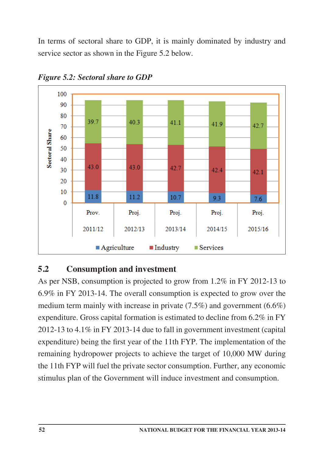In terms of sectoral share to GDP, it is mainly dominated by industry and service sector as shown in the Figure 5.2 below.



*Figure 5.2: Sectoral share to GDP*

### **5.2 Consumption and investment**

As per NSB, consumption is projected to grow from 1.2% in FY 2012-13 to 6.9% in FY 2013-14. The overall consumption is expected to grow over the medium term mainly with increase in private (7.5%) and government (6.6%) expenditure. Gross capital formation is estimated to decline from 6.2% in FY 2012-13 to 4.1% in FY 2013-14 due to fall in government investment (capital expenditure) being the first year of the 11th FYP. The implementation of the remaining hydropower projects to achieve the target of 10,000 MW during the 11th FYP will fuel the private sector consumption. Further, any economic stimulus plan of the Government will induce investment and consumption.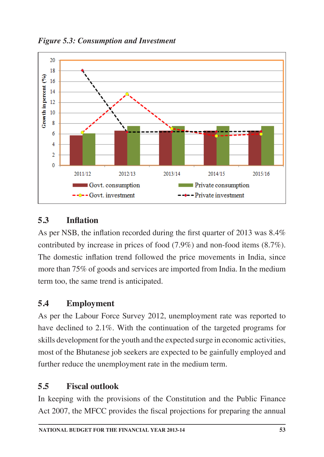

*Figure 5.3: Consumption and Investment*

# **5.3 Inflation**

As per NSB, the inflation recorded during the first quarter of 2013 was 8.4% contributed by increase in prices of food (7.9%) and non-food items (8.7%). The domestic inflation trend followed the price movements in India, since more than 75% of goods and services are imported from India. In the medium term too, the same trend is anticipated.

# **5.4 Employment**

As per the Labour Force Survey 2012, unemployment rate was reported to have declined to 2.1%. With the continuation of the targeted programs for skills development for the youth and the expected surge in economic activities, most of the Bhutanese job seekers are expected to be gainfully employed and further reduce the unemployment rate in the medium term.

# **5.5 Fiscal outlook**

In keeping with the provisions of the Constitution and the Public Finance Act 2007, the MFCC provides the fiscal projections for preparing the annual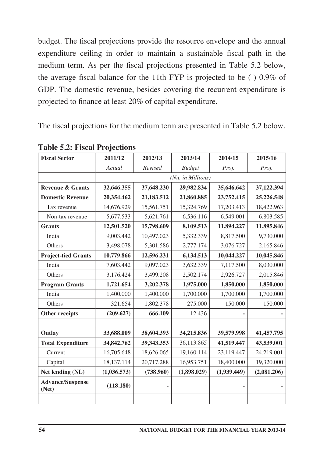budget. The fiscal projections provide the resource envelope and the annual expenditure ceiling in order to maintain a sustainable fiscal path in the medium term. As per the fiscal projections presented in Table 5.2 below, the average fiscal balance for the 11th FYP is projected to be (-) 0.9% of GDP. The domestic revenue, besides covering the recurrent expenditure is projected to finance at least 20% of capital expenditure.

The fiscal projections for the medium term are presented in Table 5.2 below.

| <b>Fiscal Sector</b>             | 2011/12     | 2012/13                                              | 2013/14           | 2014/15     | 2015/16     |  |  |
|----------------------------------|-------------|------------------------------------------------------|-------------------|-------------|-------------|--|--|
|                                  | Actual      | Revised                                              | <b>Budget</b>     | Proj.       | Proj.       |  |  |
|                                  |             |                                                      | (Nu. in Millions) |             |             |  |  |
| <b>Revenue &amp; Grants</b>      | 32,646.355  | 29,982.834<br>37,648.230<br>37,122.394<br>35,646.642 |                   |             |             |  |  |
| <b>Domestic Revenue</b>          | 20,354.462  | 21,183.512                                           | 21,860.885        | 23,752.415  | 25,226.548  |  |  |
| Tax revenue                      | 14,676.929  | 15,561.751                                           | 15,324.769        | 17,203.413  | 18,422.963  |  |  |
| Non-tax revenue                  | 5,677.533   | 5,621.761                                            | 6,536.116         | 6,549.001   | 6,803.585   |  |  |
| <b>Grants</b>                    | 12,501.520  | 15,798.609                                           | 8,109.513         | 11,894.227  | 11,895.846  |  |  |
| India                            | 9,003.442   | 10,497.023                                           | 5,332.339         | 8,817.500   | 9,730.000   |  |  |
| Others                           | 3,498.078   | 5,301.586                                            | 2,777.174         | 3,076.727   | 2,165.846   |  |  |
| <b>Project-tied Grants</b>       | 10,779.866  | 12,596.231                                           | 6,134.513         | 10,044.227  | 10,045.846  |  |  |
| India                            | 7,603.442   | 9,097.023                                            | 3,632.339         | 7,117.500   | 8,030.000   |  |  |
| Others                           | 3,176.424   | 3,499.208                                            | 2,502.174         | 2,926.727   | 2,015.846   |  |  |
| <b>Program Grants</b>            | 1,721.654   | 3,202.378                                            | 1,975.000         | 1,850.000   | 1,850.000   |  |  |
| India                            | 1,400.000   | 1,400.000                                            | 1,700.000         | 1,700.000   | 1,700.000   |  |  |
| Others                           | 321.654     | 1,802.378                                            | 275.000           | 150.000     | 150.000     |  |  |
| <b>Other receipts</b>            | (209.627)   | 666.109                                              | 12.436            |             |             |  |  |
|                                  |             |                                                      |                   |             |             |  |  |
| Outlay                           | 33,688.009  | 38,604.393                                           | 34,215.836        | 39,579.998  | 41,457.795  |  |  |
| <b>Total Expenditure</b>         | 34,842.762  | 39,343.353                                           | 36,113.865        | 41,519.447  | 43,539.001  |  |  |
| Current                          | 16,705.648  | 18,626.065                                           | 19,160.114        | 23,119.447  | 24,219.001  |  |  |
| Capital                          | 18,137.114  | 20,717.288                                           | 16,953.751        | 18,400.000  | 19,320.000  |  |  |
| Net lending (NL)                 | (1,036.573) | (738.960)                                            | (1,898.029)       | (1,939.449) | (2,081.206) |  |  |
| <b>Advance/Suspense</b><br>(Net) | (118.180)   |                                                      |                   | ٠           |             |  |  |
|                                  |             |                                                      |                   |             |             |  |  |

**Table 5.2: Fiscal Projections**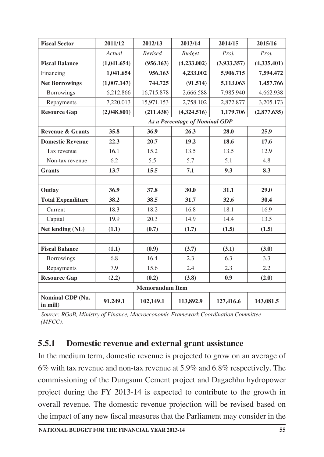| <b>Fiscal Sector</b>         | 2011/12     | 2012/13                | 2013/14                        | 2014/15     | 2015/16     |
|------------------------------|-------------|------------------------|--------------------------------|-------------|-------------|
|                              | Actual      | Revised                | <b>Budget</b>                  | Proj.       | Proj.       |
| <b>Fiscal Balance</b>        | (1,041.654) | (956.163)              | (4,233.002)                    | (3,933.357) | (4,335.401) |
| Financing                    | 1,041.654   | 956.163                | 4,233.002                      | 5,906.715   | 7,594.472   |
| <b>Net Borrowings</b>        | (1,007.147) | 744.725                | (91.514)                       | 5,113.063   | 1,457.766   |
| <b>Borrowings</b>            | 6,212.866   | 16,715.878             | 2,666.588                      | 7,985.940   | 4,662.938   |
| Repayments                   | 7,220.013   | 15,971.153             | 2,758.102                      | 2,872.877   | 3,205.173   |
| <b>Resource Gap</b>          | (2,048.801) | (211.438)              | (4,324.516)                    | 1,179.706   | (2,877.635) |
|                              |             |                        | As a Percentage of Nominal GDP |             |             |
| <b>Revenue &amp; Grants</b>  | 35.8        | 36.9                   | 26.3                           | 28.0        | 25.9        |
| <b>Domestic Revenue</b>      | 22.3        | 20.7                   | 19.2                           | 18.6        | 17.6        |
| Tax revenue                  | 16.1        | 15.2                   | 13.5                           | 13.5        | 12.9        |
| Non-tax revenue              | 6.2         | 5.5                    | 5.7                            | 5.1         | 4.8         |
| <b>Grants</b>                | 13.7        | 15.5                   | 7.1                            | 9.3         | 8.3         |
|                              |             |                        |                                |             |             |
| Outlay                       | 36.9        | 37.8                   | 30.0                           | 31.1        | 29.0        |
| <b>Total Expenditure</b>     | 38.2        | 38.5                   | 31.7                           | 32.6        | 30.4        |
| Current                      | 18.3        | 18.2                   | 16.8                           | 18.1        | 16.9        |
| Capital                      | 19.9        | 20.3                   | 14.9                           | 14.4        | 13.5        |
| Net lending (NL)             | (1.1)       | (0.7)                  | (1.7)                          | (1.5)       | (1.5)       |
|                              |             |                        |                                |             |             |
| <b>Fiscal Balance</b>        | (1.1)       | (0.9)                  | (3.7)                          | (3.1)       | (3.0)       |
| <b>Borrowings</b>            | 6.8         | 16.4                   | 2.3                            | 6.3         | 3.3         |
| Repayments                   | 7.9         | 15.6                   | 2.4                            | 2.3         | 2.2         |
| <b>Resource Gap</b>          | (2.2)       | (0.2)                  | (3.8)                          | 0.9         | (2.0)       |
|                              |             | <b>Memorandum Item</b> |                                |             |             |
| Nominal GDP (Nu.<br>in mill) | 91,249.1    | 102,149.1              | 113,892.9                      | 127,416.6   | 143,081.5   |

*Source: RGoB, Ministry of Finance, Macroeconomic Framework Coordination Committee (MFCC).*

# **5.5.1 Domestic revenue and external grant assistance**

In the medium term, domestic revenue is projected to grow on an average of 6% with tax revenue and non-tax revenue at 5.9% and 6.8% respectively. The commissioning of the Dungsum Cement project and Dagachhu hydropower project during the FY 2013-14 is expected to contribute to the growth in overall revenue. The domestic revenue projection will be revised based on the impact of any new fiscal measures that the Parliament may consider in the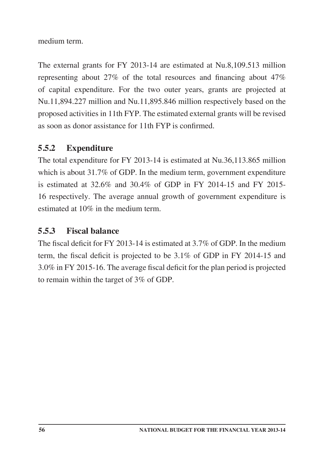medium term.

The external grants for FY 2013-14 are estimated at Nu.8,109.513 million representing about 27% of the total resources and financing about 47% of capital expenditure. For the two outer years, grants are projected at Nu.11,894.227 million and Nu.11,895.846 million respectively based on the proposed activities in 11th FYP. The estimated external grants will be revised as soon as donor assistance for 11th FYP is confirmed.

# **5.5.2 Expenditure**

The total expenditure for FY 2013-14 is estimated at Nu.36,113.865 million which is about 31.7% of GDP. In the medium term, government expenditure is estimated at 32.6% and 30.4% of GDP in FY 2014-15 and FY 2015- 16 respectively. The average annual growth of government expenditure is estimated at 10% in the medium term.

### **5.5.3 Fiscal balance**

The fiscal deficit for FY 2013-14 is estimated at 3.7% of GDP. In the medium term, the fiscal deficit is projected to be 3.1% of GDP in FY 2014-15 and 3.0% in FY 2015-16. The average fiscal deficit for the plan period is projected to remain within the target of 3% of GDP.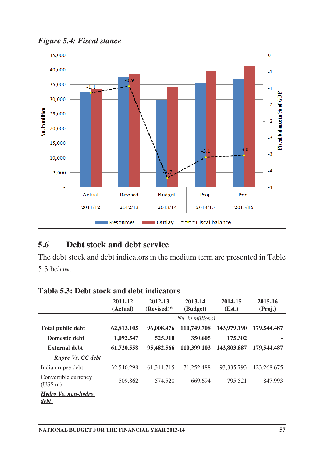

*Figure 5.4: Fiscal stance*

#### **5.6 Debt stock and debt service**

The debt stock and debt indicators in the medium term are presented in Table 5.3 below.

|                                  | 2011-12<br>(Actual) | 2012-13<br>$(Revised)*$ | 2013-14<br>(Budget) | 2014-15<br>(Est.) | 2015-16<br>(Proj.) |
|----------------------------------|---------------------|-------------------------|---------------------|-------------------|--------------------|
|                                  |                     |                         | (Nu. in millions)   |                   |                    |
| <b>Total public debt</b>         | 62,813.105          | 96,008.476              | 110,749.708         | 143,979,190       | 179,544.487        |
| Domestic debt                    | 1,092.547           | 525.910                 | 350.605             | 175.302           |                    |
| External debt                    | 61,720.558          | 95,482.566              | 110,399.103         | 143,803.887       | 179,544.487        |
| Rupee Vs. CC debt                |                     |                         |                     |                   |                    |
| Indian rupee debt                | 32,546,298          | 61, 341. 715            | 71,252,488          | 93,335,793        | 123,268.675        |
| Convertible currency<br>(US\$ m) | 509.862             | 574.520                 | 669.694             | 795.521           | 847.993            |
| Hydro Vs. non-hydro<br>debt      |                     |                         |                     |                   |                    |

#### **Table 5.3: Debt stock and debt indicators**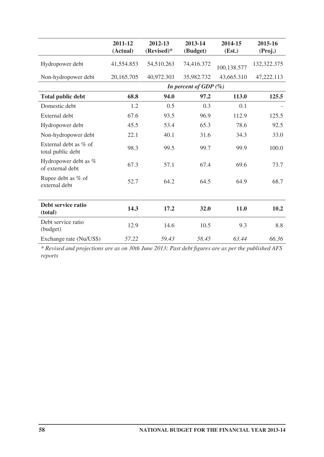|                                              | 2011-12<br>(Actual) | 2012-13<br>$(Revised)*$ | 2013-14<br>(Budget)      | 2014-15<br>(Est.) | 2015-16<br>(Proj.) |
|----------------------------------------------|---------------------|-------------------------|--------------------------|-------------------|--------------------|
| Hydropower debt                              | 41,554.853          | 54,510.263              | 74,416.372               | 100,138.577       | 132,322.375        |
| Non-hydropower debt                          | 20,165.705          | 40,972.303              | 35,982.732               | 43,665.310        | 47,222.113         |
|                                              |                     |                         | In percent of GDP $(\%)$ |                   |                    |
| <b>Total public debt</b>                     | 68.8                | 94.0                    | 97.2                     | 113.0             | 125.5              |
| Domestic debt                                | 1.2                 | 0.5                     | 0.3                      | 0.1               |                    |
| External debt                                | 67.6                | 93.5                    | 96.9                     | 112.9             | 125.5              |
| Hydropower debt                              | 45.5                | 53.4                    | 65.3                     | 78.6              | 92.5               |
| Non-hydropower debt                          | 22.1                | 40.1                    | 31.6                     | 34.3              | 33.0               |
| External debt as $%$ of<br>total public debt | 98.3                | 99.5                    | 99.7                     | 99.9              | 100.0              |
| Hydropower debt as %<br>of external debt     | 67.3                | 57.1                    | 67.4                     | 69.6              | 73.7               |
| Rupee debt as % of<br>external debt          | 52.7                | 64.2                    | 64.5                     | 64.9              | 68.7               |
|                                              |                     |                         |                          |                   |                    |
| Debt service ratio<br>(total)                | 14.3                | 17.2                    | 32.0                     | 11.0              | 10.2               |
| Debt service ratio<br>(budget)               | 12.9                | 14.6                    | 10.5                     | 9.3               | 8.8                |
| Exchange rate (Nu/US\$)                      | 57.22               | 59.43                   | 58.45                    | 63.44             | 66.36              |

*\* Revised and projections are as on 30th June 2013; Past debt figures are as per the published AFS reports*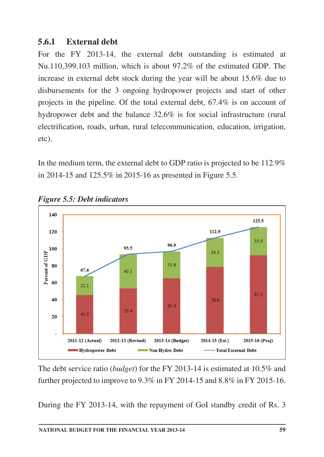### **5.6.1 External debt**

For the FY 2013-14, the external debt outstanding is estimated at Nu.110,399.103 million, which is about 97.2% of the estimated GDP. The increase in external debt stock during the year will be about 15.6% due to disbursements for the 3 ongoing hydropower projects and start of other projects in the pipeline. Of the total external debt, 67.4% is on account of hydropower debt and the balance 32.6% is for social infrastructure (rural electrification, roads, urban, rural telecommunication, education, irrigation, etc).

In the medium term, the external debt to GDP ratio is projected to be 112.9% in 2014-15 and 125.5% in 2015-16 as presented in Figure 5.5.



*Figure 5.5: Debt indicators*

The debt service ratio (*budget*) for the FY 2013-14 is estimated at 10.5% and further projected to improve to 9.3% in FY 2014-15 and 8.8% in FY 2015-16.

During the FY 2013-14, with the repayment of GoI standby credit of Rs. 3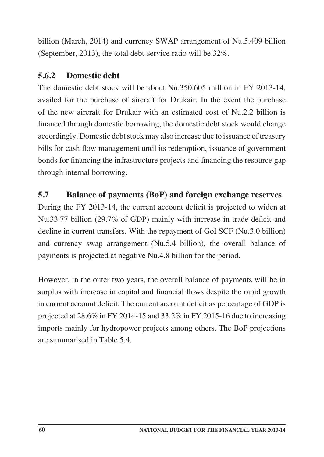billion (March, 2014) and currency SWAP arrangement of Nu.5.409 billion (September, 2013), the total debt-service ratio will be 32%.

# **5.6.2 Domestic debt**

The domestic debt stock will be about Nu.350.605 million in FY 2013-14, availed for the purchase of aircraft for Drukair. In the event the purchase of the new aircraft for Drukair with an estimated cost of Nu.2.2 billion is financed through domestic borrowing, the domestic debt stock would change accordingly. Domestic debt stock may also increase due to issuance of treasury bills for cash flow management until its redemption, issuance of government bonds for financing the infrastructure projects and financing the resource gap through internal borrowing.

# **5.7 Balance of payments (BoP) and foreign exchange reserves**

During the FY 2013-14, the current account deficit is projected to widen at Nu.33.77 billion (29.7% of GDP) mainly with increase in trade deficit and decline in current transfers. With the repayment of GoI SCF (Nu.3.0 billion) and currency swap arrangement (Nu.5.4 billion), the overall balance of payments is projected at negative Nu.4.8 billion for the period.

However, in the outer two years, the overall balance of payments will be in surplus with increase in capital and financial flows despite the rapid growth in current account deficit. The current account deficit as percentage of GDP is projected at 28.6% in FY 2014-15 and 33.2% in FY 2015-16 due to increasing imports mainly for hydropower projects among others. The BoP projections are summarised in Table 5.4.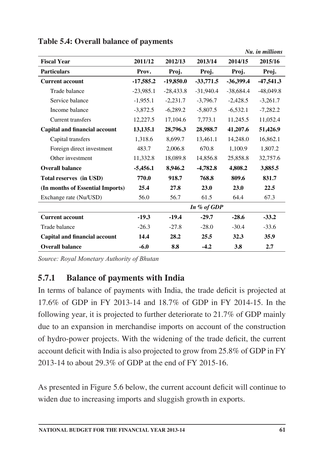|                                      |             |             |             |             | Nu. in millions |
|--------------------------------------|-------------|-------------|-------------|-------------|-----------------|
| <b>Fiscal Year</b>                   | 2011/12     | 2012/13     | 2013/14     | 2014/15     | 2015/16         |
| <b>Particulars</b>                   | Prov.       | Proj.       | Proj.       | Proj.       | Proj.           |
| <b>Current account</b>               | $-17,585.2$ | $-19,850.0$ | $-33,771.5$ | $-36,399.4$ | $-47,541.3$     |
| Trade balance                        | $-23,985.1$ | $-28,433.8$ | $-31,940.4$ | $-38,684.4$ | $-48,049.8$     |
| Service balance                      | $-1,955.1$  | $-2,231.7$  | $-3,796.7$  | $-2,428.5$  | $-3,261.7$      |
| Income balance                       | $-3,872.5$  | $-6.289.2$  | $-5,807.5$  | $-6,532.1$  | $-7,282.2$      |
| Current transfers                    | 12,227.5    | 17,104.6    | 7,773.1     | 11,245.5    | 11,052.4        |
| <b>Capital and financial account</b> | 13,135.1    | 28,796.3    | 28,988.7    | 41,207.6    | 51,426.9        |
| Capital transfers                    | 1,318.6     | 8.699.7     | 13.461.1    | 14,248.0    | 16,862.1        |
| Foreign direct investment            | 483.7       | 2,006.8     | 670.8       | 1,100.9     | 1,807.2         |
| Other investment                     | 11,332.8    | 18,089.8    | 14,856.8    | 25,858.8    | 32,757.6        |
| <b>Overall balance</b>               | $-5,456.1$  | 8,946.2     | $-4,782.8$  | 4,808.2     | 3,885.5         |
| Total reserves (in USD)              | 770.0       | 918.7       | 768.8       | 809.6       | 831.7           |
| (In months of Essential Imports)     | 25.4        | 27.8        | 23.0        | 23.0        | 22.5            |
| Exchange rate (Nu/USD)               | 56.0        | 56.7        | 61.5        | 64.4        | 67.3            |
|                                      |             |             | In % of GDP |             |                 |
| <b>Current account</b>               | $-19.3$     | $-19.4$     | $-29.7$     | $-28.6$     | $-33.2$         |
| Trade balance                        | $-26.3$     | $-27.8$     | $-28.0$     | $-30.4$     | $-33.6$         |
| <b>Capital and financial account</b> | 14.4        | 28.2        | 25.5        | 32.3        | 35.9            |
| <b>Overall balance</b>               | $-6.0$      | 8.8         | $-4.2$      | 3.8         | 2.7             |

### **Table 5.4: Overall balance of payments**

*Source: Royal Monetary Authority of Bhutan*

# **5.7.1 Balance of payments with India**

In terms of balance of payments with India, the trade deficit is projected at 17.6% of GDP in FY 2013-14 and 18.7% of GDP in FY 2014-15. In the following year, it is projected to further deteriorate to 21.7% of GDP mainly due to an expansion in merchandise imports on account of the construction of hydro-power projects. With the widening of the trade deficit, the current account deficit with India is also projected to grow from 25.8% of GDP in FY 2013-14 to about 29.3% of GDP at the end of FY 2015-16.

As presented in Figure 5.6 below, the current account deficit will continue to widen due to increasing imports and sluggish growth in exports.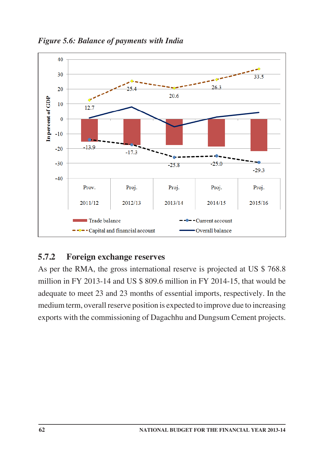



### **5.7.2 Foreign exchange reserves**

As per the RMA, the gross international reserve is projected at US \$ 768.8 million in FY 2013-14 and US \$ 809.6 million in FY 2014-15, that would be adequate to meet 23 and 23 months of essential imports, respectively. In the medium term, overall reserve position is expected to improve due to increasing exports with the commissioning of Dagachhu and Dungsum Cement projects.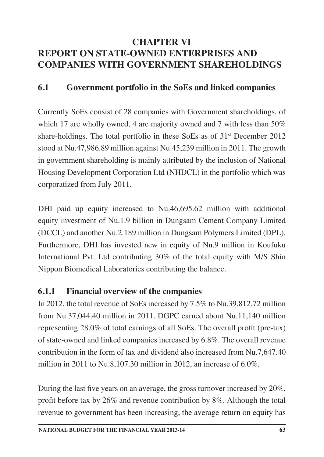# **CHAPTER VI REPORT ON STATE-OWNED ENTERPRISES AND COMPANIES WITH GOVERNMENT SHAREHOLDINGS**

### **6.1 Government portfolio in the SoEs and linked companies**

Currently SoEs consist of 28 companies with Government shareholdings, of which 17 are wholly owned, 4 are majority owned and 7 with less than 50% share-holdings. The total portfolio in these SoEs as of  $31<sup>st</sup>$  December 2012 stood at Nu.47,986.89 million against Nu.45,239 million in 2011. The growth in government shareholding is mainly attributed by the inclusion of National Housing Development Corporation Ltd (NHDCL) in the portfolio which was corporatized from July 2011.

DHI paid up equity increased to Nu.46,695.62 million with additional equity investment of Nu.1.9 billion in Dungsam Cement Company Limited (DCCL) and another Nu.2.189 million in Dungsam Polymers Limited (DPL). Furthermore, DHI has invested new in equity of Nu.9 million in Koufuku International Pvt. Ltd contributing 30% of the total equity with M/S Shin Nippon Biomedical Laboratories contributing the balance.

# **6.1.1 Financial overview of the companies**

In 2012, the total revenue of SoEs increased by 7.5% to Nu.39,812.72 million from Nu.37,044.40 million in 2011. DGPC earned about Nu.11,140 million representing 28.0% of total earnings of all SoEs. The overall profit (pre-tax) of state-owned and linked companies increased by 6.8%. The overall revenue contribution in the form of tax and dividend also increased from Nu.7,647.40 million in 2011 to Nu.8,107.30 million in 2012, an increase of 6.0%.

During the last five years on an average, the gross turnover increased by 20%, profit before tax by 26% and revenue contribution by 8%. Although the total revenue to government has been increasing, the average return on equity has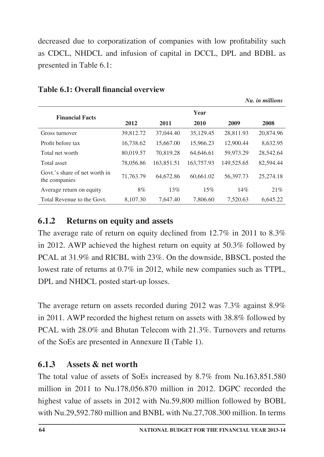decreased due to corporatization of companies with low profitability such as CDCL, NHDCL and infusion of capital in DCCL, DPL and BDBL as presented in Table 6.1:

*Nu. in millions*

| <b>Financial Facts</b>                         | Year      |            |            |            |           |  |  |
|------------------------------------------------|-----------|------------|------------|------------|-----------|--|--|
|                                                | 2012      | 2011       | 2010       | 2009       | 2008      |  |  |
| Gross turnover                                 | 39,812.72 | 37,044.40  | 35,129.45  | 28,811.93  | 20,874.96 |  |  |
| Profit before tax                              | 16,738.62 | 15,667.00  | 15,966.23  | 12,900.44  | 8,632.95  |  |  |
| Total net worth                                | 80,019.57 | 70.819.28  | 64,646.61  | 59,973.29  | 28,542.64 |  |  |
| Total asset                                    | 78,056.86 | 163,851.51 | 163,757.93 | 149,525.65 | 82,594.44 |  |  |
| Govt,'s share of net worth in<br>the companies | 71,763.79 | 64,672.86  | 60,661.02  | 56,397.73  | 25,274.18 |  |  |
| Average return on equity                       | 8%        | 13%        | 15%        | 14%        | 21%       |  |  |
| Total Revenue to the Govt.                     | 8,107.30  | 7.647.40   | 7,806.60   | 7.520.63   | 6.645.22  |  |  |

#### **Table 6.1: Overall financial overview**

### **6.1.2 Returns on equity and assets**

The average rate of return on equity declined from 12.7% in 2011 to 8.3% in 2012. AWP achieved the highest return on equity at 50.3% followed by PCAL at 31.9% and RICBL with 23%. On the downside, BBSCL posted the lowest rate of returns at 0.7% in 2012, while new companies such as TTPL, DPL and NHDCL posted start-up losses.

The average return on assets recorded during 2012 was 7.3% against 8.9% in 2011. AWP recorded the highest return on assets with 38.8% followed by PCAL with 28.0% and Bhutan Telecom with 21.3%. Turnovers and returns of the SoEs are presented in Annexure II (Table 1).

### **6.1.3 Assets & net worth**

The total value of assets of SoEs increased by 8.7% from Nu.163,851.580 million in 2011 to Nu.178,056.870 million in 2012. DGPC recorded the highest value of assets in 2012 with Nu.59,800 million followed by BOBL with Nu.29,592.780 million and BNBL with Nu.27,708.300 million. In terms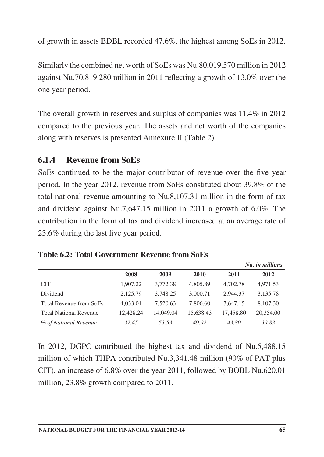of growth in assets BDBL recorded 47.6%, the highest among SoEs in 2012.

Similarly the combined net worth of SoEs was Nu.80,019.570 million in 2012 against Nu.70,819.280 million in 2011 reflecting a growth of 13.0% over the one year period.

The overall growth in reserves and surplus of companies was 11.4% in 2012 compared to the previous year. The assets and net worth of the companies along with reserves is presented Annexure II (Table 2).

#### **6.1.4 Revenue from SoEs**

SoEs continued to be the major contributor of revenue over the five year period. In the year 2012, revenue from SoEs constituted about 39.8% of the total national revenue amounting to Nu.8,107.31 million in the form of tax and dividend against Nu.7,647.15 million in 2011 a growth of 6.0%. The contribution in the form of tax and dividend increased at an average rate of 23.6% during the last five year period.

|                                |           |           |           |           | Nu. in millions |
|--------------------------------|-----------|-----------|-----------|-----------|-----------------|
|                                | 2008      | 2009      | 2010      | 2011      | 2012            |
| <b>CIT</b>                     | 1,907.22  | 3,772.38  | 4,805.89  | 4,702.78  | 4,971.53        |
| Dividend                       | 2,125.79  | 3,748.25  | 3,000.71  | 2,944.37  | 3,135.78        |
| <b>Total Revenue from SoEs</b> | 4,033.01  | 7,520.63  | 7,806.60  | 7.647.15  | 8,107.30        |
| <b>Total National Revenue</b>  | 12,428.24 | 14,049.04 | 15,638.43 | 17,458.80 | 20,354.00       |
| % of National Revenue          | 32.45     | 53.53     | 49.92     | 43.80     | 39.83           |

#### **Table 6.2: Total Government Revenue from SoEs**

In 2012, DGPC contributed the highest tax and dividend of Nu.5,488.15 million of which THPA contributed Nu.3,341.48 million (90% of PAT plus CIT), an increase of 6.8% over the year 2011, followed by BOBL Nu.620.01 million, 23.8% growth compared to 2011.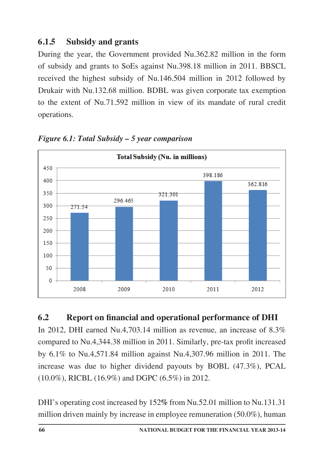## **6.1.5 Subsidy and grants**

During the year, the Government provided Nu.362.82 million in the form of subsidy and grants to SoEs against Nu.398.18 million in 2011. BBSCL received the highest subsidy of Nu.146.504 million in 2012 followed by Drukair with Nu.132.68 million. BDBL was given corporate tax exemption to the extent of Nu.71.592 million in view of its mandate of rural credit operations.



*Figure 6.1: Total Subsidy – 5 year comparison*

### **6.2 Report on financial and operational performance of DHI**

In 2012, DHI earned Nu.4,703.14 million as revenue, an increase of 8.3% compared to Nu.4,344.38 million in 2011. Similarly, pre-tax profit increased by 6.1% to Nu.4,571.84 million against Nu.4,307.96 million in 2011. The increase was due to higher dividend payouts by BOBL (47.3%), PCAL (10.0%), RICBL (16.9%) and DGPC (6.5%) in 2012.

DHI's operating cost increased by 152*%* from Nu.52.01 million to Nu.131.31 million driven mainly by increase in employee remuneration (50.0%), human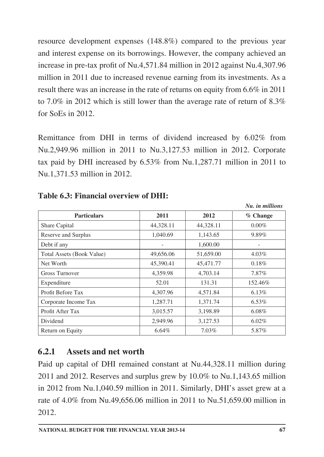resource development expenses (148.8%) compared to the previous year and interest expense on its borrowings. However, the company achieved an increase in pre-tax profit of Nu.4,571.84 million in 2012 against Nu.4,307.96 million in 2011 due to increased revenue earning from its investments. As a result there was an increase in the rate of returns on equity from 6.6% in 2011 to 7.0% in 2012 which is still lower than the average rate of return of 8.3% for SoEs in 2012.

Remittance from DHI in terms of dividend increased by 6.02% from Nu.2,949.96 million in 2011 to Nu.3,127.53 million in 2012. Corporate tax paid by DHI increased by 6.53% from Nu.1,287.71 million in 2011 to Nu.1,371.53 million in 2012.

|                           |           |           | Nu. in millions |
|---------------------------|-----------|-----------|-----------------|
| <b>Particulars</b>        | 2011      | 2012      | % Change        |
| Share Capital             | 44,328.11 | 44,328.11 | $0.00\%$        |
| Reserve and Surplus       | 1,040.69  | 1,143.65  | 9.89%           |
| Debt if any               |           | 1,600.00  |                 |
| Total Assets (Book Value) | 49,656.06 | 51,659.00 | 4.03%           |
| Net Worth                 | 45,390.41 | 45,471.77 | 0.18%           |
| <b>Gross Turnover</b>     | 4,359.98  | 4,703.14  | 7.87%           |
| Expenditure               | 52.01     | 131.31    | 152.46%         |
| Profit Before Tax         | 4,307.96  | 4,571.84  | $6.13\%$        |
| Corporate Income Tax      | 1,287.71  | 1,371.74  | $6.53\%$        |
| Profit After Tax          | 3,015.57  | 3,198.89  | $6.08\%$        |
| Dividend                  | 2,949.96  | 3,127.53  | $6.02\%$        |
| Return on Equity          | 6.64%     | $7.03\%$  | 5.87%           |

#### **Table 6.3: Financial overview of DHI:**

### **6.2.1 Assets and net worth**

Paid up capital of DHI remained constant at Nu.44,328.11 million during 2011 and 2012. Reserves and surplus grew by 10.0% to Nu.1,143.65 million in 2012 from Nu.1,040.59 million in 2011. Similarly, DHI's asset grew at a rate of 4.0% from Nu.49,656.06 million in 2011 to Nu.51,659.00 million in 2012.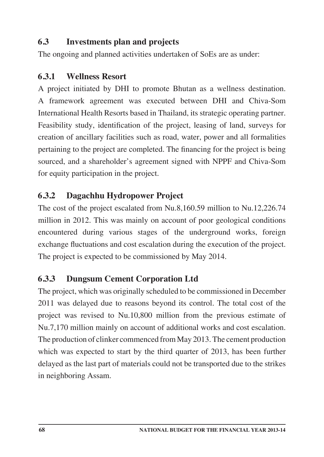#### **6.3 Investments plan and projects**

The ongoing and planned activities undertaken of SoEs are as under:

#### **6.3.1 Wellness Resort**

A project initiated by DHI to promote Bhutan as a wellness destination. A framework agreement was executed between DHI and Chiva-Som International Health Resorts based in Thailand, its strategic operating partner. Feasibility study, identification of the project, leasing of land, surveys for creation of ancillary facilities such as road, water, power and all formalities pertaining to the project are completed. The financing for the project is being sourced, and a shareholder's agreement signed with NPPF and Chiva-Som for equity participation in the project.

#### **6.3.2 Dagachhu Hydropower Project**

The cost of the project escalated from Nu.8,160.59 million to Nu.12,226.74 million in 2012. This was mainly on account of poor geological conditions encountered during various stages of the underground works, foreign exchange fluctuations and cost escalation during the execution of the project. The project is expected to be commissioned by May 2014.

#### **6.3.3 Dungsum Cement Corporation Ltd**

The project, which was originally scheduled to be commissioned in December 2011 was delayed due to reasons beyond its control. The total cost of the project was revised to Nu.10,800 million from the previous estimate of Nu.7,170 million mainly on account of additional works and cost escalation. The production of clinker commenced from May 2013. The cement production which was expected to start by the third quarter of 2013, has been further delayed as the last part of materials could not be transported due to the strikes in neighboring Assam.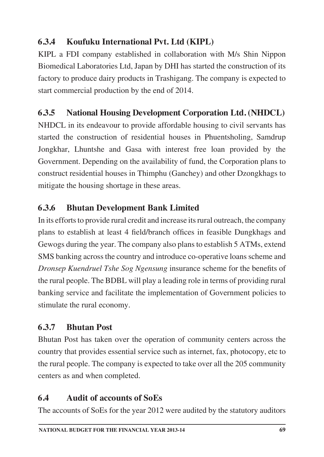### **6.3.4 Koufuku International Pvt. Ltd (KIPL)**

KIPL a FDI company established in collaboration with M/s Shin Nippon Biomedical Laboratories Ltd, Japan by DHI has started the construction of its factory to produce dairy products in Trashigang. The company is expected to start commercial production by the end of 2014.

## **6.3.5 National Housing Development Corporation Ltd. (NHDCL)**

NHDCL in its endeavour to provide affordable housing to civil servants has started the construction of residential houses in Phuentsholing, Samdrup Jongkhar, Lhuntshe and Gasa with interest free loan provided by the Government. Depending on the availability of fund, the Corporation plans to construct residential houses in Thimphu (Ganchey) and other Dzongkhags to mitigate the housing shortage in these areas.

## **6.3.6 Bhutan Development Bank Limited**

In its efforts to provide rural credit and increase its rural outreach, the company plans to establish at least 4 field/branch offices in feasible Dungkhags and Gewogs during the year. The company also plans to establish 5 ATMs, extend SMS banking across the country and introduce co-operative loans scheme and *Dronsep Kuendruel Tshe Sog Ngensung* insurance scheme for the benefits of the rural people. The BDBL will play a leading role in terms of providing rural banking service and facilitate the implementation of Government policies to stimulate the rural economy.

### **6.3.7 Bhutan Post**

Bhutan Post has taken over the operation of community centers across the country that provides essential service such as internet, fax, photocopy, etc to the rural people. The company is expected to take over all the 205 community centers as and when completed.

### **6.4 Audit of accounts of SoEs**

The accounts of SoEs for the year 2012 were audited by the statutory auditors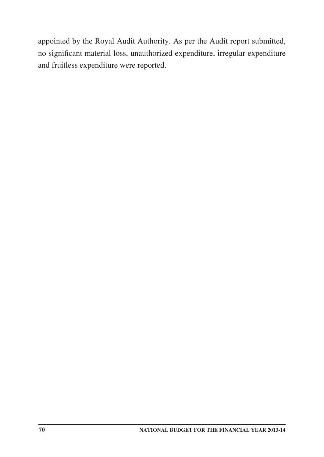appointed by the Royal Audit Authority. As per the Audit report submitted, no significant material loss, unauthorized expenditure, irregular expenditure and fruitless expenditure were reported.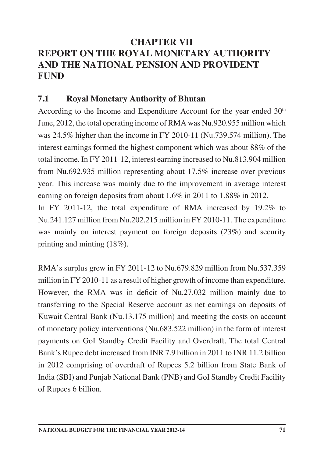## **CHAPTER VII REPORT ON THE ROYAL MONETARY AUTHORITY AND THE NATIONAL PENSION AND PROVIDENT FUND**

#### **7.1 Royal Monetary Authority of Bhutan**

According to the Income and Expenditure Account for the year ended 30<sup>th</sup> June, 2012, the total operating income of RMA was Nu.920.955 million which was 24.5% higher than the income in FY 2010-11 (Nu.739.574 million). The interest earnings formed the highest component which was about 88% of the total income. In FY 2011-12, interest earning increased to Nu.813.904 million from Nu.692.935 million representing about 17.5% increase over previous year. This increase was mainly due to the improvement in average interest earning on foreign deposits from about 1.6% in 2011 to 1.88% in 2012.

In FY 2011-12, the total expenditure of RMA increased by 19.2% to Nu.241.127 million from Nu.202.215 million in FY 2010-11. The expenditure was mainly on interest payment on foreign deposits (23%) and security printing and minting (18%).

RMA's surplus grew in FY 2011-12 to Nu.679.829 million from Nu.537.359 million in FY 2010-11 as a result of higher growth of income than expenditure. However, the RMA was in deficit of Nu.27.032 million mainly due to transferring to the Special Reserve account as net earnings on deposits of Kuwait Central Bank (Nu.13.175 million) and meeting the costs on account of monetary policy interventions (Nu.683.522 million) in the form of interest payments on GoI Standby Credit Facility and Overdraft. The total Central Bank's Rupee debt increased from INR 7.9 billion in 2011 to INR 11.2 billion in 2012 comprising of overdraft of Rupees 5.2 billion from State Bank of India (SBI) and Punjab National Bank (PNB) and GoI Standby Credit Facility of Rupees 6 billion.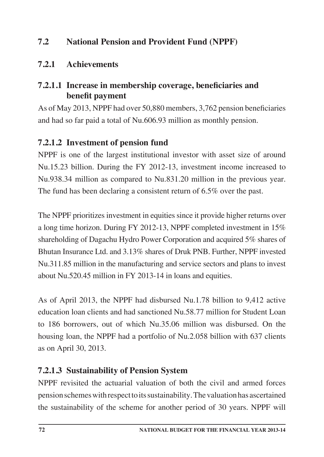#### **7.2 National Pension and Provident Fund (NPPF)**

#### **7.2.1 Achievements**

#### **7.2.1.1 Increase in membership coverage, beneficiaries and benefit payment**

As of May 2013, NPPF had over 50,880 members, 3,762 pension beneficiaries and had so far paid a total of Nu.606.93 million as monthly pension.

#### **7.2.1.2 Investment of pension fund**

NPPF is one of the largest institutional investor with asset size of around Nu.15.23 billion. During the FY 2012-13, investment income increased to Nu.938.34 million as compared to Nu.831.20 million in the previous year. The fund has been declaring a consistent return of 6.5% over the past.

The NPPF prioritizes investment in equities since it provide higher returns over a long time horizon. During FY 2012-13, NPPF completed investment in 15% shareholding of Dagachu Hydro Power Corporation and acquired 5% shares of Bhutan Insurance Ltd. and 3.13% shares of Druk PNB. Further, NPPF invested Nu.311.85 million in the manufacturing and service sectors and plans to invest about Nu.520.45 million in FY 2013-14 in loans and equities.

As of April 2013, the NPPF had disbursed Nu.1.78 billion to 9,412 active education loan clients and had sanctioned Nu.58.77 million for Student Loan to 186 borrowers, out of which Nu.35.06 million was disbursed. On the housing loan, the NPPF had a portfolio of Nu.2.058 billion with 637 clients as on April 30, 2013.

### **7.2.1.3 Sustainability of Pension System**

NPPF revisited the actuarial valuation of both the civil and armed forces pension schemes with respect to its sustainability. The valuation has ascertained the sustainability of the scheme for another period of 30 years. NPPF will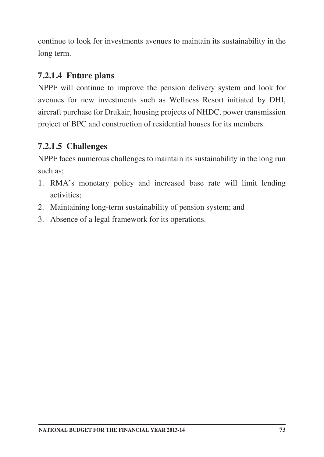continue to look for investments avenues to maintain its sustainability in the long term.

#### **7.2.1.4 Future plans**

NPPF will continue to improve the pension delivery system and look for avenues for new investments such as Wellness Resort initiated by DHI, aircraft purchase for Drukair, housing projects of NHDC, power transmission project of BPC and construction of residential houses for its members.

#### **7.2.1.5 Challenges**

NPPF faces numerous challenges to maintain its sustainability in the long run such as;

- 1. RMA's monetary policy and increased base rate will limit lending activities;
- 2. Maintaining long-term sustainability of pension system; and
- 3. Absence of a legal framework for its operations.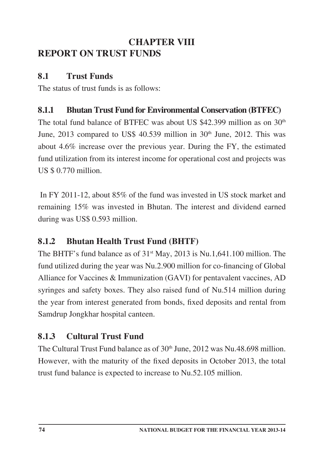## **CHAPTER VIII REPORT ON TRUST FUNDS**

#### **8.1 Trust Funds**

The status of trust funds is as follows:

#### **8.1.1 Bhutan Trust Fund for Environmental Conservation (BTFEC)**

The total fund balance of BTFEC was about US  $$42,399$  million as on  $30<sup>th</sup>$ June,  $2013$  compared to US\$ 40.539 million in  $30<sup>th</sup>$  June,  $2012$ . This was about 4.6% increase over the previous year. During the FY, the estimated fund utilization from its interest income for operational cost and projects was US \$ 0.770 million.

 In FY 2011-12, about 85% of the fund was invested in US stock market and remaining 15% was invested in Bhutan. The interest and dividend earned during was US\$ 0.593 million.

### **8.1.2 Bhutan Health Trust Fund (BHTF)**

The BHTF's fund balance as of  $31<sup>st</sup>$  May, 2013 is Nu.1,641.100 million. The fund utilized during the year was Nu.2.900 million for co-financing of Global Alliance for Vaccines & Immunization (GAVI) for pentavalent vaccines, AD syringes and safety boxes. They also raised fund of Nu.514 million during the year from interest generated from bonds, fixed deposits and rental from Samdrup Jongkhar hospital canteen.

### **8.1.3 Cultural Trust Fund**

The Cultural Trust Fund balance as of 30<sup>th</sup> June, 2012 was Nu.48.698 million. However, with the maturity of the fixed deposits in October 2013, the total trust fund balance is expected to increase to Nu.52.105 million.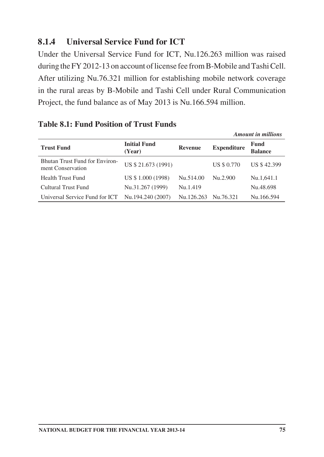#### **8.1.4 Universal Service Fund for ICT**

Under the Universal Service Fund for ICT, Nu.126.263 million was raised during the FY 2012-13 on account of license fee from B-Mobile and Tashi Cell. After utilizing Nu.76.321 million for establishing mobile network coverage in the rural areas by B-Mobile and Tashi Cell under Rural Communication Project, the fund balance as of May 2013 is Nu.166.594 million.

|                                                            |                               |                |                    | <b>Amount in millions</b> |
|------------------------------------------------------------|-------------------------------|----------------|--------------------|---------------------------|
| <b>Trust Fund</b>                                          | <b>Initial Fund</b><br>(Year) | <b>Revenue</b> | <b>Expenditure</b> | Fund<br><b>Balance</b>    |
| <b>Bhutan Trust Fund for Environ-</b><br>ment Conservation | US \$21.673 (1991)            |                | <b>US \$ 0.770</b> | US \$42.399               |
| <b>Health Trust Fund</b>                                   | US \$1.000 (1998)             | Nu.514.00      | Nu.2.900           | Nu.1,641.1                |
| Cultural Trust Fund                                        | Nu.31.267 (1999)              | Nu.1.419       |                    | Nu.48.698                 |
| Universal Service Fund for ICT                             | Nu.194.240 (2007)             | Nu.126.263     | Nu.76.321          | Nu.166.594                |

#### **Table 8.1: Fund Position of Trust Funds**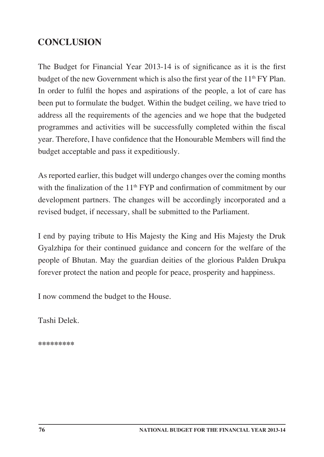## **CONCLUSION**

The Budget for Financial Year 2013-14 is of significance as it is the first budget of the new Government which is also the first year of the 11<sup>th</sup> FY Plan. In order to fulfil the hopes and aspirations of the people, a lot of care has been put to formulate the budget. Within the budget ceiling, we have tried to address all the requirements of the agencies and we hope that the budgeted programmes and activities will be successfully completed within the fiscal year. Therefore, I have confidence that the Honourable Members will find the budget acceptable and pass it expeditiously.

As reported earlier, this budget will undergo changes over the coming months with the finalization of the  $11<sup>th</sup> FYP$  and confirmation of commitment by our development partners. The changes will be accordingly incorporated and a revised budget, if necessary, shall be submitted to the Parliament.

I end by paying tribute to His Majesty the King and His Majesty the Druk Gyalzhipa for their continued guidance and concern for the welfare of the people of Bhutan. May the guardian deities of the glorious Palden Drukpa forever protect the nation and people for peace, prosperity and happiness.

I now commend the budget to the House.

Tashi Delek.

**\*\*\*\*\*\*\*\*\***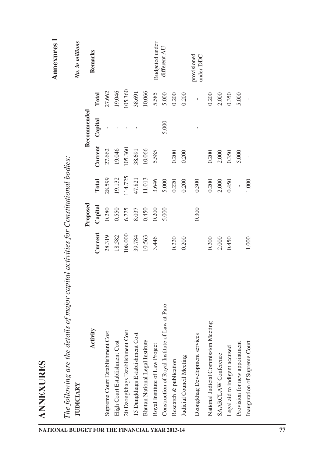| <b>JUDICIARY</b>                                                                 |         |          |         |         |             |         | Nu. in millions          |
|----------------------------------------------------------------------------------|---------|----------|---------|---------|-------------|---------|--------------------------|
| Activity                                                                         |         | Proposed |         |         | Recommended |         | Remarks                  |
|                                                                                  | Current | Capital  | Total   | Current | Capital     | Total   |                          |
| Supreme Court Establishment Cost                                                 | 28.319  | 0.280    | 28.599  | 27.662  |             | 27.662  |                          |
| High Court Establishment Cost                                                    | 18.582  | 0.550    | 19.132  | 19.046  |             | 19.046  |                          |
| 20 Dzongkhags Establishment Cost                                                 | 108.000 | 6.725    | 114.725 | 105.360 |             | 105.360 |                          |
| 15 Dungkhags Establishment Cost                                                  | 39.784  | 8.037    | 47.821  | 38.691  |             | 38.691  |                          |
| Bhutan National Legal Institute                                                  | 10.563  | 0.450    | 11.013  | 10.066  |             | 10.066  |                          |
| Royal Institute of Law Project<br>NATIONAL BUDGET FOR THE FINANCIAL YEAR 2013-14 | 3.446   | 0.200    | 3.646   | 5.585   |             | 5.585   | Budgeted under           |
| of Law at Paro<br>Construction of Royal Institute                                |         | 5.000    | 5.000   |         | 5.000       | 5.000   | different AU             |
| Research & publication                                                           | 0.220   |          | 0.220   | 0.200   |             | 0.200   |                          |
| Judicial Council Meeting                                                         | 0.200   |          | 0.200   | 0.200   |             | 0.200   |                          |
| Dzongkhag Development services                                                   |         | 0.300    | 0.300   |         |             | ï       | provisioned<br>under DDC |
| Meeting<br>National Judicial Commission                                          | 0.200   |          | 0.200   | 0.200   |             | 0.200   |                          |
| SAARCLAW Conference                                                              | 2.000   |          | 2.000   | 2.000   |             | 2.000   |                          |
| Legal aid to indigent accused                                                    | 0.450   |          | 0.450   | 0.350   |             | 0.350   |                          |
| Provision for new appointment                                                    |         |          |         | 5.000   |             | 5.000   |                          |
| Inauguration of Supreme Court                                                    | 1.000   |          | 1.000   |         |             |         |                          |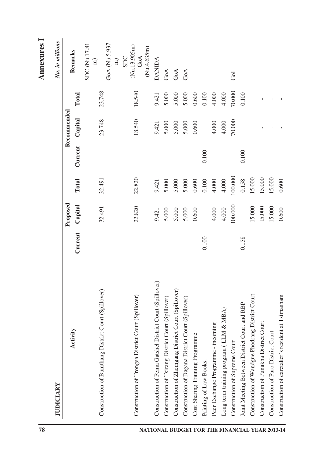| 78                                             |                                                         |         |          |           |         |             |           | <b>Annexures</b> 1             |
|------------------------------------------------|---------------------------------------------------------|---------|----------|-----------|---------|-------------|-----------|--------------------------------|
|                                                | <b>JUDICIARY</b>                                        |         |          |           |         |             |           | Nu. in millions                |
|                                                |                                                         |         | Proposed |           |         | Recommended |           |                                |
|                                                | Activity                                                | Current | Capital  | Total     | Current | Capital     | Total     | Remarks                        |
|                                                |                                                         |         |          |           |         |             |           | SDC (Nu.17.81<br>$\widehat{E}$ |
|                                                | Construction of Bumthang District Court (Spillover)     |         | 32.491   | 32.491    |         | 23.748      | 23.748    |                                |
|                                                |                                                         |         |          |           |         |             |           | GoA (Nu.5.937                  |
|                                                |                                                         |         |          |           |         |             |           | $\widehat{E}$                  |
|                                                |                                                         |         |          |           |         |             |           | <b>SDC</b>                     |
|                                                | Construction of Trongsa District Court (Spillover)      |         | 22.820   | 22.820    |         | 18.540      | 18.540    | (Nu.13.905m)<br>GoA            |
|                                                |                                                         |         |          |           |         |             |           | (Nu.4.635m)                    |
| NATIONAL BUDGET FOR THE FINANCIAL YEAR 2013-14 | Construction of Pema Gatshel District Court (Spillover) |         | 9.421    | 9.421     |         | 9.421       | 9.421     | <b>DANIDA</b>                  |
|                                                | Construction of Tsirang District Court (Spillover)      |         | 5.000    | 5.000     |         | 5.000       | 5.000     | GoA                            |
|                                                | Construction of Zhemgang District Court (Spillover)     |         | 5.000    | 5.000     |         | 5.000       | 5.000     | $\rm{GoA}$                     |
|                                                | Construction of Dagana District Court (Spillover)       |         | 5.000    | 5.000     |         | 5.000       | 5.000     | GoA                            |
|                                                | Cost Sharing Training Programme                         |         | 0.600    | $0.600\,$ |         | 0.600       | $0.600\,$ |                                |
|                                                | Printing of Law Books.                                  | 0.100   |          | 0.100     | 0.100   |             | 0.100     |                                |
|                                                | Peer Exchange Programme - incoming                      |         | 4.000    | 4.000     |         | 4.000       | 4.000     |                                |
|                                                | Long term training program (LLM & MBA)                  |         | 4.000    | 4.000     |         | 4.000       | 4.000     |                                |
|                                                | Construction of Supreme Court                           |         | 100.000  | 100.000   |         | 70.000      | 70.000    | Gol                            |
|                                                | Joint Meeting Between District Court and RBP            | 0.158   |          | 0.158     | 0.100   |             | 0.100     |                                |
|                                                | Construction of Wandgue Phodrang District Court         |         | 15.000   | 15.000    |         |             |           |                                |
|                                                | Construction of Punakha District Court                  |         | 15.000   | 15.000    |         |             |           |                                |
|                                                | Construction of Paro District Court                     |         | 15.000   | 15.000    |         |             |           |                                |
|                                                | Construction of caretaker's resident at Tsimasham       |         | 0.600    | 0.600     |         |             |           |                                |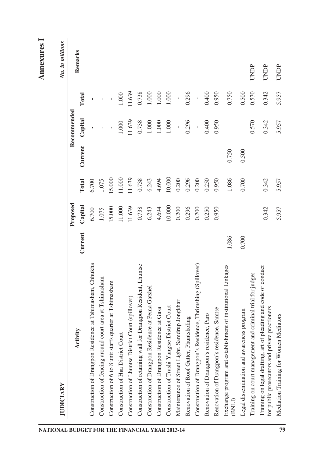# **I**

| NATIONAL BUDGET FOR THE FINANCIAL YEAR 2013-14 | <b>JUDICIARY</b>                                                                                                     |         |          |                     |         |             |              | Nu. in millions |
|------------------------------------------------|----------------------------------------------------------------------------------------------------------------------|---------|----------|---------------------|---------|-------------|--------------|-----------------|
|                                                |                                                                                                                      |         | Proposed |                     |         | Recommended |              |                 |
|                                                | Activity                                                                                                             | Current | Capital  | Total               | Current | Capital     | Total        | Remarks         |
|                                                | Construction of Drangpon Residence at Tshimasham, Chhukha                                                            |         | 6.700    | 6.700               |         |             |              |                 |
|                                                | Construction of fencing around court area at Tshimasham                                                              |         | 1.075    | 1.075               |         |             |              |                 |
|                                                | Construction of 6 to 8 unit staffs quarter at Tshimasham                                                             |         | 15.000   | 15.000              |         |             |              |                 |
|                                                | Construction of Haa District Court                                                                                   |         | 11.000   | 11.000              |         | 1.000       | 1.000        |                 |
|                                                | Construction of Lhuntse District Court (spillover)                                                                   |         | 11.639   | 11.639              |         | 11.639      | 11.639       |                 |
|                                                | Construction of retaining wall for Drangpon Resident, Lhuntse                                                        |         | 0.738    | 0.738               |         | 0.738       | 0.738        |                 |
|                                                | Construction of Drangpon Residence at Pema Gatshel                                                                   |         | 6.243    | 6.243               |         | $1.000\,$   | $1.000$      |                 |
|                                                | Construction of Drangpon Residence at Gasa                                                                           |         | 4.694    | 4.694               |         | $1.000\,$   | $1.000$      |                 |
|                                                | Construction of Trashi Yangtse District Court                                                                        |         | 10.000   | 10.000              |         | $1.000\,$   | 1.000        |                 |
|                                                | Maintenance of Street Light, Samdrup Jongkhar                                                                        |         | 0.200    | 0.200               |         | Î,          | $\mathbf{i}$ |                 |
|                                                | Renovation of Roof Gutter, Phuntsholing                                                                              |         | 0.296    | 0.296               |         | 0.296       | 0.296        |                 |
|                                                | Construction of Drangpon's Residence, Thrimshing (Spillover)                                                         |         | 0.200    | 0.200               |         | í,          | $\mathbf{i}$ |                 |
|                                                | Renovation of Drangpon's residence, Paro                                                                             |         | 0.250    | 0.250               |         | 0.400       | 0.400        |                 |
|                                                | Renovation of Drangpon's residence, Samtse                                                                           |         | 0.950    | 0.950               |         | 0.950       | 0.950        |                 |
|                                                | ishment of institutional Linkages<br>Exchange program and establ<br>(BNLI)                                           | 1.086   |          | 1.086               | 0.750   |             | 0.750        |                 |
|                                                | Legal dissemination and awareness program                                                                            | 0.700   |          | 0.700               | 0.500   |             | 0.500        |                 |
|                                                | Training on court management and criminal trial for judges                                                           |         |          | $\bar{\phantom{a}}$ |         | 0.570       | 0.570        | UNDP            |
|                                                | of pleading and code of conduct<br>for public prosecutors and private practioners<br>Training on legal drafting, art |         | 0.342    | 0.342               |         | 0.342       | 0.342        | UNDP            |
| 79                                             | Mediation Training for Women Mediators                                                                               |         | 5.957    | 5.957               |         | 5.957       | 5.957        | UNDP            |
|                                                |                                                                                                                      |         |          |                     |         |             |              |                 |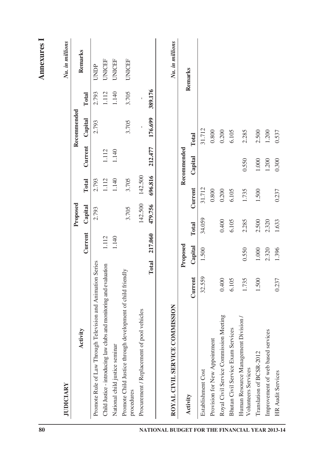| 80                                             |                                                                           |         |                  |        |          |         |             |             |              | <b>Annexures</b> I |
|------------------------------------------------|---------------------------------------------------------------------------|---------|------------------|--------|----------|---------|-------------|-------------|--------------|--------------------|
|                                                | <b>JUDICIARY</b>                                                          |         |                  |        |          |         |             |             |              | Nu. in millions    |
|                                                |                                                                           |         |                  |        | Proposed |         |             | Recommended |              |                    |
|                                                | Activity                                                                  |         | Current          |        | Capital  | Total   | Current     | Capital     | Total        | Remarks            |
|                                                | Promote Rule of Law Through Television and Animation Series               |         |                  |        | 2.793    | 2.793   |             | 2.793       | 2.793        | UNDP               |
|                                                | Child Justice - introducing law clubs and monitoring and evaluation       |         | 1.112            |        |          | 1.112   | 1.112       |             | 1.112        | <b>UNICEF</b>      |
|                                                | National child justice seminar                                            |         | 1.140            |        |          | 1.140   | 1.140       |             | 1.140        | <b>UNICEF</b>      |
|                                                | Promote Child Justice through development of child friendly<br>procedures |         |                  |        | 3.705    | 3.705   |             | 3.705       | 3.705        | <b>UNICEF</b>      |
|                                                | Procurement / Replacement of pool vehicles                                |         |                  |        | 142.500  | 142.500 |             | ï           | $\mathbf{I}$ |                    |
|                                                |                                                                           |         | 217.060<br>Total |        | 479.756  | 696.816 | 212.477     | 176.699     | 389,176      |                    |
|                                                | NOISSIMMC<br>ROYAL CIVIL SERVICE CO                                       |         |                  |        |          |         |             |             |              | Nu. in millions    |
|                                                |                                                                           |         | Proposed         |        |          |         | Recommended |             |              |                    |
|                                                | Activity                                                                  | Current | Capital          | Total  | Current  |         | Capital     | Total       |              | Remarks            |
|                                                | Establishment Cost                                                        | 32.559  | 1.500            | 34.059 |          | 31.712  |             | 31.712      |              |                    |
|                                                | Provision for New Appointment                                             |         |                  |        |          | 0.800   |             | 0.800       |              |                    |
|                                                | Royal Civil Service Commission Meeting                                    | 0.400   |                  | 0.400  |          | 0.200   |             | 0.200       |              |                    |
|                                                | Bhutan Civil Service Exam Services                                        | 6.105   |                  | 6.105  |          | 6.105   |             | 6.105       |              |                    |
| NATIONAL BUDGET FOR THE FINANCIAL YEAR 2013-14 | Human Resource Management Division /<br>Volunteers Services               | 1.735   | 0.550            | 2.285  |          | 1.735   | 0.550       | 2.285       |              |                    |
|                                                | Translation of BCSR-2012                                                  | 1.500   | 1.000            | 2.500  |          | 1.500   | $1.000\,$   | 2.500       |              |                    |
|                                                | Improvement of web based services                                         |         | 2.320            | 2.320  |          |         | 1.200       | 1.200       |              |                    |
|                                                | <b>HR Audit Services</b>                                                  | 0.237   | 1.396            | 1.633  |          | 0.237   | 0.300       | 0.537       |              |                    |
|                                                |                                                                           |         |                  |        |          |         |             |             |              |                    |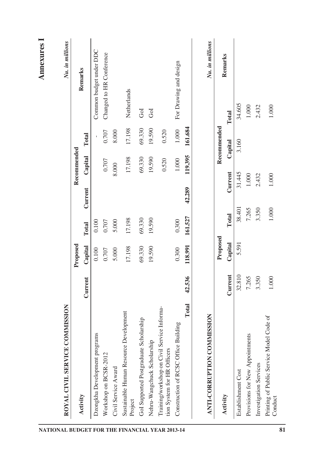| ROYAL CIVIL SERVICE COMMISSION                                             |           |          |           |         |             |             | Nu. in millions          |
|----------------------------------------------------------------------------|-----------|----------|-----------|---------|-------------|-------------|--------------------------|
|                                                                            |           | Proposed |           |         | Recommended |             |                          |
| Activity                                                                   | Current   | Capital  | Total     | Current | Capital     | Total       | Remarks                  |
| Dzongkha Development programs                                              |           | 0.100    | 0.100     |         |             |             | Common budget under DDC  |
| Workshop on BCSR-2012                                                      |           | 0.707    | 0.707     |         | 0.707       | 0.707       | Changed to HR Conference |
| Civil Service Award                                                        |           | 5.000    | 5.000     |         | 8.000       | 8.000       |                          |
| Sustainable Human Resource Development<br>Project                          |           | 17.198   | 17.198    |         | 17.198      | 17.198      | Netherlands              |
| GoI Supported Postgraduate Scholarship                                     |           | 69.330   | 69.330    |         | 69.330      | 69.330      | GoI                      |
| Nehru-Wangchuck Scholarship                                                |           | 19.590   | 19.590    |         | 19.590      | 19.590      | Gol                      |
| Training/workshop on Civil Service Informa-<br>tion System for HR Officers |           |          |           |         | 0.520       | 0.520       |                          |
| Construction of RCSC Office Building                                       |           | 0.300    | 0.300     |         | 1.000       | $1.000\,$   | For Drawing and design   |
| Total                                                                      | 42.536    | 118.991  | 161.527   | 42.289  | 119.395     | 161.684     |                          |
| ANTI-CORRUPTION COMMISSION                                                 |           |          |           |         |             |             | Nu. in millions          |
|                                                                            |           | Proposed |           |         |             | Recommended |                          |
| Activity                                                                   | Current   | Capital  | Total     | Current |             | Capital     | Remarks<br>Total         |
| Establishment Cost                                                         | 32.810    | 5.591    | 38.401    |         | 31.445      | 3.160       | 34.605                   |
| Provisions for New Appointments                                            | 7.265     |          | 7.265     |         | 1.000       |             | 1.000                    |
| Investigation Services                                                     | 3.350     |          | 3.350     |         | 2.432       |             | 2.432                    |
| Printing of Public Service Model Code of<br>Conduct                        | $1.000\,$ |          | $1.000\,$ |         | 1.000       |             | 1.000                    |
|                                                                            |           |          |           |         |             |             |                          |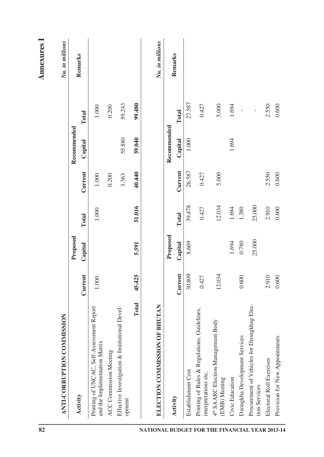| 82                                             | <b>MISSION</b><br>ANTI-CORRUPTION COM                                      |           |          |           |         |             |              | <b>Annexures</b> I<br>Nu. in millions |
|------------------------------------------------|----------------------------------------------------------------------------|-----------|----------|-----------|---------|-------------|--------------|---------------------------------------|
|                                                |                                                                            |           | Proposed |           |         | Recommended |              |                                       |
|                                                | Activity                                                                   | Current   | Capital  | Total     | Current | Capital     | Total        | Remarks                               |
|                                                | Printing of UNCAC, Self-Assessment Report<br>and the Implementation Matrix | $1.000\,$ |          | $1.000\,$ | 1.000   |             | 1.000        |                                       |
|                                                | ACC Commission Meeting                                                     |           |          |           | 0.200   |             | 0.200        |                                       |
|                                                | Effective Investigation & Institutional Devel-<br>opment                   |           |          |           | 3.363   | 55.880      | 59.243       |                                       |
|                                                | Total                                                                      | 45.425    | 5.591    | 51.016    | 40.440  | 59.040      | 99.480       |                                       |
| NATIONAL BUDGET FOR THE FINANCIAL YEAR 2013-14 | OF BHUTAN<br>ELECTION COMMISSION                                           |           |          |           |         |             |              | Nu. in millions                       |
|                                                |                                                                            |           | Proposed |           |         | Recommended |              |                                       |
|                                                | Activity                                                                   | Current   | Capital  | Total     | Current | Capital     | Total        | Remarks                               |
|                                                | Establishment Cost                                                         | 30.809    | 8.669    | 39.478    | 26.587  | 1.000       | 27.587       |                                       |
|                                                | Printing of Rules & Regulations, Guidelines,<br>interpretations etc.       | 0.427     |          | 0.427     | 0.427   |             | 0.427        |                                       |
|                                                | 4 <sup>th</sup> SAARC Election Management Body<br>(EMB) Meeting            | 12.034    |          | 12.034    | 5.000   |             | 5.000        |                                       |
|                                                | Civic Education                                                            |           | 1.694    | 1.694     |         | 1.694       | 1.694        |                                       |
|                                                | Dzongkha Development Services                                              | 0.600     | 0.780    | 1.380     |         |             |              |                                       |
|                                                | Procurement of Vehicles for Dzongkhag Elec-<br>tion Services               |           | 25.000   | 25.000    |         |             | $\mathbf{I}$ |                                       |
|                                                | Electoral Roll Exercises                                                   | 2.910     |          | 2.910     | 2.550   |             | 2.550        |                                       |
|                                                | Provision for New Appointments                                             | 0.600     |          | 0.600     | 0.600   |             | 0.600        |                                       |

**Annexures I**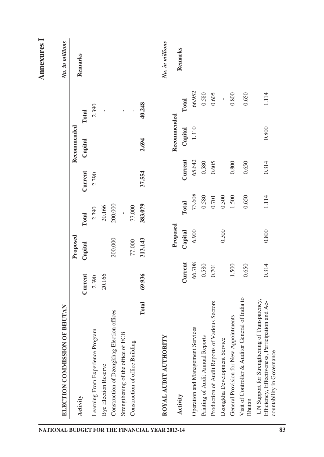| NATIONAL BUDGET FOR THE FINANCIAL YEAR 2013-14 | <b>OF BHUTAN</b><br>ELECTION COMMISSION                                                                                         |           |          |           |           |             |                 | <b>Annexures</b> I<br>Nu. in millions |
|------------------------------------------------|---------------------------------------------------------------------------------------------------------------------------------|-----------|----------|-----------|-----------|-------------|-----------------|---------------------------------------|
|                                                |                                                                                                                                 |           | Proposed |           |           | Recommended |                 |                                       |
|                                                | Activity                                                                                                                        | Current   | Capital  | Total     | Current   | Capital     | Total           | Remarks                               |
|                                                | Learning From Experience Program                                                                                                | 2.390     |          | 2.390     | 2.390     |             | 2.390           |                                       |
|                                                | <b>Bye Election Reserve</b>                                                                                                     | 20.166    |          | 20.166    |           |             |                 |                                       |
|                                                | Construction of Dzongkhag Election offices                                                                                      |           | 200.000  | 200.000   |           |             | $\bar{\bar{1}}$ |                                       |
|                                                | Strengthening of the office of ECB                                                                                              |           |          |           |           |             | $\bar{1}$       |                                       |
|                                                | Construction of office Building                                                                                                 |           | 77.000   | 77.000    |           |             |                 |                                       |
|                                                | Total                                                                                                                           | 69.936    | 313,143  | 383.079   | 37.554    | 2.694       | 40.248          |                                       |
|                                                | ROYAL AUDIT AUTHORITY                                                                                                           |           | Proposed |           |           | Recommended |                 | Nu. in millions                       |
|                                                | Activity                                                                                                                        | Current   | Capital  | Total     | Current   | Capital     | Total           | Remarks                               |
|                                                | Operation and Management Services                                                                                               | 66.708    | 6.900    | 73.608    | 65.642    | 1.310       | 66.952          |                                       |
|                                                | Printing of Audit Annual Reports                                                                                                | 0.580     |          | 0.580     | 0.580     |             | 0.580           |                                       |
|                                                | Production of Audit Reports of Various Sectors                                                                                  | $0.701\,$ |          | $0.701\,$ | $0.605$   |             | 0.605           |                                       |
|                                                | Dzongkha Development Service                                                                                                    |           | 0.300    | 0.300     |           |             | $\overline{1}$  |                                       |
|                                                | General Provision for New Appointments                                                                                          | 1.500     |          | 1.500     | $0.800\,$ |             | 0.800           |                                       |
|                                                | Visit of Controller & Auditor General of India to<br><b>Bhutan</b>                                                              | 0.650     |          | 0.650     | 0.650     |             | 0.650           |                                       |
|                                                | UN Support for Strengthening of Transparency,<br>Efficiency, Effectiveness, Participation and Ac-<br>countability in Governance | 0.314     | 0.800    | 1.114     | 0.314     | 0.800       | 1.114           |                                       |
| 83                                             |                                                                                                                                 |           |          |           |           |             |                 |                                       |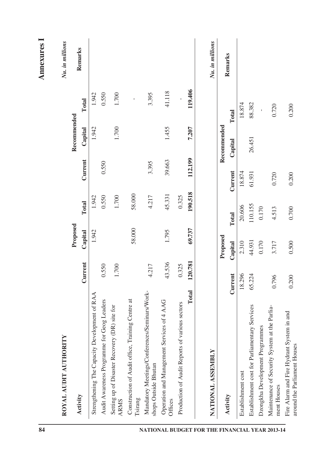| 84                                             |                                                                               |         |          |         |         |             |         | <b>Annexures</b> I |
|------------------------------------------------|-------------------------------------------------------------------------------|---------|----------|---------|---------|-------------|---------|--------------------|
|                                                | ≻<br>ROYAL AUDIT AUTHORIT                                                     |         |          |         |         |             |         | Nu. in millions    |
|                                                |                                                                               |         | Proposed |         |         | Recommended |         |                    |
|                                                | Activity                                                                      | Current | Capital  | Total   | Current | Capital     | Total   | Remarks            |
|                                                | Strengthening The Capacity Development of RAA                                 |         | 1.942    | 1.942   |         | 1.942       | 1.942   |                    |
|                                                | Audit Awareness Programme for Geog Leaders                                    | 0.550   |          | 0.550   | 0.550   |             | 0.550   |                    |
|                                                | Setting up of Disaster Recovery (DR) site for<br><b>ARMS</b>                  | 1.700   |          | 1.700   |         | 1.700       | 1.700   |                    |
|                                                | Construction of Audit office, Training Centre at<br>Tsirang                   |         | 58.000   | 58.000  |         |             | ï       |                    |
|                                                | Mandatory Meetings/Conferences/Seminars/Work-<br>shops Outside Bhutan         | 4.217   |          | 4.217   | 3.395   |             | 3.395   |                    |
|                                                | Operation and Management Services of 4 AAG<br>Offices                         | 43.536  | 1.795    | 45.331  | 39.663  | 1.455       | 41.118  |                    |
|                                                | various sectors<br>Production of Audit Reports of                             | 0.325   |          | 0.325   |         |             |         |                    |
|                                                | Total                                                                         | 120.781 | 69.737   | 190.518 | 112.199 | 7.207       | 119,406 |                    |
| NATIONAL BUDGET FOR THE FINANCIAL YEAR 2013-14 | NATIONAL ASSEMBLY                                                             |         |          |         |         |             |         | Nu. in millions    |
|                                                |                                                                               |         | Proposed |         |         | Recommended |         |                    |
|                                                | Activity                                                                      | Current | Capital  | Total   | Current | Capital     | Total   | Remarks            |
|                                                | Establishment cost                                                            | 18.296  | 2.310    | 20.606  | 18.874  |             | 18.874  |                    |
|                                                | Establishment cost for Parliamentary Services                                 | 65.224  | 44.931   | 110.155 | 61.931  | 26.451      | 88.382  |                    |
|                                                | Dzongkha Development Programmes                                               |         | 0.170    | 0.170   |         |             |         |                    |
|                                                | at the Parlia-<br>Maintenance of Security System<br>ment Houses               | 0.796   | 3.717    | 4.513   | 0.720   |             | 0.720   |                    |
|                                                | stem in and<br>Fire Alarm and Fire Hydrant Sy<br>around the Parliament Houses | 0.200   | 0.500    | 0.700   | 0.200   |             | 0.200   |                    |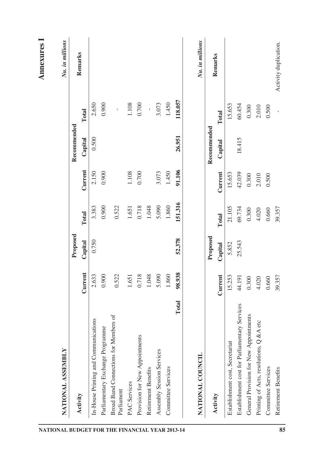|                     | NATIONAL ASSEMBLY                             |         |          |         |         |             |                | Nu. in millions       |
|---------------------|-----------------------------------------------|---------|----------|---------|---------|-------------|----------------|-----------------------|
|                     |                                               |         | Proposed |         |         | Recommended |                |                       |
| Activity            |                                               | Current | Capital  | Total   | Current | Capital     | Total          | Remarks               |
|                     | In-House Printing and Communications          | 2.633   | 0.750    | 3.383   | 2.150   | 0.500       | 2.650          |                       |
|                     | Parliamentary Exchange Programme              | 0.900   |          | 0.900   | 0.900   |             | 0.900          |                       |
| Parliament          | Broad Band Connections for Members of         | 0.522   |          | 0.522   |         |             | $\mathbf{I}$   |                       |
| <b>PAC</b> Services |                                               | 1.651   |          | $1.651$ | 1.108   |             | $1.108$        |                       |
|                     | Provision for New Appointments                | 0.718   |          | 0.718   | 0.700   |             | 0.700          |                       |
|                     | Retirement Benefits                           | 1.048   |          | 1.048   |         |             | í.             |                       |
|                     | Assembly Session Services                     | 5.090   |          | 5.090   | 3.073   |             | 3.073          |                       |
|                     | Committee Services                            | 1.860   |          | 1.860   | 1.450   |             | 1.450          |                       |
|                     | Total                                         | 98,938  | 52.378   | 151.316 | 91.106  | 26.951      | 118.057        |                       |
|                     | NATIONAL COUNCIL                              |         |          |         |         |             |                | Nu. in millions       |
|                     |                                               |         | Proposed |         |         | Recommended |                |                       |
| Activity            |                                               | Current | Capital  | Total   | Current | Capital     | Total          | Remarks               |
|                     | Establishment cost, Secretariat               | 15.253  | 5.852    | 21.105  | 15.653  |             | 15.653         |                       |
|                     | Establishment cost for Parliamentary Services | 44.191  | 25.543   | 69.734  | 42.039  | 18.415      | 60.454         |                       |
|                     | General Provision for New Appointments        | 0.300   |          | 0.300   | 0.300   |             | 0.300          |                       |
|                     | Printing of Acts, resolutions, Q & A etc      | 4.020   |          | 4.020   | 2.010   |             | 2.010          |                       |
|                     | Committee Services                            | 0.660   |          | 0.660   | 0.500   |             | 0.500          |                       |
|                     | Retirement Benefits                           | 39.357  |          | 39.357  |         |             | $\overline{1}$ | Activity duplication. |
|                     |                                               |         |          |         |         |             |                |                       |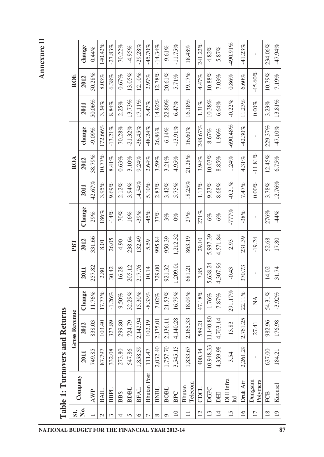## **Annexure II**

| SI.             |                          |           | Returns<br><b>Gross Revenue</b> |          |          | PBT      |         |           | ROA       |            |           | <b>ROE</b> |             |
|-----------------|--------------------------|-----------|---------------------------------|----------|----------|----------|---------|-----------|-----------|------------|-----------|------------|-------------|
| ,<br>Ž          | Company                  | 2011      | 2012                            | Change   | 2011     | 2012     | Change  | 2011      | 2012      | change     | 2011      | 2012       | change      |
|                 | <b>AWP</b>               | 749.85    | 838.03                          | 11.76%   | 257.82   | 331.66   | 29%     | 42.67%    | 38.79%    | $-9.09\%$  | $50.06\%$ | 50.28%     | 0.44%       |
| $\mathcal{L}$   | <b>BAIL</b>              | 87.797    | 103.40                          | 17.77%   | 2.80     | 8.01     | 186%    | 3.95%     | 10.77%    | 172.66%    | 3.34%     | 8.03%      | 140.42%     |
| $\epsilon$      | <b>BBPL</b>              | 332.08    | 327.89                          | $-1.26%$ | 30.42    | 26.05    | $-14%$  | 9.69%     | $8.41\%$  | $-13.21%$  | 8.84%     | 6.38%      | $-27.83%$   |
| 4               | <b>BBS</b>               | 273.80    | 299.80                          | $9.50\%$ | 16.28    | 4.90     | $-70%$  | 2.12%     | 0.63%     | $-70.28%$  | 2.25%     | 0.67%      | $-70.22%$   |
| 5               | BDBL                     | 547.86    | 724.79                          | 32.29%   | 205.12   | 238.64   | 16%     | 3.94%     | 3.10%     | $-21.32\%$ | 13.73%    | 13.05%     | $-4.95%$    |
| $\circ$         | <b>BFAL</b>              | 1,858.59  | 2,142.94                        | 15.30%   | 217.76   | 132.49   | $-39%$  | 14.54%    | 9.24%     | $-36.45%$  | 17.11%    | $12.10\%$  | $-29.28%$   |
| 7               | <b>Bhutan Post</b>       | 111.47    | 102.19                          | $-8.33%$ | 10.14    | 5.59     | $-45%$  | 5.10%     | 2.64%     | $-48.24%$  | 5.47%     | 2.97%      | $-45.70%$   |
| $\infty$        | <b>BNBL</b>              | 2,032.40  | 2,175.01                        | 7.02%    | 729.00   | 995.84   | 37%     | 2.83%     | 3.59%     | 26.86%     | 14.92%    | 12.78%     | $-14.34%$   |
| Ó               | <b>BOBL</b>              | 1,757.70  | 2,136.11                        | 21.53%   | 921.32   | 950.39   | 3%      | 3.42%     | 3.21%     | $-6.14%$   | 22.80%    | 20.61%     | $-9.61\%$   |
| $\overline{10}$ | <b>BPC</b>               | 3,545.15  | 4,140.28                        | 16.79%   | 1,209.01 | 1,212.32 | $0\%$   | 5.75%     | 4.95%     | $-13.91%$  | 6.47%     | 5.71%      | $-11.75%$   |
| $\equiv$        | Telecom<br><b>Bhutan</b> | 1,833.67  | 2,165.33                        | 18.09%   | 681.21   | 863.19   | 27%     | 18.25%    | 21.28%    | 16.60%     | 16.18%    | 19.17%     | 18.48%      |
| $\overline{2}$  | CDCL                     | 400.34    | 589.21                          | 47.18%   | 7.85     | 29.10    | 271%    | 1.13%     | 3.94%     | 248.67%    | $1.31\%$  | 4.47%      | 241.22%     |
| 13              | <b>DGPC</b>              | 10,948.33 | 1,140.80                        | 1.76%    | 5,638.24 | 5,997.39 | 6%      | 9.23%     | 10.03%    | 8.67%      | 10.38%    | 10.88%     | 4.82%       |
| $\overline{4}$  | DHI                      | 4,359.98  | 4,703.14                        | 7.87%    | 4,307.96 | 4,571.84 | 6%      | 8.68%     | 8.85%     | $1.96\%$   | $6.64\%$  | 7.03%      | 5.87%       |
| 15              | DHI Infra<br>Itd         | 3.54      | 13.83                           | 291.17%  | $-0.43$  | 2.93     | $-777%$ | $-0.21\%$ | $1.24\%$  | $-690.48%$ | $-0.22%$  | $0.86\%$   | $-490.91\%$ |
| $\overline{16}$ | Druk Air                 | 2,261.29  | 2,761.25                        | 22.11%   | 370.73   | 231.39   | $-38%$  | 7.47%     | 4.31%     | $-42.30%$  | 11.23%    | 6.60%      | $-41.23%$   |
| $\overline{17}$ | Polymers<br>Dungsam      | f,        | 27.41                           | Ź        | I.       | $-19.24$ | I.      | $0.00\%$  | $-11.81%$ | ï          | $0.00\%$  | $-45.60%$  |             |
| $\frac{8}{18}$  | <b>FCB</b>               | 637.00    | 982.96                          | 54.31%   | 14.02    | 52.68    | 276%    | 3.78%     | 12.45%    | 229.37%    | 3.23%     | 10.79%     | 234.06%     |
| $\overline{1}$  | Kuensel                  | 184.21    | 176.98                          | $-3.92%$ | 31.74    | 17.80    | $-44%$  | 12.76%    | 6.75%     | $-47.10\%$ | 13.81%    | 7.19%      |             |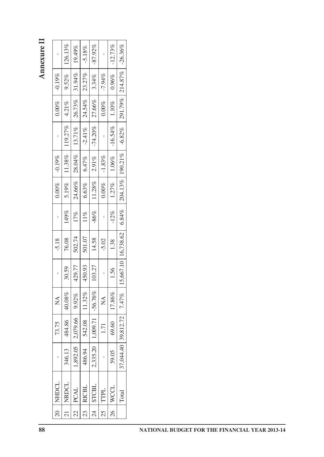| $\mathbf{I}$                                        | 126.13%        | 19.49%         | $-5.18%$     | $-87.92\%$     |                                | $-12.73%$ | $-26.36\%$ |  |
|-----------------------------------------------------|----------------|----------------|--------------|----------------|--------------------------------|-----------|------------|--|
| $-0.19%$                                            | 9.52%          | 31.94%         | 23.27%       | 3.34%          | $-7.94%$                       | 0.96%     | 214.87%    |  |
| $0.00\%$                                            | 4.21%          | 26.73%         | 24.54%       | 27.66%         | $0.00\%$                       | $1.10\%$  | 291.79%    |  |
|                                                     | 119.27%        | $13.71\%$      | $-2.41%$     | $-74.20%$      | $\mathbf I$                    | $-16.54%$ | $-6.82%$   |  |
| $-0.19%$                                            | 11.38%         | 28.04%         | $6.47\%$     | $2.91\%$       | $-1.83\%$                      | 1.06%     | $190.21\%$ |  |
| $0.00\%$                                            | 5.19%          | 24.66%         | $6.63\%$     | $11.28\%$      | $0.00\%$                       | 1.27%     | 204.13%    |  |
| $\begin{array}{c} \rule{0.2cm}{0.15mm} \end{array}$ | 149%           | $17\%$         | $11\%$       | $-86%$         | $\mathsf I$                    | $-12\%$   | 6.84%      |  |
| $-5.18$                                             | 76.08          | 502.74         | 501.07       | 14.58          | $-5.02$                        | 1.38      | 16,738.62  |  |
| $\begin{array}{c} \rule{0.2cm}{0.15mm} \end{array}$ | 30.59          | 429.77         | 450.93       | 103.27         | $\mathbf I$                    | 1.56      | 15,667.10  |  |
| $\sum_{i=1}^{n}$                                    | 40.08%         | $9.92\%$       | 11.32%       | $-56.76%$      | $\mathop{\mathsf{Z}}\nolimits$ | 17.86%    | 7.47%      |  |
| 73.75                                               | 484.86         | 2,079.66       | 542.08       | 1,009.71       | $1.71\,$                       | 69.60     | 39,812.72  |  |
| $\mathbf I$                                         | 346.13         | 1,892.05       | 486.94       | 2,335.20       | $\mathbf I$                    | 59.05     | 37,044.40  |  |
| <b>NHDCL</b>                                        | NRDCL          | <b>PCAL</b>    | <b>RICBL</b> | <b>STCBL</b>   | TTPL                           | WCCL      | Total      |  |
| $\Omega$                                            | $\overline{z}$ | $\mathfrak{L}$ | 23           | $\overline{c}$ | 25                             | 26        |            |  |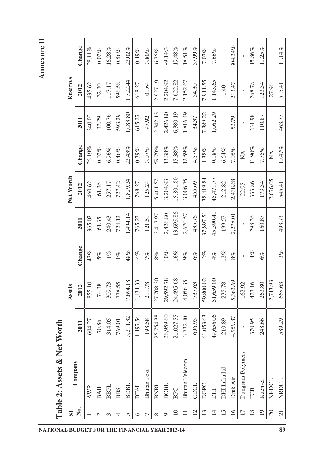Annexure II **Annexure II**

| $\overline{\text{or}}$<br>i |
|-----------------------------|
| Net                         |
| ళ                           |
| Assets                      |
| i<br>ċ                      |
| able                        |

| $\overline{\mathbf{s}}$ |                       |           | Assets    |        |           | Net Worth |                           |          | Reserves |           |
|-------------------------|-----------------------|-----------|-----------|--------|-----------|-----------|---------------------------|----------|----------|-----------|
| ż.                      | Company               | 2011      | 2012      | Change | 2011      | 2012      | Change                    | 2011     | 2012     | Change    |
|                         | <b>AWP</b>            | 604.27    | 855.10    | 42%    | 365.02    | 460.62    | 26.19%                    | 340.02   | 435.62   | 28.11%    |
| $\mathcal{L}$           | <b>BAIL</b>           | 70.86     | 74.38     | 5%     | 61.35     | 61.36     | $0.02\%$                  | 32.29    | 32.30    | $0.02\%$  |
| 3                       | <b>BBPL</b>           | 314.05    | 309.73    | $-1\%$ | 240.43    | 257.17    | $6.96\%$                  | 100.76   | 117.17   | $16.28\%$ |
| 4                       | <b>BBS</b>            | 769.01    | 778.55    | $1\%$  | 724.12    | 727.42    | $0.46\%$                  | 593.29   | 596.58   | $0.56\%$  |
| $\Omega$                | <b>BDBL</b>           | 5,211.32  | 7,694.18  | $48\%$ | 1,494.14  | 1,829.24  | 22.43%                    | 1,083.80 | 1,322.44 | 22.02%    |
| $\circ$                 | <b>BFAL</b>           | 1,497.54  | 1,434.33  | $-4%$  | 765.27    | 768.27    | $0.39\%$                  | 615.27   | 618.27   | 0.49%     |
| $\overline{ }$          | <b>Bhutan Post</b>    | 198.58    | 211.78    | 7%     | 121.51    | 125.24    | 3.07%                     | 97.92    | 101.64   | $3.80\%$  |
| $\infty$                | BNBL                  | 25,754.38 | 27,708.30 | $8\%$  | 3,417.97  | 5,461.57  | 59.79%                    | 2,742.13 | 2,927.19 | 6.75%     |
| $\circ$                 | <b>BOBL</b>           | 26,959.60 | 29,592.78 | $10\%$ | 2,826.80  | 3,204.93  | 13.38%                    | 2,426.80 | 2,204.92 | $-9.14%$  |
| $\Xi$                   | <b>BPC</b>            | 21,027.55 | 24,495.68 | $16\%$ | 13,695.86 | 15,801.80 | $15.38\%$                 | 6,380.19 | 7,622.82 | 19.48%    |
| Ξ                       | <b>Bhutan Telecom</b> | 3,732.40  | 4,056.35  | $9\%$  | 2,670.57  | 3,006.75  | 12.59%                    | 1,816.49 | 2,152.67 | 18.51%    |
| $\overline{c}$          | CDCL                  | 696.95    | 737.63    | 6%     | 435.76    | 455.69    | 4.57%                     | 34.37    | 54.30    | 57.99%    |
| $\overline{13}$         | DGPC                  | 61,053.63 | 59,800.02 | $-2%$  | 37,897.51 | 38,419.84 | $1.38\%$                  | 7,389.22 | 7,911.55 | 7.07%     |
| $\overline{4}$          | EEQ                   | 49,656.06 | 51,659.00 | 4%     | 45,390.41 | 45,471.77 | $0.18\%$                  | 1,062.29 | 1,143.65 | 7.66%     |
| S                       | DHI Infra Itd         | 210.89    | 235.78    | $12\%$ | 199.57    | 212.82    | 6.64%                     |          | 1.40     |           |
| $\overline{a}$          | Druk Air              | 4,959.87  | 5,363.69  | $8\%$  | 2,278.01  | 2,438.68  | 7.05%                     | 52.79    | 213.47   | 304.34%   |
| $\overline{17}$         | Dungsam Polymers      |           | 162.92    |        |           | 22.95     | $\mathbb{E}$              |          |          |           |
| $\frac{8}{2}$           | FCB                   | 370.95    | 423.16    | $14\%$ | 298.36    | 333.86    | $11.90\%$                 | 231.98   | 268.78   | 15.86%    |
| $\overline{19}$         | Kuensel               | 248.66    | 263.80    | 6%     | 160.87    | 173.34    | 7.75%                     | 110.87   | 123.34   | 11.25%    |
| $\Omega$                | NHDCL                 | Î,        | 2,743.93  | ï      |           | 2,676.05  | $\mathbb{A}^{\mathbf{A}}$ |          | 27.96    |           |
| $\overline{z}$          | NRDCL                 | 589.29    | 668.63    | 13%    | 493.73    | 545.41    | $10.47\%$                 | 463.73   | 515.41   | 11.14%    |